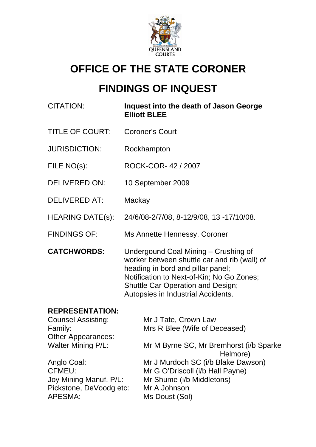

# **OFFICE OF THE STATE CORONER**

# **FINDINGS OF INQUEST**

| <b>CITATION:</b>                                               | Inquest into the death of Jason George<br><b>Elliott BLEE</b>                                                                                                                                                                                     |
|----------------------------------------------------------------|---------------------------------------------------------------------------------------------------------------------------------------------------------------------------------------------------------------------------------------------------|
| <b>TITLE OF COURT:</b>                                         | <b>Coroner's Court</b>                                                                                                                                                                                                                            |
| <b>JURISDICTION:</b>                                           | Rockhampton                                                                                                                                                                                                                                       |
| FILE NO(s):                                                    | ROCK-COR-42 / 2007                                                                                                                                                                                                                                |
| <b>DELIVERED ON:</b>                                           | 10 September 2009                                                                                                                                                                                                                                 |
| <b>DELIVERED AT:</b>                                           | Mackay                                                                                                                                                                                                                                            |
| <b>HEARING DATE(s):</b>                                        | 24/6/08-2/7/08, 8-12/9/08, 13 -17/10/08.                                                                                                                                                                                                          |
| <b>FINDINGS OF:</b>                                            | Ms Annette Hennessy, Coroner                                                                                                                                                                                                                      |
| <b>CATCHWORDS:</b>                                             | Undergound Coal Mining - Crushing of<br>worker between shuttle car and rib (wall) of<br>heading in bord and pillar panel;<br>Notification to Next-of-Kin; No Go Zones;<br>Shuttle Car Operation and Design;<br>Autopsies in Industrial Accidents. |
| <b>REPRESENTATION:</b><br><b>Counsel Assisting:</b><br>Family: | Mr J Tate, Crown Law<br>Mrs R Blee (Wife of Deceased)                                                                                                                                                                                             |

| Family:                   | Mrs R Blee (Wife of Deceased)           |
|---------------------------|-----------------------------------------|
| <b>Other Appearances:</b> |                                         |
| <b>Walter Mining P/L:</b> | Mr M Byrne SC, Mr Bremhorst (i/b Sparke |
|                           | Helmore)                                |
| Anglo Coal:               | Mr J Murdoch SC (i/b Blake Dawson)      |
| CFMEU:                    | Mr G O'Driscoll (i/b Hall Payne)        |
| Joy Mining Manuf. P/L:    | Mr Shume (i/b Middletons)               |
| Pickstone, DeVoodg etc:   | Mr A Johnson                            |
| APESMA:                   | Ms Doust (Sol)                          |
|                           |                                         |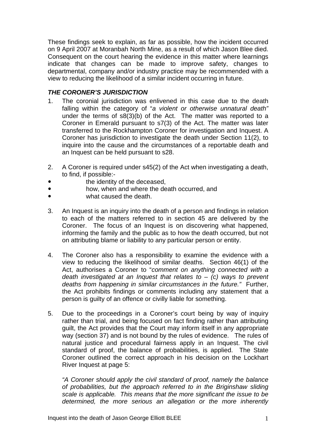These findings seek to explain, as far as possible, how the incident occurred on 9 April 2007 at Moranbah North Mine, as a result of which Jason Blee died. Consequent on the court hearing the evidence in this matter where learnings indicate that changes can be made to improve safety, changes to departmental, company and/or industry practice may be recommended with a view to reducing the likelihood of a similar incident occurring in future.

## *THE CORONER'S JURISDICTION*

- 1. The coronial jurisdiction was enlivened in this case due to the death falling within the category of "*a violent or otherwise unnatural death"* under the terms of  $s8(3)(b)$  of the Act. The matter was reported to a Coroner in Emerald pursuant to s7(3) of the Act. The matter was later transferred to the Rockhampton Coroner for investigation and Inquest. A Coroner has jurisdiction to investigate the death under Section 11(2), to inquire into the cause and the circumstances of a reportable death and an Inquest can be held pursuant to s28.
- 2. A Coroner is required under s45(2) of the Act when investigating a death, to find, if possible:
	- the identity of the deceased,
- **how, when and where the death occurred, and**
- what caused the death.
- 3. An Inquest is an inquiry into the death of a person and findings in relation to each of the matters referred to in section 45 are delivered by the Coroner. The focus of an Inquest is on discovering what happened, informing the family and the public as to how the death occurred, but not on attributing blame or liability to any particular person or entity.
- 4. The Coroner also has a responsibility to examine the evidence with a view to reducing the likelihood of similar deaths. Section 46(1) of the Act, authorises a Coroner to "*comment on anything connected with a death investigated at an Inquest that relates to* – *(c) ways to prevent deaths from happening in similar circumstances in the future."* Further, the Act prohibits findings or comments including any statement that a person is guilty of an offence or civilly liable for something.
- 5. Due to the proceedings in a Coroner's court being by way of inquiry rather than trial, and being focused on fact finding rather than attributing guilt, the Act provides that the Court may inform itself in any appropriate way (section 37) and is not bound by the rules of evidence. The rules of natural justice and procedural fairness apply in an Inquest. The civil standard of proof, the balance of probabilities, is applied. The State Coroner outlined the correct approach in his decision on the Lockhart River Inquest at page 5:

*"A Coroner should apply the civil standard of proof, namely the balance of probabilities, but the approach referred to in the Briginshaw sliding scale is applicable. This means that the more significant the issue to be determined, the more serious an allegation or the more inherently*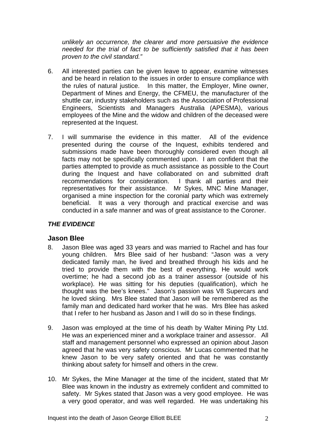*unlikely an occurrence, the clearer and more persuasive the evidence needed for the trial of fact to be sufficiently satisfied that it has been proven to the civil standard."* 

- 6. All interested parties can be given leave to appear, examine witnesses and be heard in relation to the issues in order to ensure compliance with the rules of natural justice. In this matter, the Employer, Mine owner, Department of Mines and Energy, the CFMEU, the manufacturer of the shuttle car, industry stakeholders such as the Association of Professional Engineers, Scientists and Managers Australia (APESMA), various employees of the Mine and the widow and children of the deceased were represented at the Inquest.
- 7. I will summarise the evidence in this matter. All of the evidence presented during the course of the Inquest, exhibits tendered and submissions made have been thoroughly considered even though all facts may not be specifically commented upon. I am confident that the parties attempted to provide as much assistance as possible to the Court during the Inquest and have collaborated on and submitted draft recommendations for consideration. I thank all parties and their representatives for their assistance. Mr Sykes, MNC Mine Manager, organised a mine inspection for the coronial party which was extremely beneficial. It was a very thorough and practical exercise and was conducted in a safe manner and was of great assistance to the Coroner.

#### *THE EVIDENCE*

#### **Jason Blee**

- 8. Jason Blee was aged 33 years and was married to Rachel and has four young children. Mrs Blee said of her husband: "Jason was a very dedicated family man, he lived and breathed through his kids and he tried to provide them with the best of everything. He would work overtime; he had a second job as a trainer assessor (outside of his workplace). He was sitting for his deputies (qualification), which he thought was the bee's knees." Jason's passion was V8 Supercars and he loved skiing. Mrs Blee stated that Jason will be remembered as the family man and dedicated hard worker that he was. Mrs Blee has asked that I refer to her husband as Jason and I will do so in these findings.
- 9. Jason was employed at the time of his death by Walter Mining Pty Ltd. He was an experienced miner and a workplace trainer and assessor. All staff and management personnel who expressed an opinion about Jason agreed that he was very safety conscious. Mr Lucas commented that he knew Jason to be very safety oriented and that he was constantly thinking about safety for himself and others in the crew.
- 10. Mr Sykes, the Mine Manager at the time of the incident, stated that Mr Blee was known in the industry as extremely confident and committed to safety. Mr Sykes stated that Jason was a very good employee. He was a very good operator, and was well regarded. He was undertaking his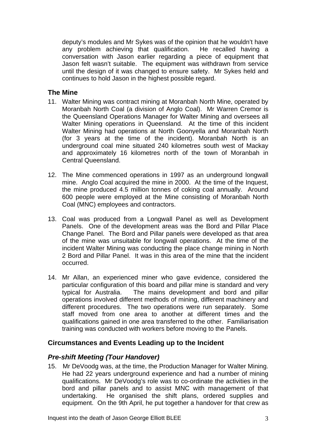deputy's modules and Mr Sykes was of the opinion that he wouldn't have any problem achieving that qualification. He recalled having a conversation with Jason earlier regarding a piece of equipment that Jason felt wasn't suitable. The equipment was withdrawn from service until the design of it was changed to ensure safety. Mr Sykes held and continues to hold Jason in the highest possible regard.

# **The Mine**

- 11. Walter Mining was contract mining at Moranbah North Mine, operated by Moranbah North Coal (a division of Anglo Coal). Mr Warren Cremor is the Queensland Operations Manager for Walter Mining and oversees all Walter Mining operations in Queensland. At the time of this incident Walter Mining had operations at North Goonyella and Moranbah North (for 3 years at the time of the incident). Moranbah North is an underground coal mine situated 240 kilometres south west of Mackay and approximately 16 kilometres north of the town of Moranbah in Central Queensland.
- 12. The Mine commenced operations in 1997 as an underground longwall mine. Anglo Coal acquired the mine in 2000. At the time of the Inquest, the mine produced 4.5 million tonnes of coking coal annually. Around 600 people were employed at the Mine consisting of Moranbah North Coal (MNC) employees and contractors.
- 13. Coal was produced from a Longwall Panel as well as Development Panels. One of the development areas was the Bord and Pillar Place Change Panel. The Bord and Pillar panels were developed as that area of the mine was unsuitable for longwall operations. At the time of the incident Walter Mining was conducting the place change mining in North 2 Bord and Pillar Panel. It was in this area of the mine that the incident occurred.
- 14. Mr Allan, an experienced miner who gave evidence, considered the particular configuration of this board and pillar mine is standard and very typical for Australia. The mains development and bord and pillar operations involved different methods of mining, different machinery and different procedures. The two operations were run separately. Some staff moved from one area to another at different times and the qualifications gained in one area transferred to the other. Familiarisation training was conducted with workers before moving to the Panels.

# **Circumstances and Events Leading up to the Incident**

# *Pre-shift Meeting (Tour Handover)*

15. Mr DeVoodg was, at the time, the Production Manager for Walter Mining. He had 22 years underground experience and had a number of mining qualifications. Mr DeVoodg's role was to co-ordinate the activities in the bord and pillar panels and to assist MNC with management of that undertaking. He organised the shift plans, ordered supplies and equipment. On the 9th April, he put together a handover for that crew as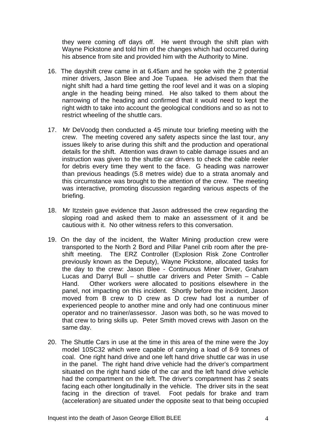they were coming off days off. He went through the shift plan with Wayne Pickstone and told him of the changes which had occurred during his absence from site and provided him with the Authority to Mine.

- 16. The dayshift crew came in at 6.45am and he spoke with the 2 potential miner drivers, Jason Blee and Joe Tupaea. He advised them that the night shift had a hard time getting the roof level and it was on a sloping angle in the heading being mined. He also talked to them about the narrowing of the heading and confirmed that it would need to kept the right width to take into account the geological conditions and so as not to restrict wheeling of the shuttle cars.
- 17. Mr DeVoodg then conducted a 45 minute tour briefing meeting with the crew. The meeting covered any safety aspects since the last tour, any issues likely to arise during this shift and the production and operational details for the shift. Attention was drawn to cable damage issues and an instruction was given to the shuttle car drivers to check the cable reeler for debris every time they went to the face. G heading was narrower than previous headings (5.8 metres wide) due to a strata anomaly and this circumstance was brought to the attention of the crew. The meeting was interactive, promoting discussion regarding various aspects of the briefing.
- 18. Mr Itzstein gave evidence that Jason addressed the crew regarding the sloping road and asked them to make an assessment of it and be cautious with it. No other witness refers to this conversation.
- 19. On the day of the incident, the Walter Mining production crew were transported to the North 2 Bord and Pillar Panel crib room after the preshift meeting. The ERZ Controller (Explosion Risk Zone Controller previously known as the Deputy), Wayne Pickstone, allocated tasks for the day to the crew: Jason Blee - Continuous Miner Driver, Graham Lucas and Darryl Bull – shuttle car drivers and Peter Smith – Cable Hand. Other workers were allocated to positions elsewhere in the panel, not impacting on this incident. Shortly before the incident, Jason moved from B crew to D crew as D crew had lost a number of experienced people to another mine and only had one continuous miner operator and no trainer/assessor. Jason was both, so he was moved to that crew to bring skills up. Peter Smith moved crews with Jason on the same day.
- 20. The Shuttle Cars in use at the time in this area of the mine were the Joy model 10SC32 which were capable of carrying a load of 8-9 tonnes of coal. One right hand drive and one left hand drive shuttle car was in use in the panel. The right hand drive vehicle had the driver's compartment situated on the right hand side of the car and the left hand drive vehicle had the compartment on the left. The driver's compartment has 2 seats facing each other longitudinally in the vehicle. The driver sits in the seat facing in the direction of travel. Foot pedals for brake and tram (acceleration) are situated under the opposite seat to that being occupied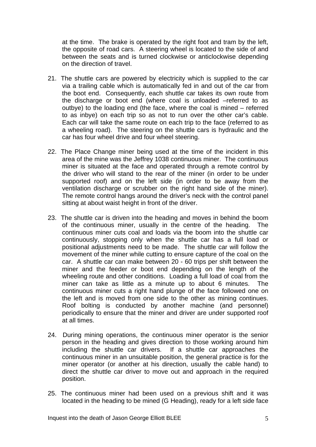at the time. The brake is operated by the right foot and tram by the left, the opposite of road cars. A steering wheel is located to the side of and between the seats and is turned clockwise or anticlockwise depending on the direction of travel.

- 21. The shuttle cars are powered by electricity which is supplied to the car via a trailing cable which is automatically fed in and out of the car from the boot end. Consequently, each shuttle car takes its own route from the discharge or boot end (where coal is unloaded –referred to as outbye) to the loading end (the face, where the coal is mined – referred to as inbye) on each trip so as not to run over the other car's cable. Each car will take the same route on each trip to the face (referred to as a wheeling road). The steering on the shuttle cars is hydraulic and the car has four wheel drive and four wheel steering.
- 22. The Place Change miner being used at the time of the incident in this area of the mine was the Jeffrey 1038 continuous miner. The continuous miner is situated at the face and operated through a remote control by the driver who will stand to the rear of the miner (in order to be under supported roof) and on the left side (in order to be away from the ventilation discharge or scrubber on the right hand side of the miner). The remote control hangs around the driver's neck with the control panel sitting at about waist height in front of the driver.
- 23. The shuttle car is driven into the heading and moves in behind the boom of the continuous miner, usually in the centre of the heading. The continuous miner cuts coal and loads via the boom into the shuttle car continuously, stopping only when the shuttle car has a full load or positional adjustments need to be made. The shuttle car will follow the movement of the miner while cutting to ensure capture of the coal on the car. A shuttle car can make between 20 - 60 trips per shift between the miner and the feeder or boot end depending on the length of the wheeling route and other conditions. Loading a full load of coal from the miner can take as little as a minute up to about 6 minutes. The continuous miner cuts a right hand plunge of the face followed one on the left and is moved from one side to the other as mining continues. Roof bolting is conducted by another machine (and personnel) periodically to ensure that the miner and driver are under supported roof at all times.
- 24. During mining operations, the continuous miner operator is the senior person in the heading and gives direction to those working around him including the shuttle car drivers. If a shuttle car approaches the continuous miner in an unsuitable position, the general practice is for the miner operator (or another at his direction, usually the cable hand) to direct the shuttle car driver to move out and approach in the required position.
- 25. The continuous miner had been used on a previous shift and it was located in the heading to be mined (G Heading), ready for a left side face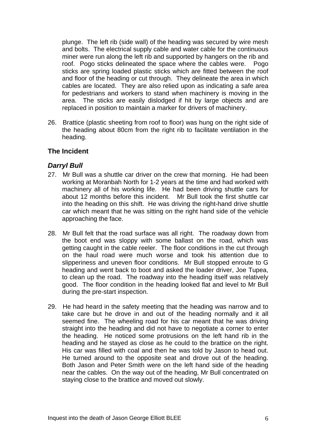plunge. The left rib (side wall) of the heading was secured by wire mesh and bolts. The electrical supply cable and water cable for the continuous miner were run along the left rib and supported by hangers on the rib and roof. Pogo sticks delineated the space where the cables were. Pogo sticks are spring loaded plastic sticks which are fitted between the roof and floor of the heading or cut through. They delineate the area in which cables are located. They are also relied upon as indicating a safe area for pedestrians and workers to stand when machinery is moving in the area. The sticks are easily dislodged if hit by large objects and are replaced in position to maintain a marker for drivers of machinery.

26. Brattice (plastic sheeting from roof to floor) was hung on the right side of the heading about 80cm from the right rib to facilitate ventilation in the heading.

# **The Incident**

# *Darryl Bull*

- 27. Mr Bull was a shuttle car driver on the crew that morning. He had been working at Moranbah North for 1-2 years at the time and had worked with machinery all of his working life. He had been driving shuttle cars for about 12 months before this incident. Mr Bull took the first shuttle car into the heading on this shift. He was driving the right-hand drive shuttle car which meant that he was sitting on the right hand side of the vehicle approaching the face.
- 28. Mr Bull felt that the road surface was all right. The roadway down from the boot end was sloppy with some ballast on the road, which was getting caught in the cable reeler. The floor conditions in the cut through on the haul road were much worse and took his attention due to slipperiness and uneven floor conditions. Mr Bull stopped enroute to G heading and went back to boot and asked the loader driver, Joe Tupea, to clean up the road. The roadway into the heading itself was relatively good. The floor condition in the heading looked flat and level to Mr Bull during the pre-start inspection.
- 29. He had heard in the safety meeting that the heading was narrow and to take care but he drove in and out of the heading normally and it all seemed fine. The wheeling road for his car meant that he was driving straight into the heading and did not have to negotiate a corner to enter the heading. He noticed some protrusions on the left hand rib in the heading and he stayed as close as he could to the brattice on the right. His car was filled with coal and then he was told by Jason to head out. He turned around to the opposite seat and drove out of the heading. Both Jason and Peter Smith were on the left hand side of the heading near the cables. On the way out of the heading, Mr Bull concentrated on staying close to the brattice and moved out slowly.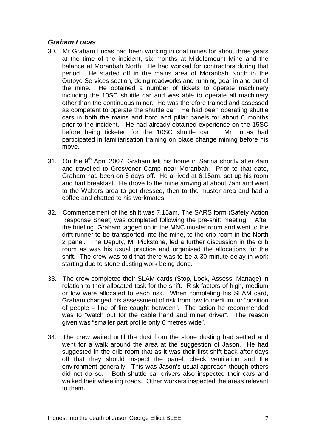# *Graham Lucas*

- 30. Mr Graham Lucas had been working in coal mines for about three years at the time of the incident, six months at Middlemount Mine and the balance at Moranbah North. He had worked for contractors during that period. He started off in the mains area of Moranbah North in the Outbye Services section, doing roadworks and running gear in and out of the mine. He obtained a number of tickets to operate machinery including the 10SC shuttle car and was able to operate all machinery other than the continuous miner. He was therefore trained and assessed as competent to operate the shuttle car. He had been operating shuttle cars in both the mains and bord and pillar panels for about 6 months prior to the incident. He had already obtained experience on the 15SC before being ticketed for the 10SC shuttle car. Mr Lucas had participated in familiarisation training on place change mining before his move.
- 31. On the 9<sup>th</sup> April 2007, Graham left his home in Sarina shortly after 4am and travelled to Grosvenor Camp near Moranbah. Prior to that date, Graham had been on 5 days off. He arrived at 6.15am, set up his room and had breakfast. He drove to the mine arriving at about 7am and went to the Walters area to get dressed, then to the muster area and had a coffee and chatted to his workmates.
- 32. Commencement of the shift was 7.15am. The SARS form (Safety Action Response Sheet) was completed following the pre-shift meeting. After the briefing, Graham tagged on in the MNC muster room and went to the drift runner to be transported into the mine, to the crib room in the North 2 panel. The Deputy, Mr Pickstone, led a further discussion in the crib room as was his usual practice and organised the allocations for the shift. The crew was told that there was to be a 30 minute delay in work starting due to stone dusting work being done.
- 33. The crew completed their SLAM cards (Stop, Look, Assess, Manage) in relation to their allocated task for the shift. Risk factors of high, medium or low were allocated to each risk. When completing his SLAM card, Graham changed his assessment of risk from low to medium for "position of people – line of fire caught between". The action he recommended was to "watch out for the cable hand and miner driver". The reason given was "smaller part profile only 6 metres wide".
- 34. The crew waited until the dust from the stone dusting had settled and went for a walk around the area at the suggestion of Jason. He had suggested in the crib room that as it was their first shift back after days off that they should inspect the panel, check ventilation and the environment generally. This was Jason's usual approach though others did not do so. Both shuttle car drivers also inspected their cars and walked their wheeling roads. Other workers inspected the areas relevant to them.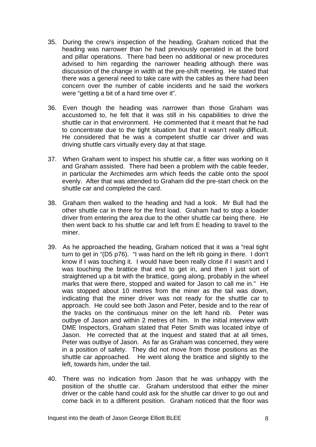- 35. During the crew's inspection of the heading, Graham noticed that the heading was narrower than he had previously operated in at the bord and pillar operations. There had been no additional or new procedures advised to him regarding the narrower heading although there was discussion of the change in width at the pre-shift meeting. He stated that there was a general need to take care with the cables as there had been concern over the number of cable incidents and he said the workers were "getting a bit of a hard time over it".
- 36. Even though the heading was narrower than those Graham was accustomed to, he felt that it was still in his capabilities to drive the shuttle car in that environment. He commented that it meant that he had to concentrate due to the tight situation but that it wasn't really difficult. He considered that he was a competent shuttle car driver and was driving shuttle cars virtually every day at that stage.
- 37. When Graham went to inspect his shuttle car, a fitter was working on it and Graham assisted. There had been a problem with the cable feeder, in particular the Archimedes arm which feeds the cable onto the spool evenly. After that was attended to Graham did the pre-start check on the shuttle car and completed the card.
- 38. Graham then walked to the heading and had a look. Mr Bull had the other shuttle car in there for the first load. Graham had to stop a loader driver from entering the area due to the other shuttle car being there. He then went back to his shuttle car and left from E heading to travel to the miner.
- 39. As he approached the heading, Graham noticed that it was a "real tight turn to get in "(D5 p76). "I was hard on the left rib going in there. I don't know if I was touching it. I would have been really close if I wasn't and I was touching the brattice that end to get in, and then I just sort of straightened up a bit with the brattice, going along, probably in the wheel marks that were there, stopped and waited for Jason to call me in." He was stopped about 10 metres from the miner as the tail was down, indicating that the miner driver was not ready for the shuttle car to approach. He could see both Jason and Peter, beside and to the rear of the tracks on the continuous miner on the left hand rib. Peter was outbye of Jason and within 2 metres of him. In the initial interview with DME Inspectors, Graham stated that Peter Smith was located inbye of Jason. He corrected that at the Inquest and stated that at all times, Peter was outbye of Jason. As far as Graham was concerned, they were in a position of safety. They did not move from those positions as the shuttle car approached. He went along the brattice and slightly to the left, towards him, under the tail.
- 40. There was no indication from Jason that he was unhappy with the position of the shuttle car. Graham understood that either the miner driver or the cable hand could ask for the shuttle car driver to go out and come back in to a different position. Graham noticed that the floor was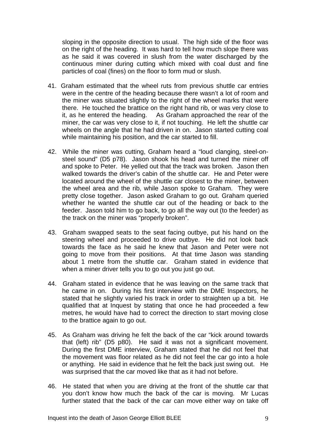sloping in the opposite direction to usual. The high side of the floor was on the right of the heading. It was hard to tell how much slope there was as he said it was covered in slush from the water discharged by the continuous miner during cutting which mixed with coal dust and fine particles of coal (fines) on the floor to form mud or slush.

- 41. Graham estimated that the wheel ruts from previous shuttle car entries were in the centre of the heading because there wasn't a lot of room and the miner was situated slightly to the right of the wheel marks that were there. He touched the brattice on the right hand rib, or was very close to it, as he entered the heading. As Graham approached the rear of the miner, the car was very close to it, if not touching. He left the shuttle car wheels on the angle that he had driven in on. Jason started cutting coal while maintaining his position, and the car started to fill.
- 42. While the miner was cutting, Graham heard a "loud clanging, steel-onsteel sound" (D5 p78). Jason shook his head and turned the miner off and spoke to Peter. He yelled out that the track was broken. Jason then walked towards the driver's cabin of the shuttle car. He and Peter were located around the wheel of the shuttle car closest to the miner, between the wheel area and the rib, while Jason spoke to Graham. They were pretty close together. Jason asked Graham to go out. Graham queried whether he wanted the shuttle car out of the heading or back to the feeder. Jason told him to go back, to go all the way out (to the feeder) as the track on the miner was "properly broken".
- 43. Graham swapped seats to the seat facing outbye, put his hand on the steering wheel and proceeded to drive outbye. He did not look back towards the face as he said he knew that Jason and Peter were not going to move from their positions. At that time Jason was standing about 1 metre from the shuttle car. Graham stated in evidence that when a miner driver tells you to go out you just go out.
- 44. Graham stated in evidence that he was leaving on the same track that he came in on. During his first interview with the DME Inspectors, he stated that he slightly varied his track in order to straighten up a bit. He qualified that at Inquest by stating that once he had proceeded a few metres, he would have had to correct the direction to start moving close to the brattice again to go out.
- 45. As Graham was driving he felt the back of the car "kick around towards that (left) rib" (D5 p80). He said it was not a significant movement. During the first DME interview, Graham stated that he did not feel that the movement was floor related as he did not feel the car go into a hole or anything. He said in evidence that he felt the back just swing out. He was surprised that the car moved like that as it had not before.
- 46. He stated that when you are driving at the front of the shuttle car that you don't know how much the back of the car is moving. Mr Lucas further stated that the back of the car can move either way on take off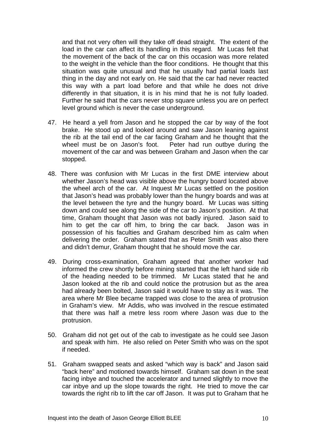and that not very often will they take off dead straight. The extent of the load in the car can affect its handling in this regard. Mr Lucas felt that the movement of the back of the car on this occasion was more related to the weight in the vehicle than the floor conditions. He thought that this situation was quite unusual and that he usually had partial loads last thing in the day and not early on. He said that the car had never reacted this way with a part load before and that while he does not drive differently in that situation, it is in his mind that he is not fully loaded. Further he said that the cars never stop square unless you are on perfect level ground which is never the case underground.

- 47. He heard a yell from Jason and he stopped the car by way of the foot brake. He stood up and looked around and saw Jason leaning against the rib at the tail end of the car facing Graham and he thought that the wheel must be on Jason's foot. Peter had run outbye during the movement of the car and was between Graham and Jason when the car stopped.
- 48. There was confusion with Mr Lucas in the first DME interview about whether Jason's head was visible above the hungry board located above the wheel arch of the car. At Inquest Mr Lucas settled on the position that Jason's head was probably lower than the hungry boards and was at the level between the tyre and the hungry board. Mr Lucas was sitting down and could see along the side of the car to Jason's position. At that time, Graham thought that Jason was not badly injured. Jason said to him to get the car off him, to bring the car back. Jason was in possession of his faculties and Graham described him as calm when delivering the order. Graham stated that as Peter Smith was also there and didn't demur, Graham thought that he should move the car.
- 49. During cross-examination, Graham agreed that another worker had informed the crew shortly before mining started that the left hand side rib of the heading needed to be trimmed. Mr Lucas stated that he and Jason looked at the rib and could notice the protrusion but as the area had already been bolted, Jason said it would have to stay as it was. The area where Mr Blee became trapped was close to the area of protrusion in Graham's view. Mr Addis, who was involved in the rescue estimated that there was half a metre less room where Jason was due to the protrusion.
- 50. Graham did not get out of the cab to investigate as he could see Jason and speak with him. He also relied on Peter Smith who was on the spot if needed.
- 51. Graham swapped seats and asked "which way is back" and Jason said "back here" and motioned towards himself. Graham sat down in the seat facing inbye and touched the accelerator and turned slightly to move the car inbye and up the slope towards the right. He tried to move the car towards the right rib to lift the car off Jason. It was put to Graham that he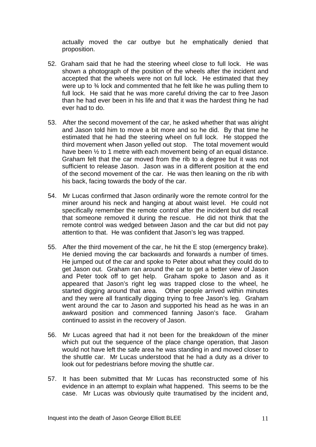actually moved the car outbye but he emphatically denied that proposition.

- 52. Graham said that he had the steering wheel close to full lock. He was shown a photograph of the position of the wheels after the incident and accepted that the wheels were not on full lock. He estimated that they were up to <sup>3</sup>/4 lock and commented that he felt like he was pulling them to full lock. He said that he was more careful driving the car to free Jason than he had ever been in his life and that it was the hardest thing he had ever had to do.
- 53. After the second movement of the car, he asked whether that was alright and Jason told him to move a bit more and so he did. By that time he estimated that he had the steering wheel on full lock. He stopped the third movement when Jason yelled out stop. The total movement would have been  $\frac{1}{2}$  to 1 metre with each movement being of an equal distance. Graham felt that the car moved from the rib to a degree but it was not sufficient to release Jason. Jason was in a different position at the end of the second movement of the car. He was then leaning on the rib with his back, facing towards the body of the car.
- 54. Mr Lucas confirmed that Jason ordinarily wore the remote control for the miner around his neck and hanging at about waist level. He could not specifically remember the remote control after the incident but did recall that someone removed it during the rescue. He did not think that the remote control was wedged between Jason and the car but did not pay attention to that. He was confident that Jason's leg was trapped.
- 55. After the third movement of the car, he hit the E stop (emergency brake). He denied moving the car backwards and forwards a number of times. He jumped out of the car and spoke to Peter about what they could do to get Jason out. Graham ran around the car to get a better view of Jason and Peter took off to get help. Graham spoke to Jason and as it appeared that Jason's right leg was trapped close to the wheel, he started digging around that area. Other people arrived within minutes and they were all frantically digging trying to free Jason's leg. Graham went around the car to Jason and supported his head as he was in an awkward position and commenced fanning Jason's face. Graham continued to assist in the recovery of Jason.
- 56. Mr Lucas agreed that had it not been for the breakdown of the miner which put out the sequence of the place change operation, that Jason would not have left the safe area he was standing in and moved closer to the shuttle car. Mr Lucas understood that he had a duty as a driver to look out for pedestrians before moving the shuttle car.
- 57. It has been submitted that Mr Lucas has reconstructed some of his evidence in an attempt to explain what happened. This seems to be the case. Mr Lucas was obviously quite traumatised by the incident and,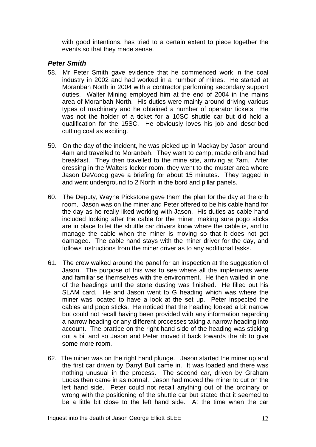with good intentions, has tried to a certain extent to piece together the events so that they made sense.

## *Peter Smith*

- 58. Mr Peter Smith gave evidence that he commenced work in the coal industry in 2002 and had worked in a number of mines. He started at Moranbah North in 2004 with a contractor performing secondary support duties. Walter Mining employed him at the end of 2004 in the mains area of Moranbah North. His duties were mainly around driving various types of machinery and he obtained a number of operator tickets. He was not the holder of a ticket for a 10SC shuttle car but did hold a qualification for the 15SC. He obviously loves his job and described cutting coal as exciting.
- 59. On the day of the incident, he was picked up in Mackay by Jason around 4am and travelled to Moranbah. They went to camp, made crib and had breakfast. They then travelled to the mine site, arriving at 7am. After dressing in the Walters locker room, they went to the muster area where Jason DeVoodg gave a briefing for about 15 minutes. They tagged in and went underground to 2 North in the bord and pillar panels.
- 60. The Deputy, Wayne Pickstone gave them the plan for the day at the crib room. Jason was on the miner and Peter offered to be his cable hand for the day as he really liked working with Jason. His duties as cable hand included looking after the cable for the miner, making sure pogo sticks are in place to let the shuttle car drivers know where the cable is, and to manage the cable when the miner is moving so that it does not get damaged. The cable hand stays with the miner driver for the day, and follows instructions from the miner driver as to any additional tasks.
- 61. The crew walked around the panel for an inspection at the suggestion of Jason. The purpose of this was to see where all the implements were and familiarise themselves with the environment. He then waited in one of the headings until the stone dusting was finished. He filled out his SLAM card. He and Jason went to G heading which was where the miner was located to have a look at the set up. Peter inspected the cables and pogo sticks. He noticed that the heading looked a bit narrow but could not recall having been provided with any information regarding a narrow heading or any different processes taking a narrow heading into account. The brattice on the right hand side of the heading was sticking out a bit and so Jason and Peter moved it back towards the rib to give some more room.
- 62. The miner was on the right hand plunge. Jason started the miner up and the first car driven by Darryl Bull came in. It was loaded and there was nothing unusual in the process. The second car, driven by Graham Lucas then came in as normal. Jason had moved the miner to cut on the left hand side. Peter could not recall anything out of the ordinary or wrong with the positioning of the shuttle car but stated that it seemed to be a little bit close to the left hand side. At the time when the car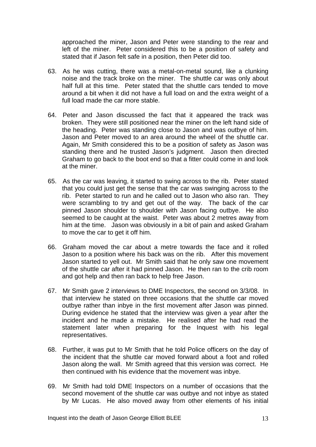approached the miner, Jason and Peter were standing to the rear and left of the miner. Peter considered this to be a position of safety and stated that if Jason felt safe in a position, then Peter did too.

- 63. As he was cutting, there was a metal-on-metal sound, like a clunking noise and the track broke on the miner. The shuttle car was only about half full at this time. Peter stated that the shuttle cars tended to move around a bit when it did not have a full load on and the extra weight of a full load made the car more stable.
- 64. Peter and Jason discussed the fact that it appeared the track was broken. They were still positioned near the miner on the left hand side of the heading. Peter was standing close to Jason and was outbye of him. Jason and Peter moved to an area around the wheel of the shuttle car. Again, Mr Smith considered this to be a position of safety as Jason was standing there and he trusted Jason's judgment. Jason then directed Graham to go back to the boot end so that a fitter could come in and look at the miner.
- 65. As the car was leaving, it started to swing across to the rib. Peter stated that you could just get the sense that the car was swinging across to the rib. Peter started to run and he called out to Jason who also ran. They were scrambling to try and get out of the way. The back of the car pinned Jason shoulder to shoulder with Jason facing outbye. He also seemed to be caught at the waist. Peter was about 2 metres away from him at the time. Jason was obviously in a bit of pain and asked Graham to move the car to get it off him.
- 66. Graham moved the car about a metre towards the face and it rolled Jason to a position where his back was on the rib. After this movement Jason started to yell out. Mr Smith said that he only saw one movement of the shuttle car after it had pinned Jason. He then ran to the crib room and got help and then ran back to help free Jason.
- 67. Mr Smith gave 2 interviews to DME Inspectors, the second on 3/3/08. In that interview he stated on three occasions that the shuttle car moved outbye rather than inbye in the first movement after Jason was pinned. During evidence he stated that the interview was given a year after the incident and he made a mistake. He realised after he had read the statement later when preparing for the Inquest with his legal representatives.
- 68. Further, it was put to Mr Smith that he told Police officers on the day of the incident that the shuttle car moved forward about a foot and rolled Jason along the wall. Mr Smith agreed that this version was correct. He then continued with his evidence that the movement was inbye.
- 69. Mr Smith had told DME Inspectors on a number of occasions that the second movement of the shuttle car was outbye and not inbye as stated by Mr Lucas. He also moved away from other elements of his initial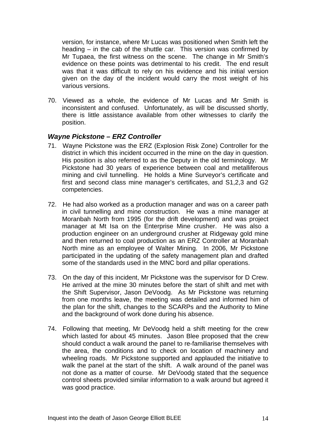version, for instance, where Mr Lucas was positioned when Smith left the heading – in the cab of the shuttle car. This version was confirmed by Mr Tupaea, the first witness on the scene. The change in Mr Smith's evidence on these points was detrimental to his credit. The end result was that it was difficult to rely on his evidence and his initial version given on the day of the incident would carry the most weight of his various versions.

70. Viewed as a whole, the evidence of Mr Lucas and Mr Smith is inconsistent and confused. Unfortunately, as will be discussed shortly, there is little assistance available from other witnesses to clarify the position.

## *Wayne Pickstone – ERZ Controller*

- 71. Wayne Pickstone was the ERZ (Explosion Risk Zone) Controller for the district in which this incident occurred in the mine on the day in question. His position is also referred to as the Deputy in the old terminology. Mr Pickstone had 30 years of experience between coal and metalliferous mining and civil tunnelling. He holds a Mine Surveyor's certificate and first and second class mine manager's certificates, and S1,2,3 and G2 competencies.
- 72. He had also worked as a production manager and was on a career path in civil tunnelling and mine construction. He was a mine manager at Moranbah North from 1995 (for the drift development) and was project manager at Mt Isa on the Enterprise Mine crusher. He was also a production engineer on an underground crusher at Ridgeway gold mine and then returned to coal production as an ERZ Controller at Moranbah North mine as an employee of Walter Mining. In 2006, Mr Pickstone participated in the updating of the safety management plan and drafted some of the standards used in the MNC bord and pillar operations.
- 73. On the day of this incident, Mr Pickstone was the supervisor for D Crew. He arrived at the mine 30 minutes before the start of shift and met with the Shift Supervisor, Jason DeVoodg. As Mr Pickstone was returning from one months leave, the meeting was detailed and informed him of the plan for the shift, changes to the SCARPs and the Authority to Mine and the background of work done during his absence.
- 74. Following that meeting, Mr DeVoodg held a shift meeting for the crew which lasted for about 45 minutes. Jason Blee proposed that the crew should conduct a walk around the panel to re-familiarise themselves with the area, the conditions and to check on location of machinery and wheeling roads. Mr Pickstone supported and applauded the initiative to walk the panel at the start of the shift. A walk around of the panel was not done as a matter of course. Mr DeVoodg stated that the sequence control sheets provided similar information to a walk around but agreed it was good practice.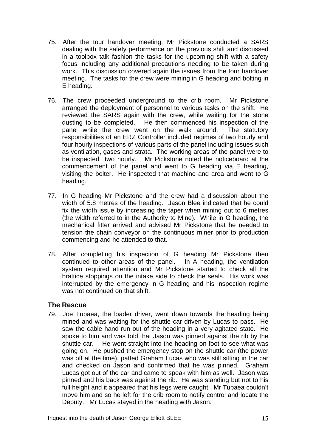- 75. After the tour handover meeting, Mr Pickstone conducted a SARS dealing with the safety performance on the previous shift and discussed in a toolbox talk fashion the tasks for the upcoming shift with a safety focus including any additional precautions needing to be taken during work. This discussion covered again the issues from the tour handover meeting. The tasks for the crew were mining in G heading and bolting in E heading.
- 76. The crew proceeded underground to the crib room. Mr Pickstone arranged the deployment of personnel to various tasks on the shift. He reviewed the SARS again with the crew, while waiting for the stone dusting to be completed. He then commenced his inspection of the panel while the crew went on the walk around. The statutory responsibilities of an ERZ Controller included regimes of two hourly and four hourly inspections of various parts of the panel including issues such as ventilation, gases and strata. The working areas of the panel were to be inspected two hourly. Mr Pickstone noted the noticeboard at the commencement of the panel and went to G heading via E heading, visiting the bolter. He inspected that machine and area and went to G heading.
- 77. In G heading Mr Pickstone and the crew had a discussion about the width of 5.8 metres of the heading. Jason Blee indicated that he could fix the width issue by increasing the taper when mining out to 6 metres (the width referred to in the Authority to Mine). While in G heading, the mechanical fitter arrived and advised Mr Pickstone that he needed to tension the chain conveyor on the continuous miner prior to production commencing and he attended to that.
- 78. After completing his inspection of G heading Mr Pickstone then continued to other areas of the panel. In A heading, the ventilation system required attention and Mr Pickstone started to check all the brattice stoppings on the intake side to check the seals. His work was interrupted by the emergency in G heading and his inspection regime was not continued on that shift.

# **The Rescue**

79. Joe Tupaea, the loader driver, went down towards the heading being mined and was waiting for the shuttle car driven by Lucas to pass. He saw the cable hand run out of the heading in a very agitated state. He spoke to him and was told that Jason was pinned against the rib by the shuttle car. He went straight into the heading on foot to see what was going on. He pushed the emergency stop on the shuttle car (the power was off at the time), patted Graham Lucas who was still sitting in the car and checked on Jason and confirmed that he was pinned. Graham Lucas got out of the car and came to speak with him as well. Jason was pinned and his back was against the rib. He was standing but not to his full height and it appeared that his legs were caught. Mr Tupaea couldn't move him and so he left for the crib room to notify control and locate the Deputy. Mr Lucas stayed in the heading with Jason.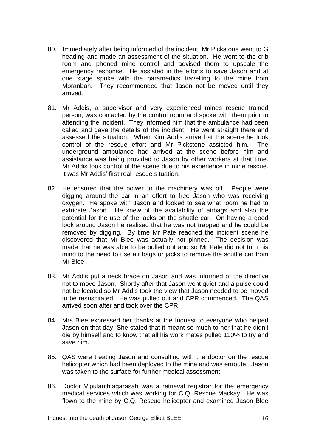- 80. Immediately after being informed of the incident, Mr Pickstone went to G heading and made an assessment of the situation. He went to the crib room and phoned mine control and advised them to upscale the emergency response. He assisted in the efforts to save Jason and at one stage spoke with the paramedics travelling to the mine from Moranbah. They recommended that Jason not be moved until they arrived.
- 81. Mr Addis, a supervisor and very experienced mines rescue trained person, was contacted by the control room and spoke with them prior to attending the incident. They informed him that the ambulance had been called and gave the details of the incident. He went straight there and assessed the situation. When Kim Addis arrived at the scene he took control of the rescue effort and Mr Pickstone assisted him. The underground ambulance had arrived at the scene before him and assistance was being provided to Jason by other workers at that time. Mr Addis took control of the scene due to his experience in mine rescue. It was Mr Addis' first real rescue situation.
- 82. He ensured that the power to the machinery was off. People were digging around the car in an effort to free Jason who was receiving oxygen. He spoke with Jason and looked to see what room he had to extricate Jason. He knew of the availability of airbags and also the potential for the use of the jacks on the shuttle car. On having a good look around Jason he realised that he was not trapped and he could be removed by digging. By time Mr Pate reached the incident scene he discovered that Mr Blee was actually not pinned. The decision was made that he was able to be pulled out and so Mr Pate did not turn his mind to the need to use air bags or jacks to remove the scuttle car from Mr Blee.
- 83. Mr Addis put a neck brace on Jason and was informed of the directive not to move Jason. Shortly after that Jason went quiet and a pulse could not be located so Mr Addis took the view that Jason needed to be moved to be resuscitated. He was pulled out and CPR commenced. The QAS arrived soon after and took over the CPR.
- 84. Mrs Blee expressed her thanks at the Inquest to everyone who helped Jason on that day. She stated that it meant so much to her that he didn't die by himself and to know that all his work mates pulled 110% to try and save him.
- 85. QAS were treating Jason and consulting with the doctor on the rescue helicopter which had been deployed to the mine and was enroute. Jason was taken to the surface for further medical assessment.
- 86. Doctor Vipulanthiagarasah was a retrieval registrar for the emergency medical services which was working for C.Q. Rescue Mackay. He was flown to the mine by C.Q. Rescue helicopter and examined Jason Blee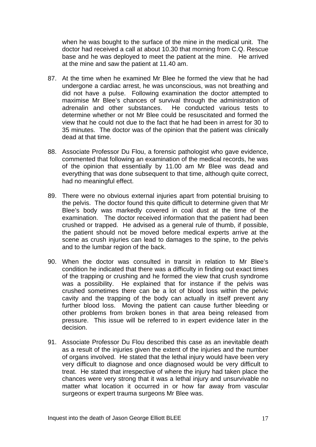when he was bought to the surface of the mine in the medical unit. The doctor had received a call at about 10.30 that morning from C.Q. Rescue base and he was deployed to meet the patient at the mine. He arrived at the mine and saw the patient at 11.40 am.

- 87. At the time when he examined Mr Blee he formed the view that he had undergone a cardiac arrest, he was unconscious, was not breathing and did not have a pulse. Following examination the doctor attempted to maximise Mr Blee's chances of survival through the administration of adrenalin and other substances. He conducted various tests to determine whether or not Mr Blee could be resuscitated and formed the view that he could not due to the fact that he had been in arrest for 30 to 35 minutes. The doctor was of the opinion that the patient was clinically dead at that time.
- 88. Associate Professor Du Flou, a forensic pathologist who gave evidence, commented that following an examination of the medical records, he was of the opinion that essentially by 11.00 am Mr Blee was dead and everything that was done subsequent to that time, although quite correct, had no meaningful effect.
- 89. There were no obvious external injuries apart from potential bruising to the pelvis. The doctor found this quite difficult to determine given that Mr Blee's body was markedly covered in coal dust at the time of the examination. The doctor received information that the patient had been crushed or trapped. He advised as a general rule of thumb, if possible, the patient should not be moved before medical experts arrive at the scene as crush injuries can lead to damages to the spine, to the pelvis and to the lumbar region of the back.
- 90. When the doctor was consulted in transit in relation to Mr Blee's condition he indicated that there was a difficulty in finding out exact times of the trapping or crushing and he formed the view that crush syndrome was a possibility. He explained that for instance if the pelvis was crushed sometimes there can be a lot of blood loss within the pelvic cavity and the trapping of the body can actually in itself prevent any further blood loss. Moving the patient can cause further bleeding or other problems from broken bones in that area being released from pressure. This issue will be referred to in expert evidence later in the decision.
- 91. Associate Professor Du Flou described this case as an inevitable death as a result of the injuries given the extent of the injuries and the number of organs involved. He stated that the lethal injury would have been very very difficult to diagnose and once diagnosed would be very difficult to treat. He stated that irrespective of where the injury had taken place the chances were very strong that it was a lethal injury and unsurvivable no matter what location it occurred in or how far away from vascular surgeons or expert trauma surgeons Mr Blee was.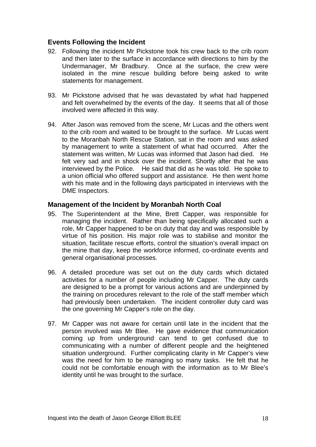## **Events Following the Incident**

- 92. Following the incident Mr Pickstone took his crew back to the crib room and then later to the surface in accordance with directions to him by the Undermanager, Mr Bradbury. Once at the surface, the crew were isolated in the mine rescue building before being asked to write statements for management.
- 93. Mr Pickstone advised that he was devastated by what had happened and felt overwhelmed by the events of the day. It seems that all of those involved were affected in this way.
- 94. After Jason was removed from the scene, Mr Lucas and the others went to the crib room and waited to be brought to the surface. Mr Lucas went to the Moranbah North Rescue Station, sat in the room and was asked by management to write a statement of what had occurred. After the statement was written, Mr Lucas was informed that Jason had died. He felt very sad and in shock over the incident. Shortly after that he was interviewed by the Police. He said that did as he was told. He spoke to a union official who offered support and assistance. He then went home with his mate and in the following days participated in interviews with the DME Inspectors.

#### **Management of the Incident by Moranbah North Coal**

- 95. The Superintendent at the Mine, Brett Capper, was responsible for managing the incident. Rather than being specifically allocated such a role, Mr Capper happened to be on duty that day and was responsible by virtue of his position. His major role was to stabilise and monitor the situation, facilitate rescue efforts, control the situation's overall impact on the mine that day, keep the workforce informed, co-ordinate events and general organisational processes.
- 96. A detailed procedure was set out on the duty cards which dictated activities for a number of people including Mr Capper. The duty cards are designed to be a prompt for various actions and are underpinned by the training on procedures relevant to the role of the staff member which had previously been undertaken. The incident controller duty card was the one governing Mr Capper's role on the day.
- 97. Mr Capper was not aware for certain until late in the incident that the person involved was Mr Blee. He gave evidence that communication coming up from underground can tend to get confused due to communicating with a number of different people and the heightened situation underground. Further complicating clarity in Mr Capper's view was the need for him to be managing so many tasks. He felt that he could not be comfortable enough with the information as to Mr Blee's identity until he was brought to the surface.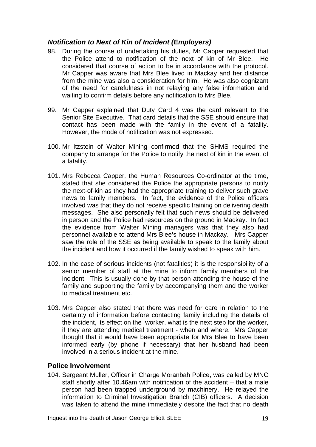# *Notification to Next of Kin of Incident (Employers)*

- 98. During the course of undertaking his duties, Mr Capper requested that the Police attend to notification of the next of kin of Mr Blee. He considered that course of action to be in accordance with the protocol. Mr Capper was aware that Mrs Blee lived in Mackay and her distance from the mine was also a consideration for him. He was also cognizant of the need for carefulness in not relaying any false information and waiting to confirm details before any notification to Mrs Blee.
- 99. Mr Capper explained that Duty Card 4 was the card relevant to the Senior Site Executive. That card details that the SSE should ensure that contact has been made with the family in the event of a fatality. However, the mode of notification was not expressed.
- 100. Mr Itzstein of Walter Mining confirmed that the SHMS required the company to arrange for the Police to notify the next of kin in the event of a fatality.
- 101. Mrs Rebecca Capper, the Human Resources Co-ordinator at the time, stated that she considered the Police the appropriate persons to notify the next-of-kin as they had the appropriate training to deliver such grave news to family members. In fact, the evidence of the Police officers involved was that they do not receive specific training on delivering death messages. She also personally felt that such news should be delivered in person and the Police had resources on the ground in Mackay. In fact the evidence from Walter Mining managers was that they also had personnel available to attend Mrs Blee's house in Mackay. Mrs Capper saw the role of the SSE as being available to speak to the family about the incident and how it occurred if the family wished to speak with him.
- 102. In the case of serious incidents (not fatalities) it is the responsibility of a senior member of staff at the mine to inform family members of the incident. This is usually done by that person attending the house of the family and supporting the family by accompanying them and the worker to medical treatment etc.
- 103. Mrs Capper also stated that there was need for care in relation to the certainty of information before contacting family including the details of the incident, its effect on the worker, what is the next step for the worker, if they are attending medical treatment - when and where. Mrs Capper thought that it would have been appropriate for Mrs Blee to have been informed early (by phone if necessary) that her husband had been involved in a serious incident at the mine.

# **Police Involvement**

104. Sergeant Muller, Officer in Charge Moranbah Police, was called by MNC staff shortly after 10.46am with notification of the accident – that a male person had been trapped underground by machinery. He relayed the information to Criminal Investigation Branch (CIB) officers. A decision was taken to attend the mine immediately despite the fact that no death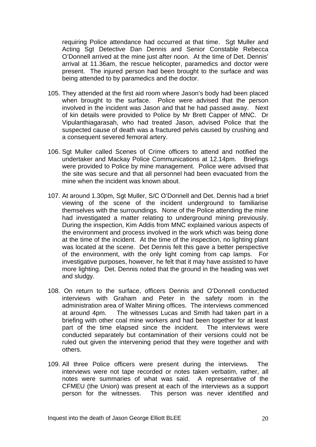requiring Police attendance had occurred at that time. Sgt Muller and Acting Sgt Detective Dan Dennis and Senior Constable Rebecca O'Donnell arrived at the mine just after noon. At the time of Det. Dennis' arrival at 11.36am, the rescue helicopter, paramedics and doctor were present. The injured person had been brought to the surface and was being attended to by paramedics and the doctor.

- 105. They attended at the first aid room where Jason's body had been placed when brought to the surface. Police were advised that the person involved in the incident was Jason and that he had passed away. Next of kin details were provided to Police by Mr Brett Capper of MNC. Dr Vipulanthiagarasah, who had treated Jason, advised Police that the suspected cause of death was a fractured pelvis caused by crushing and a consequent severed femoral artery.
- 106. Sgt Muller called Scenes of Crime officers to attend and notified the undertaker and Mackay Police Communications at 12.14pm. Briefings were provided to Police by mine management. Police were advised that the site was secure and that all personnel had been evacuated from the mine when the incident was known about.
- 107. At around 1.30pm, Sgt Muller, S/C O'Donnell and Det. Dennis had a brief viewing of the scene of the incident underground to familiarise themselves with the surroundings. None of the Police attending the mine had investigated a matter relating to underground mining previously. During the inspection, Kim Addis from MNC explained various aspects of the environment and process involved in the work which was being done at the time of the incident. At the time of the inspection, no lighting plant was located at the scene. Det Dennis felt this gave a better perspective of the environment, with the only light coming from cap lamps. For investigative purposes, however, he felt that it may have assisted to have more lighting. Det. Dennis noted that the ground in the heading was wet and sludgy.
- 108. On return to the surface, officers Dennis and O'Donnell conducted interviews with Graham and Peter in the safety room in the administration area of Walter Mining offices. The interviews commenced at around 4pm. The witnesses Lucas and Smith had taken part in a briefing with other coal mine workers and had been together for at least part of the time elapsed since the incident. The interviews were conducted separately but contamination of their versions could not be ruled out given the intervening period that they were together and with others.
- 109. All three Police officers were present during the interviews. The interviews were not tape recorded or notes taken verbatim, rather, all notes were summaries of what was said. A representative of the CFMEU (the Union) was present at each of the interviews as a support person for the witnesses. This person was never identified and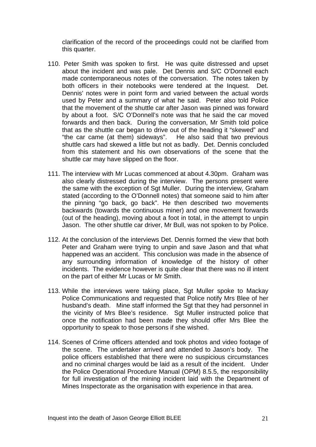clarification of the record of the proceedings could not be clarified from this quarter.

- 110. Peter Smith was spoken to first. He was quite distressed and upset about the incident and was pale. Det Dennis and S/C O'Donnell each made contemporaneous notes of the conversation. The notes taken by both officers in their notebooks were tendered at the Inquest. Det. Dennis' notes were in point form and varied between the actual words used by Peter and a summary of what he said. Peter also told Police that the movement of the shuttle car after Jason was pinned was forward by about a foot. S/C O'Donnell's note was that he said the car moved forwards and then back. During the conversation, Mr Smith told police that as the shuttle car began to drive out of the heading it "skewed" and "the car came (at them) sideways". He also said that two previous shuttle cars had skewed a little but not as badly. Det. Dennis concluded from this statement and his own observations of the scene that the shuttle car may have slipped on the floor.
- 111. The interview with Mr Lucas commenced at about 4.30pm. Graham was also clearly distressed during the interview. The persons present were the same with the exception of Sgt Muller. During the interview, Graham stated (according to the O'Donnell notes) that someone said to him after the pinning "go back, go back". He then described two movements backwards (towards the continuous miner) and one movement forwards (out of the heading), moving about a foot in total, in the attempt to unpin Jason. The other shuttle car driver, Mr Bull, was not spoken to by Police.
- 112. At the conclusion of the interviews Det. Dennis formed the view that both Peter and Graham were trying to unpin and save Jason and that what happened was an accident. This conclusion was made in the absence of any surrounding information of knowledge of the history of other incidents. The evidence however is quite clear that there was no ill intent on the part of either Mr Lucas or Mr Smith.
- 113. While the interviews were taking place, Sgt Muller spoke to Mackay Police Communications and requested that Police notify Mrs Blee of her husband's death. Mine staff informed the Sqt that they had personnel in the vicinity of Mrs Blee's residence. Sgt Muller instructed police that once the notification had been made they should offer Mrs Blee the opportunity to speak to those persons if she wished.
- 114. Scenes of Crime officers attended and took photos and video footage of the scene. The undertaker arrived and attended to Jason's body. The police officers established that there were no suspicious circumstances and no criminal charges would be laid as a result of the incident. Under the Police Operational Procedure Manual (OPM) 8.5.5, the responsibility for full investigation of the mining incident laid with the Department of Mines Inspectorate as the organisation with experience in that area.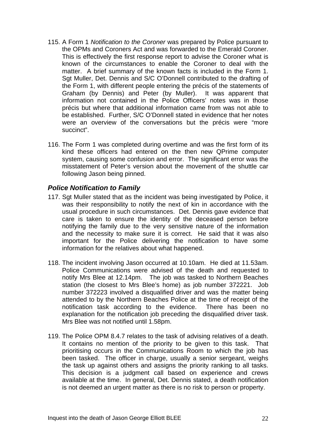- 115. A Form 1 *Notification to the Coroner* was prepared by Police pursuant to the OPMs and Coroners Act and was forwarded to the Emerald Coroner. This is effectively the first response report to advise the Coroner what is known of the circumstances to enable the Coroner to deal with the matter. A brief summary of the known facts is included in the Form 1. Sgt Muller, Det. Dennis and S/C O'Donnell contributed to the drafting of the Form 1, with different people entering the précis of the statements of Graham (by Dennis) and Peter (by Muller). It was apparent that information not contained in the Police Officers' notes was in those précis but where that additional information came from was not able to be established. Further, S/C O'Donnell stated in evidence that her notes were an overview of the conversations but the précis were "more succinct".
- 116. The Form 1 was completed during overtime and was the first form of its kind these officers had entered on the then new QPrime computer system, causing some confusion and error. The significant error was the misstatement of Peter's version about the movement of the shuttle car following Jason being pinned.

## *Police Notification to Family*

- 117. Sgt Muller stated that as the incident was being investigated by Police, it was their responsibility to notify the next of kin in accordance with the usual procedure in such circumstances. Det. Dennis gave evidence that care is taken to ensure the identity of the deceased person before notifying the family due to the very sensitive nature of the information and the necessity to make sure it is correct. He said that it was also important for the Police delivering the notification to have some information for the relatives about what happened.
- 118. The incident involving Jason occurred at 10.10am. He died at 11.53am. Police Communications were advised of the death and requested to notify Mrs Blee at 12.14pm. The job was tasked to Northern Beaches station (the closest to Mrs Blee's home) as job number 372221. Job number 372223 involved a disqualified driver and was the matter being attended to by the Northern Beaches Police at the time of receipt of the notification task according to the evidence. There has been no explanation for the notification job preceding the disqualified driver task. Mrs Blee was not notified until 1.58pm.
- 119. The Police OPM 8.4.7 relates to the task of advising relatives of a death. It contains no mention of the priority to be given to this task. That prioritising occurs in the Communications Room to which the job has been tasked. The officer in charge, usually a senior sergeant, weighs the task up against others and assigns the priority ranking to all tasks. This decision is a judgment call based on experience and crews available at the time. In general, Det. Dennis stated, a death notification is not deemed an urgent matter as there is no risk to person or property.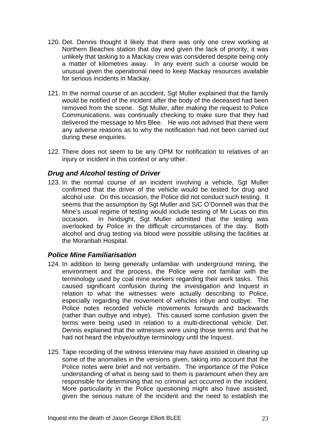- 120. Det. Dennis thought it likely that there was only one crew working at Northern Beaches station that day and given the lack of priority, it was unlikely that tasking to a Mackay crew was considered despite being only a matter of kilometres away. In any event such a course would be unusual given the operational need to keep Mackay resources available for serious incidents in Mackay.
- 121. In the normal course of an accident, Sgt Muller explained that the family would be notified of the incident after the body of the deceased had been removed from the scene. Sgt Muller, after making the request to Police Communications, was continually checking to make sure that they had delivered the message to Mrs Blee. He was not advised that there were any adverse reasons as to why the notification had not been carried out during these enquiries.
- 122. There does not seem to be any OPM for notification to relatives of an injury or incident in this context or any other.

# *Drug and Alcohol testing of Driver*

123. In the normal course of an incident involving a vehicle, Sgt Muller confirmed that the driver of the vehicle would be tested for drug and alcohol use. On this occasion, the Police did not conduct such testing. It seems that the assumption by Sgt Muller and S/C O'Donnell was that the Mine's usual regime of testing would include testing of Mr Lucas on this occasion. In hindsight, Sgt Muller admitted that the testing was overlooked by Police in the difficult circumstances of the day. Both alcohol and drug testing via blood were possible utilising the facilities at the Moranbah Hospital.

#### *Police Mine Familiarisation*

- 124. In addition to being generally unfamiliar with underground mining, the environment and the process, the Police were not familiar with the terminology used by coal mine workers regarding their work tasks. This caused significant confusion during the investigation and Inquest in relation to what the witnesses were actually describing to Police, especially regarding the movement of vehicles inbye and outbye. The Police notes recorded vehicle movements forwards and backwards (rather than outbye and inbye). This caused some confusion given the terms were being used in relation to a multi-directional vehicle. Det. Dennis explained that the witnesses were using those terms and that he had not heard the inbye/outbye terminology until the Inquest.
- 125. Tape recording of the witness interview may have assisted in clearing up some of the anomalies in the versions given, taking into account that the Police notes were brief and not verbatim. The importance of the Police understanding of what is being said to them is paramount when they are responsible for determining that no criminal act occurred in the incident. More particularity in the Police questioning might also have assisted, given the serious nature of the incident and the need to establish the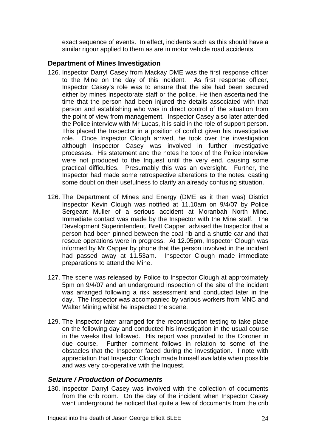exact sequence of events. In effect, incidents such as this should have a similar rigour applied to them as are in motor vehicle road accidents.

#### **Department of Mines Investigation**

- 126. Inspector Darryl Casey from Mackay DME was the first response officer to the Mine on the day of this incident. As first response officer, Inspector Casey's role was to ensure that the site had been secured either by mines inspectorate staff or the police. He then ascertained the time that the person had been injured the details associated with that person and establishing who was in direct control of the situation from the point of view from management. Inspector Casey also later attended the Police interview with Mr Lucas, it is said in the role of support person. This placed the Inspector in a position of conflict given his investigative role. Once Inspector Clough arrived, he took over the investigation although Inspector Casey was involved in further investigative processes. His statement and the notes he took of the Police interview were not produced to the Inquest until the very end, causing some practical difficulties. Presumably this was an oversight. Further, the Inspector had made some retrospective alterations to the notes, casting some doubt on their usefulness to clarify an already confusing situation.
- 126. The Department of Mines and Energy (DME as it then was) District Inspector Kevin Clough was notified at 11.10am on 9/4/07 by Police Sergeant Muller of a serious accident at Moranbah North Mine. Immediate contact was made by the Inspector with the Mine staff. The Development Superintendent, Brett Capper, advised the Inspector that a person had been pinned between the coal rib and a shuttle car and that rescue operations were in progress. At 12.05pm, Inspector Clough was informed by Mr Capper by phone that the person involved in the incident had passed away at 11.53am. Inspector Clough made immediate preparations to attend the Mine.
- 127. The scene was released by Police to Inspector Clough at approximately 5pm on 9/4/07 and an underground inspection of the site of the incident was arranged following a risk assessment and conducted later in the day. The Inspector was accompanied by various workers from MNC and Walter Mining whilst he inspected the scene.
- 129. The Inspector later arranged for the reconstruction testing to take place on the following day and conducted his investigation in the usual course in the weeks that followed. His report was provided to the Coroner in due course. Further comment follows in relation to some of the obstacles that the Inspector faced during the investigation. I note with appreciation that Inspector Clough made himself available when possible and was very co-operative with the Inquest.

#### *Seizure / Production of Documents*

130. Inspector Darryl Casey was involved with the collection of documents from the crib room. On the day of the incident when Inspector Casey went underground he noticed that quite a few of documents from the crib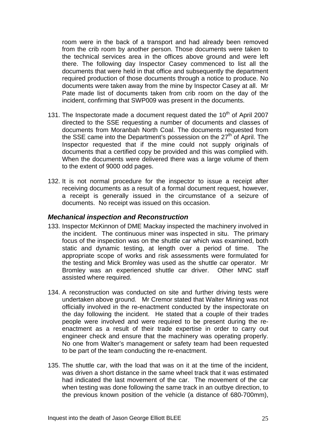room were in the back of a transport and had already been removed from the crib room by another person. Those documents were taken to the technical services area in the offices above ground and were left there. The following day Inspector Casey commenced to list all the documents that were held in that office and subsequently the department required production of those documents through a notice to produce. No documents were taken away from the mine by Inspector Casey at all. Mr Pate made list of documents taken from crib room on the day of the incident, confirming that SWP009 was present in the documents.

- 131. The Inspectorate made a document request dated the  $10<sup>th</sup>$  of April 2007 directed to the SSE requesting a number of documents and classes of documents from Moranbah North Coal. The documents requested from the SSE came into the Department's possession on the  $27<sup>th</sup>$  of April. The Inspector requested that if the mine could not supply originals of documents that a certified copy be provided and this was complied with. When the documents were delivered there was a large volume of them to the extent of 9000 odd pages.
- 132. It is not normal procedure for the inspector to issue a receipt after receiving documents as a result of a formal document request, however, a receipt is generally issued in the circumstance of a seizure of documents. No receipt was issued on this occasion.

#### *Mechanical inspection and Reconstruction*

- 133. Inspector McKinnon of DME Mackay inspected the machinery involved in the incident. The continuous miner was inspected in situ. The primary focus of the inspection was on the shuttle car which was examined, both static and dynamic testing, at length over a period of time. The appropriate scope of works and risk assessments were formulated for the testing and Mick Bromley was used as the shuttle car operator. Mr Bromley was an experienced shuttle car driver. Other MNC staff assisted where required.
- 134. A reconstruction was conducted on site and further driving tests were undertaken above ground. Mr Cremor stated that Walter Mining was not officially involved in the re-enactment conducted by the inspectorate on the day following the incident. He stated that a couple of their trades people were involved and were required to be present during the reenactment as a result of their trade expertise in order to carry out engineer check and ensure that the machinery was operating properly. No one from Walter's management or safety team had been requested to be part of the team conducting the re-enactment.
- 135. The shuttle car, with the load that was on it at the time of the incident, was driven a short distance in the same wheel track that it was estimated had indicated the last movement of the car. The movement of the car when testing was done following the same track in an outbye direction, to the previous known position of the vehicle (a distance of 680-700mm),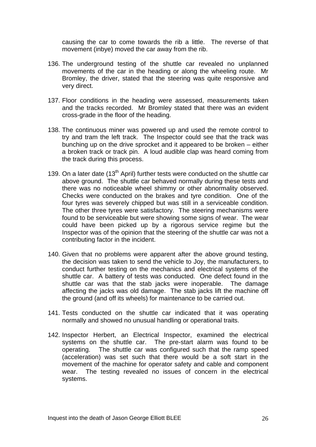causing the car to come towards the rib a little. The reverse of that movement (inbye) moved the car away from the rib.

- 136. The underground testing of the shuttle car revealed no unplanned movements of the car in the heading or along the wheeling route. Mr Bromley, the driver, stated that the steering was quite responsive and very direct.
- 137. Floor conditions in the heading were assessed, measurements taken and the tracks recorded. Mr Bromley stated that there was an evident cross-grade in the floor of the heading.
- 138. The continuous miner was powered up and used the remote control to try and tram the left track. The Inspector could see that the track was bunching up on the drive sprocket and it appeared to be broken – either a broken track or track pin. A loud audible clap was heard coming from the track during this process.
- 139. On a later date (13<sup>th</sup> April) further tests were conducted on the shuttle car above ground. The shuttle car behaved normally during these tests and there was no noticeable wheel shimmy or other abnormality observed. Checks were conducted on the brakes and tyre condition. One of the four tyres was severely chipped but was still in a serviceable condition. The other three tyres were satisfactory. The steering mechanisms were found to be serviceable but were showing some signs of wear. The wear could have been picked up by a rigorous service regime but the Inspector was of the opinion that the steering of the shuttle car was not a contributing factor in the incident.
- 140. Given that no problems were apparent after the above ground testing, the decision was taken to send the vehicle to Joy, the manufacturers, to conduct further testing on the mechanics and electrical systems of the shuttle car. A battery of tests was conducted. One defect found in the shuttle car was that the stab jacks were inoperable. The damage affecting the jacks was old damage. The stab jacks lift the machine off the ground (and off its wheels) for maintenance to be carried out.
- 141. Tests conducted on the shuttle car indicated that it was operating normally and showed no unusual handling or operational traits.
- 142. Inspector Herbert, an Electrical Inspector, examined the electrical systems on the shuttle car. The pre-start alarm was found to be operating. The shuttle car was configured such that the ramp speed (acceleration) was set such that there would be a soft start in the movement of the machine for operator safety and cable and component wear. The testing revealed no issues of concern in the electrical systems.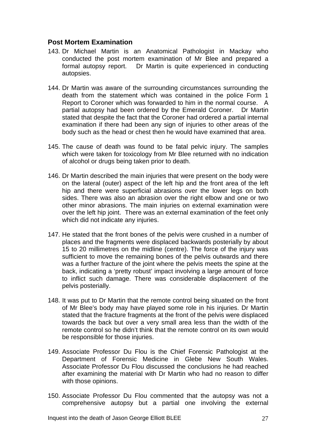## **Post Mortem Examination**

- 143. Dr Michael Martin is an Anatomical Pathologist in Mackay who conducted the post mortem examination of Mr Blee and prepared a formal autopsy report. Dr Martin is quite experienced in conducting autopsies.
- 144. Dr Martin was aware of the surrounding circumstances surrounding the death from the statement which was contained in the police Form 1 Report to Coroner which was forwarded to him in the normal course. A partial autopsy had been ordered by the Emerald Coroner. Dr Martin stated that despite the fact that the Coroner had ordered a partial internal examination if there had been any sign of injuries to other areas of the body such as the head or chest then he would have examined that area.
- 145. The cause of death was found to be fatal pelvic injury. The samples which were taken for toxicology from Mr Blee returned with no indication of alcohol or drugs being taken prior to death.
- 146. Dr Martin described the main injuries that were present on the body were on the lateral (outer) aspect of the left hip and the front area of the left hip and there were superficial abrasions over the lower legs on both sides. There was also an abrasion over the right elbow and one or two other minor abrasions. The main injuries on external examination were over the left hip joint. There was an external examination of the feet only which did not indicate any injuries.
- 147. He stated that the front bones of the pelvis were crushed in a number of places and the fragments were displaced backwards posterially by about 15 to 20 millimetres on the midline (centre). The force of the injury was sufficient to move the remaining bones of the pelvis outwards and there was a further fracture of the joint where the pelvis meets the spine at the back, indicating a 'pretty robust' impact involving a large amount of force to inflict such damage. There was considerable displacement of the pelvis posterially.
- 148. It was put to Dr Martin that the remote control being situated on the front of Mr Blee's body may have played some role in his injuries. Dr Martin stated that the fracture fragments at the front of the pelvis were displaced towards the back but over a very small area less than the width of the remote control so he didn't think that the remote control on its own would be responsible for those injuries.
- 149. Associate Professor Du Flou is the Chief Forensic Pathologist at the Department of Forensic Medicine in Glebe New South Wales. Associate Professor Du Flou discussed the conclusions he had reached after examining the material with Dr Martin who had no reason to differ with those opinions.
- 150. Associate Professor Du Flou commented that the autopsy was not a comprehensive autopsy but a partial one involving the external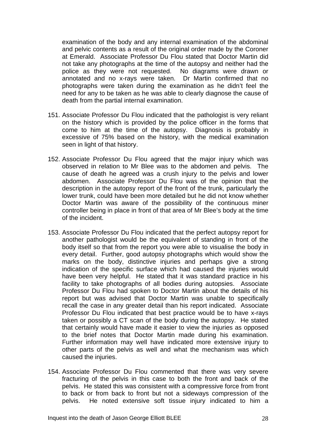examination of the body and any internal examination of the abdominal and pelvic contents as a result of the original order made by the Coroner at Emerald. Associate Professor Du Flou stated that Doctor Martin did not take any photographs at the time of the autopsy and neither had the police as they were not requested. No diagrams were drawn or annotated and no x-rays were taken. Dr Martin confirmed that no photographs were taken during the examination as he didn't feel the need for any to be taken as he was able to clearly diagnose the cause of death from the partial internal examination.

- 151. Associate Professor Du Flou indicated that the pathologist is very reliant on the history which is provided by the police officer in the forms that come to him at the time of the autopsy. Diagnosis is probably in excessive of 75% based on the history, with the medical examination seen in light of that history.
- 152. Associate Professor Du Flou agreed that the major injury which was observed in relation to Mr Blee was to the abdomen and pelvis. The cause of death he agreed was a crush injury to the pelvis and lower abdomen. Associate Professor Du Flou was of the opinion that the description in the autopsy report of the front of the trunk, particularly the lower trunk, could have been more detailed but he did not know whether Doctor Martin was aware of the possibility of the continuous miner controller being in place in front of that area of Mr Blee's body at the time of the incident.
- 153. Associate Professor Du Flou indicated that the perfect autopsy report for another pathologist would be the equivalent of standing in front of the body itself so that from the report you were able to visualise the body in every detail. Further, good autopsy photographs which would show the marks on the body, distinctive injuries and perhaps give a strong indication of the specific surface which had caused the injuries would have been very helpful. He stated that it was standard practice in his facility to take photographs of all bodies during autopsies. Associate Professor Du Flou had spoken to Doctor Martin about the details of his report but was advised that Doctor Martin was unable to specifically recall the case in any greater detail than his report indicated. Associate Professor Du Flou indicated that best practice would be to have x-rays taken or possibly a CT scan of the body during the autopsy. He stated that certainly would have made it easier to view the injuries as opposed to the brief notes that Doctor Martin made during his examination. Further information may well have indicated more extensive injury to other parts of the pelvis as well and what the mechanism was which caused the injuries.
- 154. Associate Professor Du Flou commented that there was very severe fracturing of the pelvis in this case to both the front and back of the pelvis. He stated this was consistent with a compressive force from front to back or from back to front but not a sideways compression of the pelvis. He noted extensive soft tissue injury indicated to him a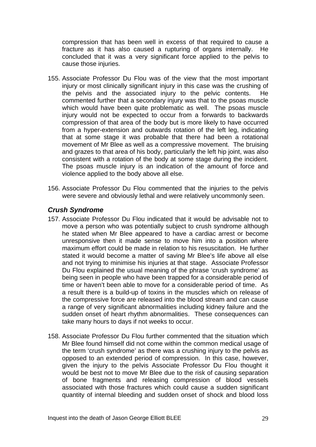compression that has been well in excess of that required to cause a fracture as it has also caused a rupturing of organs internally. He concluded that it was a very significant force applied to the pelvis to cause those injuries.

- 155. Associate Professor Du Flou was of the view that the most important injury or most clinically significant injury in this case was the crushing of the pelvis and the associated injury to the pelvic contents. He commented further that a secondary injury was that to the psoas muscle which would have been quite problematic as well. The psoas muscle injury would not be expected to occur from a forwards to backwards compression of that area of the body but is more likely to have occurred from a hyper-extension and outwards rotation of the left leg, indicating that at some stage it was probable that there had been a rotational movement of Mr Blee as well as a compressive movement. The bruising and grazes to that area of his body, particularly the left hip joint, was also consistent with a rotation of the body at some stage during the incident. The psoas muscle injury is an indication of the amount of force and violence applied to the body above all else.
- 156. Associate Professor Du Flou commented that the injuries to the pelvis were severe and obviously lethal and were relatively uncommonly seen.

#### *Crush Syndrome*

- 157. Associate Professor Du Flou indicated that it would be advisable not to move a person who was potentially subject to crush syndrome although he stated when Mr Blee appeared to have a cardiac arrest or become unresponsive then it made sense to move him into a position where maximum effort could be made in relation to his resuscitation. He further stated it would become a matter of saving Mr Blee's life above all else and not trying to minimise his injuries at that stage. Associate Professor Du Flou explained the usual meaning of the phrase 'crush syndrome' as being seen in people who have been trapped for a considerable period of time or haven't been able to move for a considerable period of time. As a result there is a build-up of toxins in the muscles which on release of the compressive force are released into the blood stream and can cause a range of very significant abnormalities including kidney failure and the sudden onset of heart rhythm abnormalities. These consequences can take many hours to days if not weeks to occur.
- 158. Associate Professor Du Flou further commented that the situation which Mr Blee found himself did not come within the common medical usage of the term 'crush syndrome' as there was a crushing injury to the pelvis as opposed to an extended period of compression. In this case, however, given the injury to the pelvis Associate Professor Du Flou thought it would be best not to move Mr Blee due to the risk of causing separation of bone fragments and releasing compression of blood vessels associated with those fractures which could cause a sudden significant quantity of internal bleeding and sudden onset of shock and blood loss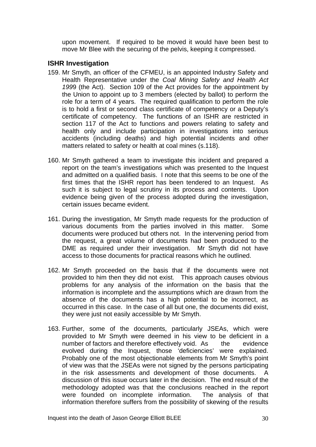upon movement. If required to be moved it would have been best to move Mr Blee with the securing of the pelvis, keeping it compressed.

#### **ISHR Investigation**

- 159. Mr Smyth, an officer of the CFMEU, is an appointed Industry Safety and Health Representative under the *Coal Mining Safety and Health Act 199*9 (the Act). Section 109 of the Act provides for the appointment by the Union to appoint up to 3 members (elected by ballot) to perform the role for a term of 4 years. The required qualification to perform the role is to hold a first or second class certificate of competency or a Deputy's certificate of competency. The functions of an ISHR are restricted in section 117 of the Act to functions and powers relating to safety and health only and include participation in investigations into serious accidents (including deaths) and high potential incidents and other matters related to safety or health at coal mines (s.118).
- 160. Mr Smyth gathered a team to investigate this incident and prepared a report on the team's investigations which was presented to the Inquest and admitted on a qualified basis. I note that this seems to be one of the first times that the ISHR report has been tendered to an Inquest. As such it is subject to legal scrutiny in its process and contents. Upon evidence being given of the process adopted during the investigation, certain issues became evident.
- 161. During the investigation, Mr Smyth made requests for the production of various documents from the parties involved in this matter. Some documents were produced but others not. In the intervening period from the request, a great volume of documents had been produced to the DME as required under their investigation. Mr Smyth did not have access to those documents for practical reasons which he outlined.
- 162. Mr Smyth proceeded on the basis that if the documents were not provided to him then they did not exist. This approach causes obvious problems for any analysis of the information on the basis that the information is incomplete and the assumptions which are drawn from the absence of the documents has a high potential to be incorrect, as occurred in this case. In the case of all but one, the documents did exist, they were just not easily accessible by Mr Smyth.
- 163. Further, some of the documents, particularly JSEAs, which were provided to Mr Smyth were deemed in his view to be deficient in a number of factors and therefore effectively void. As the evidence evolved during the Inquest, those 'deficiencies' were explained. Probably one of the most objectionable elements from Mr Smyth's point of view was that the JSEAs were not signed by the persons participating in the risk assessments and development of those documents. A discussion of this issue occurs later in the decision. The end result of the methodology adopted was that the conclusions reached in the report were founded on incomplete information. The analysis of that information therefore suffers from the possibility of skewing of the results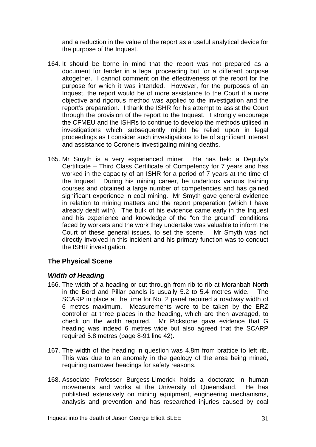and a reduction in the value of the report as a useful analytical device for the purpose of the Inquest.

- 164. It should be borne in mind that the report was not prepared as a document for tender in a legal proceeding but for a different purpose altogether. I cannot comment on the effectiveness of the report for the purpose for which it was intended. However, for the purposes of an Inquest, the report would be of more assistance to the Court if a more objective and rigorous method was applied to the investigation and the report's preparation. I thank the ISHR for his attempt to assist the Court through the provision of the report to the Inquest. I strongly encourage the CFMEU and the ISHRs to continue to develop the methods utilised in investigations which subsequently might be relied upon in legal proceedings as I consider such investigations to be of significant interest and assistance to Coroners investigating mining deaths.
- 165. Mr Smyth is a very experienced miner. He has held a Deputy's Certificate – Third Class Certificate of Competency for 7 years and has worked in the capacity of an ISHR for a period of 7 years at the time of the Inquest. During his mining career, he undertook various training courses and obtained a large number of competencies and has gained significant experience in coal mining. Mr Smyth gave general evidence in relation to mining matters and the report preparation (which I have already dealt with). The bulk of his evidence came early in the Inquest and his experience and knowledge of the "on the ground" conditions faced by workers and the work they undertake was valuable to inform the Court of these general issues, to set the scene. Mr Smyth was not directly involved in this incident and his primary function was to conduct the ISHR investigation.

# **The Physical Scene**

#### *Width of Heading*

- 166. The width of a heading or cut through from rib to rib at Moranbah North in the Bord and Pillar panels is usually 5.2 to 5.4 metres wide. The SCARP in place at the time for No. 2 panel required a roadway width of 6 metres maximum. Measurements were to be taken by the ERZ controller at three places in the heading, which are then averaged, to check on the width required. Mr Pickstone gave evidence that G heading was indeed 6 metres wide but also agreed that the SCARP required 5.8 metres (page 8-91 line 42).
- 167. The width of the heading in question was 4.8m from brattice to left rib. This was due to an anomaly in the geology of the area being mined, requiring narrower headings for safety reasons.
- 168. Associate Professor Burgess-Limerick holds a doctorate in human movements and works at the University of Queensland. He has published extensively on mining equipment, engineering mechanisms, analysis and prevention and has researched injuries caused by coal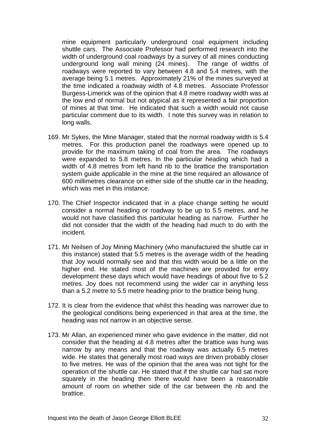mine equipment particularly underground coal equipment including shuttle cars. The Associate Professor had performed research into the width of underground coal roadways by a survey of all mines conducting underground long wall mining (24 mines). The range of widths of roadways were reported to vary between 4.8 and 5.4 metres, with the average being 5.1 metres. Approximately 21% of the mines surveyed at the time indicated a roadway width of 4.8 metres. Associate Professor Burgess-Limerick was of the opinion that 4.8 metre roadway width was at the low end of normal but not atypical as it represented a fair proportion of mines at that time. He indicated that such a width would not cause particular comment due to its width. I note this survey was in relation to long walls.

- 169. Mr Sykes, the Mine Manager, stated that the normal roadway width is 5.4 metres. For this production panel the roadways were opened up to provide for the maximum taking of coal from the area. The roadways were expanded to 5.8 metres. In the particular heading which had a width of 4.8 metres from left hand rib to the brattice the transportation system guide applicable in the mine at the time required an allowance of 600 millimetres clearance on either side of the shuttle car in the heading, which was met in this instance.
- 170. The Chief Inspector indicated that in a place change setting he would consider a normal heading or roadway to be up to 5.5 metres, and he would not have classified this particular heading as narrow. Further he did not consider that the width of the heading had much to do with the incident.
- 171. Mr Neilsen of Joy Mining Machinery (who manufactured the shuttle car in this instance) stated that 5.5 metres is the average width of the heading that Joy would normally see and that this width would be a little on the higher end. He stated most of the machines are provided for entry development these days which would have headings of about five to 5.2 metres. Joy does not recommend using the wider car in anything less than a 5.2 metre to 5.5 metre heading prior to the brattice being hung.
- 172. It is clear from the evidence that whilst this heading was narrower due to the geological conditions being experienced in that area at the time, the heading was not narrow in an objective sense.
- 173. Mr Allan, an experienced miner who gave evidence in the matter, did not consider that the heading at 4.8 metres after the brattice was hung was narrow by any means and that the roadway was actually 6.5 metres wide. He states that generally most road ways are driven probably closer to five metres. He was of the opinion that the area was not tight for the operation of the shuttle car. He stated that if the shuttle car had sat more squarely in the heading then there would have been a reasonable amount of room on whether side of the car between the rib and the brattice.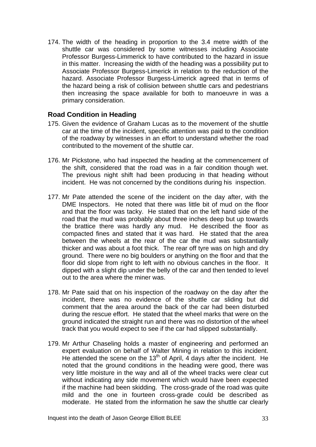174. The width of the heading in proportion to the 3.4 metre width of the shuttle car was considered by some witnesses including Associate Professor Burgess-Limmerick to have contributed to the hazard in issue in this matter. Increasing the width of the heading was a possibility put to Associate Professor Burgess-Limerick in relation to the reduction of the hazard. Associate Professor Burgess-Limerick agreed that in terms of the hazard being a risk of collision between shuttle cars and pedestrians then increasing the space available for both to manoeuvre in was a primary consideration.

## **Road Condition in Heading**

- 175. Given the evidence of Graham Lucas as to the movement of the shuttle car at the time of the incident, specific attention was paid to the condition of the roadway by witnesses in an effort to understand whether the road contributed to the movement of the shuttle car.
- 176. Mr Pickstone, who had inspected the heading at the commencement of the shift, considered that the road was in a fair condition though wet. The previous night shift had been producing in that heading without incident. He was not concerned by the conditions during his inspection.
- 177. Mr Pate attended the scene of the incident on the day after, with the DME Inspectors. He noted that there was little bit of mud on the floor and that the floor was tacky. He stated that on the left hand side of the road that the mud was probably about three inches deep but up towards the brattice there was hardly any mud. He described the floor as compacted fines and stated that it was hard. He stated that the area between the wheels at the rear of the car the mud was substantially thicker and was about a foot thick. The rear off tyre was on high and dry ground. There were no big boulders or anything on the floor and that the floor did slope from right to left with no obvious canches in the floor. It dipped with a slight dip under the belly of the car and then tended to level out to the area where the miner was.
- 178. Mr Pate said that on his inspection of the roadway on the day after the incident, there was no evidence of the shuttle car sliding but did comment that the area around the back of the car had been disturbed during the rescue effort. He stated that the wheel marks that were on the ground indicated the straight run and there was no distortion of the wheel track that you would expect to see if the car had slipped substantially.
- 179. Mr Arthur Chaseling holds a master of engineering and performed an expert evaluation on behalf of Walter Mining in relation to this incident. He attended the scene on the 13<sup>th</sup> of April, 4 days after the incident. He noted that the ground conditions in the heading were good, there was very little moisture in the way and all of the wheel tracks were clear cut without indicating any side movement which would have been expected if the machine had been skidding. The cross-grade of the road was quite mild and the one in fourteen cross-grade could be described as moderate. He stated from the information he saw the shuttle car clearly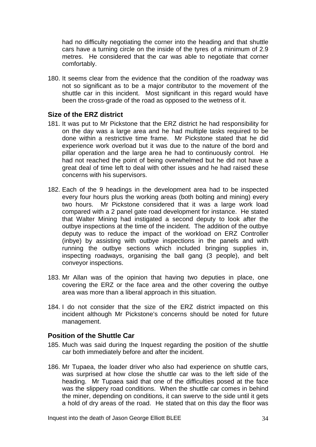had no difficulty negotiating the corner into the heading and that shuttle cars have a turning circle on the inside of the tyres of a minimum of 2.9 metres. He considered that the car was able to negotiate that corner comfortably.

180. It seems clear from the evidence that the condition of the roadway was not so significant as to be a major contributor to the movement of the shuttle car in this incident. Most significant in this regard would have been the cross-grade of the road as opposed to the wetness of it.

#### **Size of the ERZ district**

- 181. It was put to Mr Pickstone that the ERZ district he had responsibility for on the day was a large area and he had multiple tasks required to be done within a restrictive time frame. Mr Pickstone stated that he did experience work overload but it was due to the nature of the bord and pillar operation and the large area he had to continuously control. He had not reached the point of being overwhelmed but he did not have a great deal of time left to deal with other issues and he had raised these concerns with his supervisors.
- 182. Each of the 9 headings in the development area had to be inspected every four hours plus the working areas (both bolting and mining) every two hours. Mr Pickstone considered that it was a large work load compared with a 2 panel gate road development for instance. He stated that Walter Mining had instigated a second deputy to look after the outbye inspections at the time of the incident. The addition of the outbye deputy was to reduce the impact of the workload on ERZ Controller (inbye) by assisting with outbye inspections in the panels and with running the outbye sections which included bringing supplies in, inspecting roadways, organising the ball gang (3 people), and belt conveyor inspections.
- 183. Mr Allan was of the opinion that having two deputies in place, one covering the ERZ or the face area and the other covering the outbye area was more than a liberal approach in this situation.
- 184. I do not consider that the size of the ERZ district impacted on this incident although Mr Pickstone's concerns should be noted for future management.

#### **Position of the Shuttle Car**

- 185. Much was said during the Inquest regarding the position of the shuttle car both immediately before and after the incident.
- 186. Mr Tupaea, the loader driver who also had experience on shuttle cars, was surprised at how close the shuttle car was to the left side of the heading. Mr Tupaea said that one of the difficulties posed at the face was the slippery road conditions. When the shuttle car comes in behind the miner, depending on conditions, it can swerve to the side until it gets a hold of dry areas of the road. He stated that on this day the floor was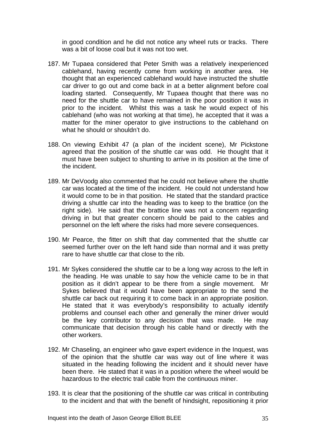in good condition and he did not notice any wheel ruts or tracks. There was a bit of loose coal but it was not too wet.

- 187. Mr Tupaea considered that Peter Smith was a relatively inexperienced cablehand, having recently come from working in another area. He thought that an experienced cablehand would have instructed the shuttle car driver to go out and come back in at a better alignment before coal loading started. Consequently, Mr Tupaea thought that there was no need for the shuttle car to have remained in the poor position it was in prior to the incident. Whilst this was a task he would expect of his cablehand (who was not working at that time), he accepted that it was a matter for the miner operator to give instructions to the cablehand on what he should or shouldn't do.
- 188. On viewing Exhibit 47 (a plan of the incident scene), Mr Pickstone agreed that the position of the shuttle car was odd. He thought that it must have been subject to shunting to arrive in its position at the time of the incident.
- 189. Mr DeVoodg also commented that he could not believe where the shuttle car was located at the time of the incident. He could not understand how it would come to be in that position. He stated that the standard practice driving a shuttle car into the heading was to keep to the brattice (on the right side). He said that the brattice line was not a concern regarding driving in but that greater concern should be paid to the cables and personnel on the left where the risks had more severe consequences.
- 190. Mr Pearce, the fitter on shift that day commented that the shuttle car seemed further over on the left hand side than normal and it was pretty rare to have shuttle car that close to the rib.
- 191. Mr Sykes considered the shuttle car to be a long way across to the left in the heading. He was unable to say how the vehicle came to be in that position as it didn't appear to be there from a single movement. Mr Sykes believed that it would have been appropriate to the send the shuttle car back out requiring it to come back in an appropriate position. He stated that it was everybody's responsibility to actually identify problems and counsel each other and generally the miner driver would be the key contributor to any decision that was made. He may communicate that decision through his cable hand or directly with the other workers.
- 192. Mr Chaseling, an engineer who gave expert evidence in the Inquest, was of the opinion that the shuttle car was way out of line where it was situated in the heading following the incident and it should never have been there. He stated that it was in a position where the wheel would be hazardous to the electric trail cable from the continuous miner.
- 193. It is clear that the positioning of the shuttle car was critical in contributing to the incident and that with the benefit of hindsight, repositioning it prior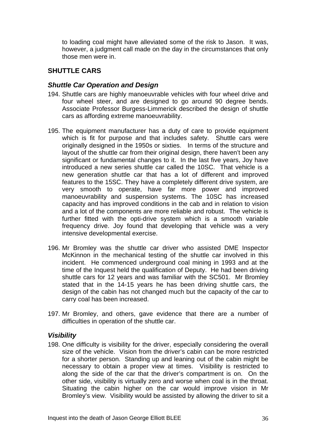to loading coal might have alleviated some of the risk to Jason. It was, however, a judgment call made on the day in the circumstances that only those men were in.

# **SHUTTLE CARS**

#### *Shuttle Car Operation and Design*

- 194. Shuttle cars are highly manoeuvrable vehicles with four wheel drive and four wheel steer, and are designed to go around 90 degree bends. Associate Professor Burgess-Limmerick described the design of shuttle cars as affording extreme manoeuvrability.
- 195. The equipment manufacturer has a duty of care to provide equipment which is fit for purpose and that includes safety. Shuttle cars were originally designed in the 1950s or sixties. In terms of the structure and layout of the shuttle car from their original design, there haven't been any significant or fundamental changes to it. In the last five years, Joy have introduced a new series shuttle car called the 10SC. That vehicle is a new generation shuttle car that has a lot of different and improved features to the 15SC. They have a completely different drive system, are very smooth to operate, have far more power and improved manoeuvrability and suspension systems. The 10SC has increased capacity and has improved conditions in the cab and in relation to vision and a lot of the components are more reliable and robust. The vehicle is further fitted with the opti-drive system which is a smooth variable frequency drive. Joy found that developing that vehicle was a very intensive developmental exercise.
- 196. Mr Bromley was the shuttle car driver who assisted DME Inspector McKinnon in the mechanical testing of the shuttle car involved in this incident. He commenced underground coal mining in 1993 and at the time of the Inquest held the qualification of Deputy. He had been driving shuttle cars for 12 years and was familiar with the SC501. Mr Bromley stated that in the 14-15 years he has been driving shuttle cars, the design of the cabin has not changed much but the capacity of the car to carry coal has been increased.
- 197. Mr Bromley, and others, gave evidence that there are a number of difficulties in operation of the shuttle car.

### *Visibility*

198. One difficulty is visibility for the driver, especially considering the overall size of the vehicle. Vision from the driver's cabin can be more restricted for a shorter person. Standing up and leaning out of the cabin might be necessary to obtain a proper view at times. Visibility is restricted to along the side of the car that the driver's compartment is on. On the other side, visibility is virtually zero and worse when coal is in the throat. Situating the cabin higher on the car would improve vision in Mr Bromley's view. Visibility would be assisted by allowing the driver to sit a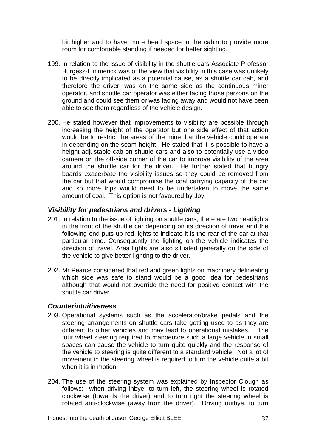bit higher and to have more head space in the cabin to provide more room for comfortable standing if needed for better sighting.

- 199. In relation to the issue of visibility in the shuttle cars Associate Professor Burgess-Limmerick was of the view that visibility in this case was unlikely to be directly implicated as a potential cause, as a shuttle car cab, and therefore the driver, was on the same side as the continuous miner operator, and shuttle car operator was either facing those persons on the ground and could see them or was facing away and would not have been able to see them regardless of the vehicle design.
- 200. He stated however that improvements to visibility are possible through increasing the height of the operator but one side effect of that action would be to restrict the areas of the mine that the vehicle could operate in depending on the seam height. He stated that it is possible to have a height adjustable cab on shuttle cars and also to potentially use a video camera on the off-side corner of the car to improve visibility of the area around the shuttle car for the driver. He further stated that hungry boards exacerbate the visibility issues so they could be removed from the car but that would compromise the coal carrying capacity of the car and so more trips would need to be undertaken to move the same amount of coal. This option is not favoured by Joy.

# *Visibility for pedestrians and drivers - Lighting*

- 201. In relation to the issue of lighting on shuttle cars, there are two headlights in the front of the shuttle car depending on its direction of travel and the following end puts up red lights to indicate it is the rear of the car at that particular time. Consequently the lighting on the vehicle indicates the direction of travel. Area lights are also situated generally on the side of the vehicle to give better lighting to the driver.
- 202. Mr Pearce considered that red and green lights on machinery delineating which side was safe to stand would be a good idea for pedestrians although that would not override the need for positive contact with the shuttle car driver.

### *Counterintuitiveness*

- 203. Operational systems such as the accelerator/brake pedals and the steering arrangements on shuttle cars take getting used to as they are different to other vehicles and may lead to operational mistakes. The four wheel steering required to manoeuvre such a large vehicle in small spaces can cause the vehicle to turn quite quickly and the response of the vehicle to steering is quite different to a standard vehicle. Not a lot of movement in the steering wheel is required to turn the vehicle quite a bit when it is in motion.
- 204. The use of the steering system was explained by Inspector Clough as follows: when driving inbye, to turn left, the steering wheel is rotated clockwise (towards the driver) and to turn right the steering wheel is rotated anti-clockwise (away from the driver). Driving outbye, to turn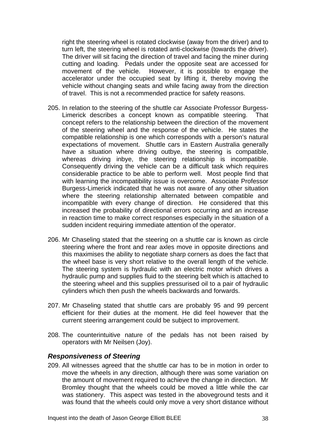right the steering wheel is rotated clockwise (away from the driver) and to turn left, the steering wheel is rotated anti-clockwise (towards the driver). The driver will sit facing the direction of travel and facing the miner during cutting and loading. Pedals under the opposite seat are accessed for movement of the vehicle. However, it is possible to engage the accelerator under the occupied seat by lifting it, thereby moving the vehicle without changing seats and while facing away from the direction of travel. This is not a recommended practice for safety reasons.

- 205. In relation to the steering of the shuttle car Associate Professor Burgess-Limerick describes a concept known as compatible steering. That concept refers to the relationship between the direction of the movement of the steering wheel and the response of the vehicle. He states the compatible relationship is one which corresponds with a person's natural expectations of movement. Shuttle cars in Eastern Australia generally have a situation where driving outbye, the steering is compatible, whereas driving inbye, the steering relationship is incompatible. Consequently driving the vehicle can be a difficult task which requires considerable practice to be able to perform well. Most people find that with learning the incompatibility issue is overcome. Associate Professor Burgess-Limerick indicated that he was not aware of any other situation where the steering relationship alternated between compatible and incompatible with every change of direction. He considered that this increased the probability of directional errors occurring and an increase in reaction time to make correct responses especially in the situation of a sudden incident requiring immediate attention of the operator.
- 206. Mr Chaseling stated that the steering on a shuttle car is known as circle steering where the front and rear axles move in opposite directions and this maximises the ability to negotiate sharp corners as does the fact that the wheel base is very short relative to the overall length of the vehicle. The steering system is hydraulic with an electric motor which drives a hydraulic pump and supplies fluid to the steering belt which is attached to the steering wheel and this supplies pressurised oil to a pair of hydraulic cylinders which then push the wheels backwards and forwards.
- 207. Mr Chaseling stated that shuttle cars are probably 95 and 99 percent efficient for their duties at the moment. He did feel however that the current steering arrangement could be subject to improvement.
- 208. The counterintuitive nature of the pedals has not been raised by operators with Mr Neilsen (Joy).

### *Responsiveness of Steering*

209. All witnesses agreed that the shuttle car has to be in motion in order to move the wheels in any direction, although there was some variation on the amount of movement required to achieve the change in direction. Mr Bromley thought that the wheels could be moved a little while the car was stationery. This aspect was tested in the aboveground tests and it was found that the wheels could only move a very short distance without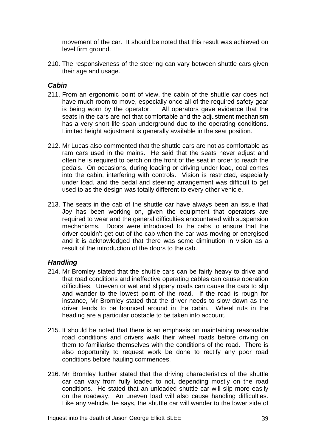movement of the car. It should be noted that this result was achieved on level firm ground.

210. The responsiveness of the steering can vary between shuttle cars given their age and usage.

## *Cabin*

- 211. From an ergonomic point of view, the cabin of the shuttle car does not have much room to move, especially once all of the required safety gear is being worn by the operator. All operators gave evidence that the seats in the cars are not that comfortable and the adjustment mechanism has a very short life span underground due to the operating conditions. Limited height adjustment is generally available in the seat position.
- 212. Mr Lucas also commented that the shuttle cars are not as comfortable as ram cars used in the mains. He said that the seats never adjust and often he is required to perch on the front of the seat in order to reach the pedals. On occasions, during loading or driving under load, coal comes into the cabin, interfering with controls. Vision is restricted, especially under load, and the pedal and steering arrangement was difficult to get used to as the design was totally different to every other vehicle.
- 213. The seats in the cab of the shuttle car have always been an issue that Joy has been working on, given the equipment that operators are required to wear and the general difficulties encountered with suspension mechanisms. Doors were introduced to the cabs to ensure that the driver couldn't get out of the cab when the car was moving or energised and it is acknowledged that there was some diminution in vision as a result of the introduction of the doors to the cab.

# *Handling*

- 214. Mr Bromley stated that the shuttle cars can be fairly heavy to drive and that road conditions and ineffective operating cables can cause operation difficulties. Uneven or wet and slippery roads can cause the cars to slip and wander to the lowest point of the road. If the road is rough for instance, Mr Bromley stated that the driver needs to slow down as the driver tends to be bounced around in the cabin. Wheel ruts in the heading are a particular obstacle to be taken into account.
- 215. It should be noted that there is an emphasis on maintaining reasonable road conditions and drivers walk their wheel roads before driving on them to familiarise themselves with the conditions of the road. There is also opportunity to request work be done to rectify any poor road conditions before hauling commences.
- 216. Mr Bromley further stated that the driving characteristics of the shuttle car can vary from fully loaded to not, depending mostly on the road conditions. He stated that an unloaded shuttle car will slip more easily on the roadway. An uneven load will also cause handling difficulties. Like any vehicle, he says, the shuttle car will wander to the lower side of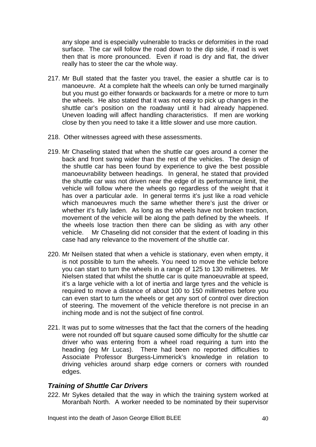any slope and is especially vulnerable to tracks or deformities in the road surface. The car will follow the road down to the dip side, if road is wet then that is more pronounced. Even if road is dry and flat, the driver really has to steer the car the whole way.

- 217. Mr Bull stated that the faster you travel, the easier a shuttle car is to manoeuvre. At a complete halt the wheels can only be turned marginally but you must go either forwards or backwards for a metre or more to turn the wheels. He also stated that it was not easy to pick up changes in the shuttle car's position on the roadway until it had already happened. Uneven loading will affect handling characteristics. If men are working close by then you need to take it a little slower and use more caution.
- 218. Other witnesses agreed with these assessments.
- 219. Mr Chaseling stated that when the shuttle car goes around a corner the back and front swing wider than the rest of the vehicles. The design of the shuttle car has been found by experience to give the best possible manoeuvrability between headings. In general, he stated that provided the shuttle car was not driven near the edge of its performance limit, the vehicle will follow where the wheels go regardless of the weight that it has over a particular axle. In general terms it's just like a road vehicle which manoeuvres much the same whether there's just the driver or whether it's fully laden. As long as the wheels have not broken traction, movement of the vehicle will be along the path defined by the wheels. If the wheels lose traction then there can be sliding as with any other vehicle. Mr Chaseling did not consider that the extent of loading in this case had any relevance to the movement of the shuttle car.
- 220. Mr Neilsen stated that when a vehicle is stationary, even when empty, it is not possible to turn the wheels. You need to move the vehicle before you can start to turn the wheels in a range of 125 to 130 millimetres. Mr Nielsen stated that whilst the shuttle car is quite manoeuvrable at speed, it's a large vehicle with a lot of inertia and large tyres and the vehicle is required to move a distance of about 100 to 150 millimetres before you can even start to turn the wheels or get any sort of control over direction of steering. The movement of the vehicle therefore is not precise in an inching mode and is not the subject of fine control.
- 221. It was put to some witnesses that the fact that the corners of the heading were not rounded off but square caused some difficulty for the shuttle car driver who was entering from a wheel road requiring a turn into the heading (eg Mr Lucas). There had been no reported difficulties to Associate Professor Burgess-Limmerick's knowledge in relation to driving vehicles around sharp edge corners or corners with rounded edges.

# *Training of Shuttle Car Drivers*

222. Mr Sykes detailed that the way in which the training system worked at Moranbah North. A worker needed to be nominated by their supervisor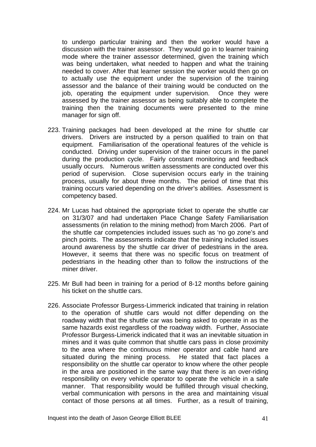to undergo particular training and then the worker would have a discussion with the trainer assessor. They would go in to learner training mode where the trainer assessor determined, given the training which was being undertaken, what needed to happen and what the training needed to cover. After that learner session the worker would then go on to actually use the equipment under the supervision of the training assessor and the balance of their training would be conducted on the job, operating the equipment under supervision. Once they were assessed by the trainer assessor as being suitably able to complete the training then the training documents were presented to the mine manager for sign off.

- 223. Training packages had been developed at the mine for shuttle car drivers. Drivers are instructed by a person qualified to train on that equipment. Familiarisation of the operational features of the vehicle is conducted. Driving under supervision of the trainer occurs in the panel during the production cycle. Fairly constant monitoring and feedback usually occurs. Numerous written assessments are conducted over this period of supervision. Close supervision occurs early in the training process, usually for about three months. The period of time that this training occurs varied depending on the driver's abilities. Assessment is competency based.
- 224. Mr Lucas had obtained the appropriate ticket to operate the shuttle car on 31/3/07 and had undertaken Place Change Safety Familiarisation assessments (in relation to the mining method) from March 2006. Part of the shuttle car competencies included issues such as 'no go zone's and pinch points. The assessments indicate that the training included issues around awareness by the shuttle car driver of pedestrians in the area. However, it seems that there was no specific focus on treatment of pedestrians in the heading other than to follow the instructions of the miner driver.
- 225. Mr Bull had been in training for a period of 8-12 months before gaining his ticket on the shuttle cars.
- 226. Associate Professor Burgess-Limmerick indicated that training in relation to the operation of shuttle cars would not differ depending on the roadway width that the shuttle car was being asked to operate in as the same hazards exist regardless of the roadway width. Further, Associate Professor Burgess-Limerick indicated that it was an inevitable situation in mines and it was quite common that shuttle cars pass in close proximity to the area where the continuous miner operator and cable hand are situated during the mining process. He stated that fact places a responsibility on the shuttle car operator to know where the other people in the area are positioned in the same way that there is an over-riding responsibility on every vehicle operator to operate the vehicle in a safe manner. That responsibility would be fulfilled through visual checking, verbal communication with persons in the area and maintaining visual contact of those persons at all times. Further, as a result of training,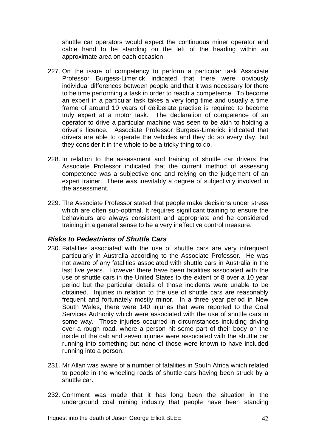shuttle car operators would expect the continuous miner operator and cable hand to be standing on the left of the heading within an approximate area on each occasion.

- 227. On the issue of competency to perform a particular task Associate Professor Burgess-Limerick indicated that there were obviously individual differences between people and that it was necessary for there to be time performing a task in order to reach a competence. To become an expert in a particular task takes a very long time and usually a time frame of around 10 years of deliberate practise is required to become truly expert at a motor task. The declaration of competence of an operator to drive a particular machine was seen to be akin to holding a driver's licence. Associate Professor Burgess-Limerick indicated that drivers are able to operate the vehicles and they do so every day, but they consider it in the whole to be a tricky thing to do.
- 228. In relation to the assessment and training of shuttle car drivers the Associate Professor indicated that the current method of assessing competence was a subjective one and relying on the judgement of an expert trainer. There was inevitably a degree of subjectivity involved in the assessment.
- 229. The Associate Professor stated that people make decisions under stress which are often sub-optimal. It requires significant training to ensure the behaviours are always consistent and appropriate and he considered training in a general sense to be a very ineffective control measure.

### *Risks to Pedestrians of Shuttle Cars*

- 230. Fatalities associated with the use of shuttle cars are very infrequent particularly in Australia according to the Associate Professor. He was not aware of any fatalities associated with shuttle cars in Australia in the last five years. However there have been fatalities associated with the use of shuttle cars in the United States to the extent of 8 over a 10 year period but the particular details of those incidents were unable to be obtained. Injuries in relation to the use of shuttle cars are reasonably frequent and fortunately mostly minor. In a three year period in New South Wales, there were 140 injuries that were reported to the Coal Services Authority which were associated with the use of shuttle cars in some way. Those injuries occurred in circumstances including driving over a rough road, where a person hit some part of their body on the inside of the cab and seven injuries were associated with the shuttle car running into something but none of those were known to have included running into a person.
- 231. Mr Allan was aware of a number of fatalities in South Africa which related to people in the wheeling roads of shuttle cars having been struck by a shuttle car.
- 232. Comment was made that it has long been the situation in the underground coal mining industry that people have been standing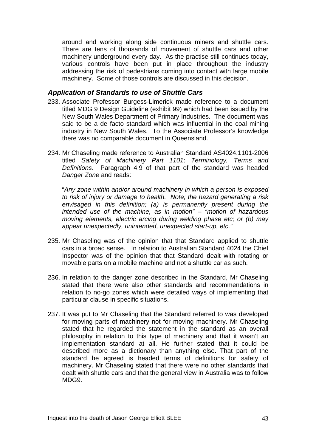around and working along side continuous miners and shuttle cars. There are tens of thousands of movement of shuttle cars and other machinery underground every day. As the practise still continues today, various controls have been put in place throughout the industry addressing the risk of pedestrians coming into contact with large mobile machinery. Some of those controls are discussed in this decision.

#### *Application of Standards to use of Shuttle Cars*

- 233. Associate Professor Burgess-Limerick made reference to a document titled MDG 9 Design Guideline (exhibit 99) which had been issued by the New South Wales Department of Primary Industries. The document was said to be a de facto standard which was influential in the coal mining industry in New South Wales. To the Associate Professor's knowledge there was no comparable document in Queensland.
- 234. Mr Chaseling made reference to Australian Standard AS4024.1101-2006 titled *Safety of Machinery Part 1101; Terminology, Terms and Definitions*. Paragraph 4.9 of that part of the standard was headed *Danger Zone* and reads:

"*Any zone within and/or around machinery in which a person is exposed to risk of injury or damage to health. Note; the hazard generating a risk envisaged in this definition; (a) is permanently present during the intended use of the machine, as in motion" – "motion of hazardous moving elements, electric arcing during welding phase etc; or (b) may appear unexpectedly, unintended, unexpected start-up, etc."*

- 235. Mr Chaseling was of the opinion that that Standard applied to shuttle cars in a broad sense. In relation to Australian Standard 4024 the Chief Inspector was of the opinion that that Standard dealt with rotating or movable parts on a mobile machine and not a shuttle car as such.
- 236. In relation to the danger zone described in the Standard, Mr Chaseling stated that there were also other standards and recommendations in relation to no-go zones which were detailed ways of implementing that particular clause in specific situations.
- 237. It was put to Mr Chaseling that the Standard referred to was developed for moving parts of machinery not for moving machinery. Mr Chaseling stated that he regarded the statement in the standard as an overall philosophy in relation to this type of machinery and that it wasn't an implementation standard at all. He further stated that it could be described more as a dictionary than anything else. That part of the standard he agreed is headed terms of definitions for safety of machinery. Mr Chaseling stated that there were no other standards that dealt with shuttle cars and that the general view in Australia was to follow MDG9.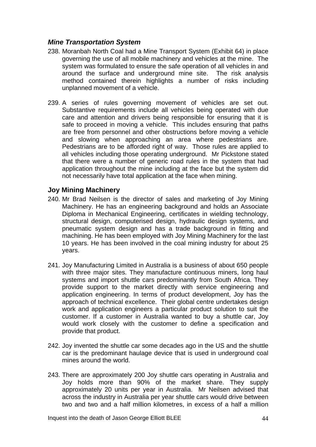# *Mine Transportation System*

- 238. Moranbah North Coal had a Mine Transport System (Exhibit 64) in place governing the use of all mobile machinery and vehicles at the mine. The system was formulated to ensure the safe operation of all vehicles in and around the surface and underground mine site. The risk analysis method contained therein highlights a number of risks including unplanned movement of a vehicle.
- 239. A series of rules governing movement of vehicles are set out. Substantive requirements include all vehicles being operated with due care and attention and drivers being responsible for ensuring that it is safe to proceed in moving a vehicle. This includes ensuring that paths are free from personnel and other obstructions before moving a vehicle and slowing when approaching an area where pedestrians are. Pedestrians are to be afforded right of way. Those rules are applied to all vehicles including those operating underground. Mr Pickstone stated that there were a number of generic road rules in the system that had application throughout the mine including at the face but the system did not necessarily have total application at the face when mining.

### **Joy Mining Machinery**

- 240. Mr Brad Neilsen is the director of sales and marketing of Joy Mining Machinery. He has an engineering background and holds an Associate Diploma in Mechanical Engineering, certificates in wielding technology, structural design, computerised design, hydraulic design systems, and pneumatic system design and has a trade background in fitting and machining. He has been employed with Joy Mining Machinery for the last 10 years. He has been involved in the coal mining industry for about 25 years.
- 241. Joy Manufacturing Limited in Australia is a business of about 650 people with three major sites. They manufacture continuous miners, long haul systems and import shuttle cars predominantly from South Africa. They provide support to the market directly with service engineering and application engineering. In terms of product development, Joy has the approach of technical excellence. Their global centre undertakes design work and application engineers a particular product solution to suit the customer. If a customer in Australia wanted to buy a shuttle car, Joy would work closely with the customer to define a specification and provide that product.
- 242. Joy invented the shuttle car some decades ago in the US and the shuttle car is the predominant haulage device that is used in underground coal mines around the world.
- 243. There are approximately 200 Joy shuttle cars operating in Australia and Joy holds more than 90% of the market share. They supply approximately 20 units per year in Australia. Mr Neilsen advised that across the industry in Australia per year shuttle cars would drive between two and two and a half million kilometres, in excess of a half a million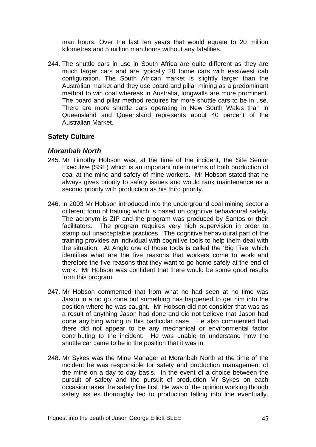man hours. Over the last ten years that would equate to 20 million kilometres and 5 million man hours without any fatalities.

244. The shuttle cars in use in South Africa are quite different as they are much larger cars and are typically 20 tonne cars with east/west cab configuration. The South African market is slightly larger than the Australian market and they use board and pillar mining as a predominant method to win coal whereas in Australia, longwalls are more prominent. The board and pillar method requires far more shuttle cars to be in use. There are more shuttle cars operating in New South Wales than in Queensland and Queensland represents about 40 percent of the Australian Market.

### **Safety Culture**

### *Moranbah North*

- 245. Mr Timothy Hobson was, at the time of the incident, the Site Senior Executive (SSE) which is an important role in terms of both production of coal at the mine and safety of mine workers. Mr Hobson stated that he always gives priority to safety issues and would rank maintenance as a second priority with production as his third priority.
- 246. In 2003 Mr Hobson introduced into the underground coal mining sector a different form of training which is based on cognitive behavioural safety. The acronym is ZIP and the program was produced by Santos or their facilitators. The program requires very high supervision in order to stamp out unacceptable practices. The cognitive behavioural part of the training provides an individual with cognitive tools to help them deal with the situation. At Anglo one of those tools is called the 'Big Five' which identifies what are the five reasons that workers come to work and therefore the five reasons that they want to go home safely at the end of work. Mr Hobson was confident that there would be some good results from this program.
- 247. Mr Hobson commented that from what he had seen at no time was Jason in a no go zone but something has happened to get him into the position where he was caught. Mr Hobson did not consider that was as a result of anything Jason had done and did not believe that Jason had done anything wrong in this particular case. He also commented that there did not appear to be any mechanical or environmental factor contributing to the incident. He was unable to understand how the shuttle car came to be in the position that it was in.
- 248. Mr Sykes was the Mine Manager at Moranbah North at the time of the incident he was responsible for safety and production management of the mine on a day to day basis. In the event of a choice between the pursuit of safety and the pursuit of production Mr Sykes on each occasion takes the safety line first. He was of the opinion working though safety issues thoroughly led to production falling into line eventually.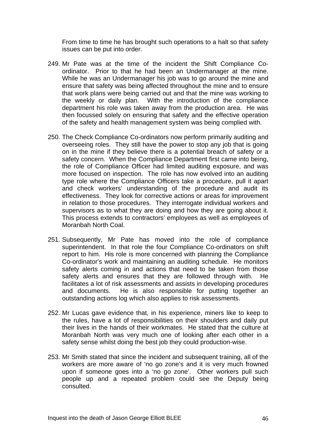From time to time he has brought such operations to a halt so that safety issues can be put into order.

- 249. Mr Pate was at the time of the incident the Shift Compliance Coordinator. Prior to that he had been an Undermanager at the mine. While he was an Undermanager his job was to go around the mine and ensure that safety was being affected throughout the mine and to ensure that work plans were being carried out and that the mine was working to the weekly or daily plan. With the introduction of the compliance department his role was taken away from the production area. He was then focussed solely on ensuring that safety and the effective operation of the safety and health management system was being complied with.
- 250. The Check Compliance Co-ordinators now perform primarily auditing and overseeing roles. They still have the power to stop any job that is going on in the mine if they believe there is a potential breach of safety or a safety concern. When the Compliance Department first came into being, the role of Compliance Officer had limited auditing exposure, and was more focused on inspection. The role has now evolved into an auditing type role where the Compliance Officers take a procedure, pull it apart and check workers' understanding of the procedure and audit its effectiveness. They look for corrective actions or areas for improvement in relation to those procedures. They interrogate individual workers and supervisors as to what they are doing and how they are going about it. This process extends to contractors' employees as well as employees of Moranbah North Coal.
- 251. Subsequently, Mr Pate has moved into the role of compliance superintendent. In that role the four Compliance Co-ordinators on shift report to him. His role is more concerned with planning the Compliance Co-ordinator's work and maintaining an auditing schedule. He monitors safety alerts coming in and actions that need to be taken from those safety alerts and ensures that they are followed through with. He facilitates a lot of risk assessments and assists in developing procedures and documents. He is also responsible for putting together an outstanding actions log which also applies to risk assessments.
- 252. Mr Lucas gave evidence that, in his experience, miners like to keep to the rules, have a lot of responsibilities on their shoulders and daily put their lives in the hands of their workmates. He stated that the culture at Moranbah North was very much one of looking after each other in a safety sense whilst doing the best job they could production-wise.
- 253. Mr Smith stated that since the incident and subsequent training, all of the workers are more aware of 'no go zone's and it is very much frowned upon if someone goes into a 'no go zone'. Other workers pull such people up and a repeated problem could see the Deputy being consulted.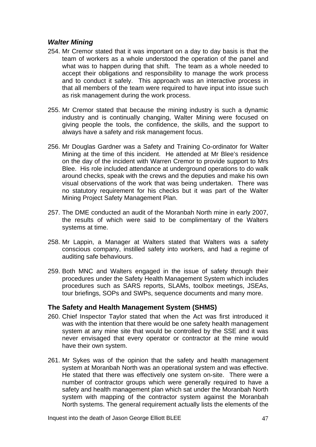# *Walter Mining*

- 254. Mr Cremor stated that it was important on a day to day basis is that the team of workers as a whole understood the operation of the panel and what was to happen during that shift. The team as a whole needed to accept their obligations and responsibility to manage the work process and to conduct it safely. This approach was an interactive process in that all members of the team were required to have input into issue such as risk management during the work process.
- 255. Mr Cremor stated that because the mining industry is such a dynamic industry and is continually changing, Walter Mining were focused on giving people the tools, the confidence, the skills, and the support to always have a safety and risk management focus.
- 256. Mr Douglas Gardner was a Safety and Training Co-ordinator for Walter Mining at the time of this incident. He attended at Mr Blee's residence on the day of the incident with Warren Cremor to provide support to Mrs Blee. His role included attendance at underground operations to do walk around checks, speak with the crews and the deputies and make his own visual observations of the work that was being undertaken. There was no statutory requirement for his checks but it was part of the Walter Mining Project Safety Management Plan.
- 257. The DME conducted an audit of the Moranbah North mine in early 2007, the results of which were said to be complimentary of the Walters systems at time.
- 258. Mr Lappin, a Manager at Walters stated that Walters was a safety conscious company, instilled safety into workers, and had a regime of auditing safe behaviours.
- 259. Both MNC and Walters engaged in the issue of safety through their procedures under the Safety Health Management System which includes procedures such as SARS reports, SLAMs, toolbox meetings, JSEAs, tour briefings, SOPs and SWPs, sequence documents and many more.

### **The Safety and Health Management System (SHMS)**

- 260. Chief Inspector Taylor stated that when the Act was first introduced it was with the intention that there would be one safety health management system at any mine site that would be controlled by the SSE and it was never envisaged that every operator or contractor at the mine would have their own system.
- 261. Mr Sykes was of the opinion that the safety and health management system at Moranbah North was an operational system and was effective. He stated that there was effectively one system on-site. There were a number of contractor groups which were generally required to have a safety and health management plan which sat under the Moranbah North system with mapping of the contractor system against the Moranbah North systems. The general requirement actually lists the elements of the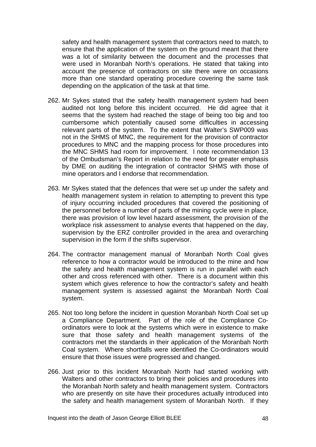safety and health management system that contractors need to match, to ensure that the application of the system on the ground meant that there was a lot of similarity between the document and the processes that were used in Moranbah North's operations. He stated that taking into account the presence of contractors on site there were on occasions more than one standard operating procedure covering the same task depending on the application of the task at that time.

- 262. Mr Sykes stated that the safety health management system had been audited not long before this incident occurred. He did agree that it seems that the system had reached the stage of being too big and too cumbersome which potentially caused some difficulties in accessing relevant parts of the system. To the extent that Walter's SWP009 was not in the SHMS of MNC, the requirement for the provision of contractor procedures to MNC and the mapping process for those procedures into the MNC SHMS had room for improvement. I note recommendation 13 of the Ombudsman's Report in relation to the need for greater emphasis by DME on auditing the integration of contractor SHMS with those of mine operators and I endorse that recommendation.
- 263. Mr Sykes stated that the defences that were set up under the safety and health management system in relation to attempting to prevent this type of injury occurring included procedures that covered the positioning of the personnel before a number of parts of the mining cycle were in place, there was provision of low level hazard assessment, the provision of the workplace risk assessment to analyse events that happened on the day, supervision by the ERZ controller provided in the area and overarching supervision in the form if the shifts supervisor.
- 264. The contractor management manual of Moranbah North Coal gives reference to how a contractor would be introduced to the mine and how the safety and health management system is run in parallel with each other and cross referenced with other. There is a document within this system which gives reference to how the contractor's safety and health management system is assessed against the Moranbah North Coal system.
- 265. Not too long before the incident in question Moranbah North Coal set up a Compliance Department. Part of the role of the Compliance Coordinators were to look at the systems which were in existence to make sure that those safety and health management systems of the contractors met the standards in their application of the Moranbah North Coal system. Where shortfalls were identified the Co-ordinators would ensure that those issues were progressed and changed.
- 266. Just prior to this incident Moranbah North had started working with Walters and other contractors to bring their policies and procedures into the Moranbah North safety and health management system. Contractors who are presently on site have their procedures actually introduced into the safety and health management system of Moranbah North. If they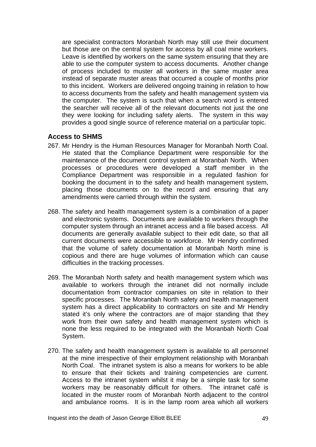are specialist contractors Moranbah North may still use their document but those are on the central system for access by all coal mine workers. Leave is identified by workers on the same system ensuring that they are able to use the computer system to access documents. Another change of process included to muster all workers in the same muster area instead of separate muster areas that occurred a couple of months prior to this incident. Workers are delivered ongoing training in relation to how to access documents from the safety and health management system via the computer. The system is such that when a search word is entered the searcher will receive all of the relevant documents not just the one they were looking for including safety alerts. The system in this way provides a good single source of reference material on a particular topic.

### **Access to SHMS**

- 267. Mr Hendry is the Human Resources Manager for Moranbah North Coal. He stated that the Compliance Department were responsible for the maintenance of the document control system at Moranbah North. When processes or procedures were developed a staff member in the Compliance Department was responsible in a regulated fashion for booking the document in to the safety and health management system, placing those documents on to the record and ensuring that any amendments were carried through within the system.
- 268. The safety and health management system is a combination of a paper and electronic systems. Documents are available to workers through the computer system through an intranet access and a file based access. All documents are generally available subject to their edit date, so that all current documents were accessible to workforce. Mr Hendry confirmed that the volume of safety documentation at Moranbah North mine is copious and there are huge volumes of information which can cause difficulties in the tracking processes.
- 269. The Moranbah North safety and health management system which was available to workers through the intranet did not normally include documentation from contractor companies on site in relation to their specific processes. The Moranbah North safety and health management system has a direct applicability to contractors on site and Mr Hendry stated it's only where the contractors are of major standing that they work from their own safety and health management system which is none the less required to be integrated with the Moranbah North Coal System.
- 270. The safety and health management system is available to all personnel at the mine irrespective of their employment relationship with Moranbah North Coal. The intranet system is also a means for workers to be able to ensure that their tickets and training competencies are current. Access to the intranet system whilst it may be a simple task for some workers may be reasonably difficult for others. The intranet café is located in the muster room of Moranbah North adjacent to the control and ambulance rooms. It is in the lamp room area which all workers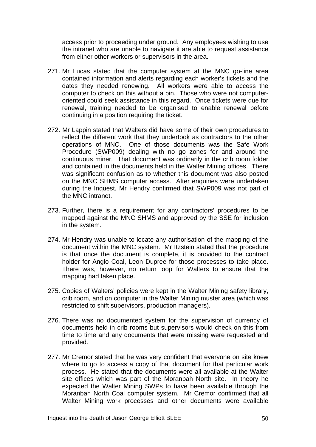access prior to proceeding under ground. Any employees wishing to use the intranet who are unable to navigate it are able to request assistance from either other workers or supervisors in the area.

- 271. Mr Lucas stated that the computer system at the MNC go-line area contained information and alerts regarding each worker's tickets and the dates they needed renewing. All workers were able to access the computer to check on this without a pin. Those who were not computeroriented could seek assistance in this regard. Once tickets were due for renewal, training needed to be organised to enable renewal before continuing in a position requiring the ticket.
- 272. Mr Lappin stated that Walters did have some of their own procedures to reflect the different work that they undertook as contractors to the other operations of MNC. One of those documents was the Safe Work Procedure (SWP009) dealing with no go zones for and around the continuous miner. That document was ordinarily in the crib room folder and contained in the documents held in the Walter Mining offices. There was significant confusion as to whether this document was also posted on the MNC SHMS computer access. After enquiries were undertaken during the Inquest, Mr Hendry confirmed that SWP009 was not part of the MNC intranet.
- 273. Further, there is a requirement for any contractors' procedures to be mapped against the MNC SHMS and approved by the SSE for inclusion in the system.
- 274. Mr Hendry was unable to locate any authorisation of the mapping of the document within the MNC system. Mr Itzstein stated that the procedure is that once the document is complete, it is provided to the contract holder for Anglo Coal, Leon Dupree for those processes to take place. There was, however, no return loop for Walters to ensure that the mapping had taken place.
- 275. Copies of Walters' policies were kept in the Walter Mining safety library, crib room, and on computer in the Walter Mining muster area (which was restricted to shift supervisors, production managers).
- 276. There was no documented system for the supervision of currency of documents held in crib rooms but supervisors would check on this from time to time and any documents that were missing were requested and provided.
- 277. Mr Cremor stated that he was very confident that everyone on site knew where to go to access a copy of that document for that particular work process. He stated that the documents were all available at the Walter site offices which was part of the Moranbah North site. In theory he expected the Walter Mining SWPs to have been available through the Moranbah North Coal computer system. Mr Cremor confirmed that all Walter Mining work processes and other documents were available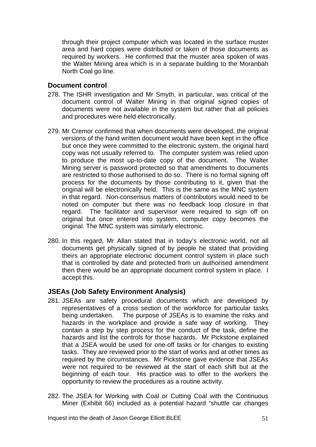through their project computer which was located in the surface muster area and hard copies were distributed or taken of those documents as required by workers. He confirmed that the muster area spoken of was the Walter Mining area which is in a separate building to the Moranbah North Coal go line.

### **Document control**

- 278. The ISHR investigation and Mr Smyth, in particular, was critical of the document control of Walter Mining in that original signed copies of documents were not available in the system but rather that all policies and procedures were held electronically.
- 279. Mr Cremor confirmed that when documents were developed, the original versions of the hand written document would have been kept in the office but once they were committed to the electronic system, the original hard copy was not usually referred to. The computer system was relied upon to produce the most up-to-date copy of the document. The Walter Mining server is password protected so that amendments to documents are restricted to those authorised to do so. There is no formal signing off process for the documents by those contributing to it, given that the original will be electronically held. This is the same as the MNC system in that regard. Non-consensus matters of contributors would need to be noted on computer but there was no feedback loop closure in that regard. The facilitator and supervisor were required to sign off on original but once entered into system, computer copy becomes the original. The MNC system was similarly electronic.
- 280. In this regard, Mr Allan stated that in today's electronic world, not all documents get physically signed of by people he stated that providing theirs an appropriate electronic document control system in place such that is controlled by date and protected from un authorised amendment then there would be an appropriate document control system in place. I accept this.

# **JSEAs (Job Safety Environment Analysis)**

- 281. JSEAs are safety procedural documents which are developed by representatives of a cross section of the workforce for particular tasks being undertaken. The purpose of JSEAs is to examine the risks and hazards in the workplace and provide a safe way of working. They contain a step by step process for the conduct of the task, define the hazards and list the controls for those hazards. Mr Pickstone explained that a JSEA would be used for one-off tasks or for changes to existing tasks. They are reviewed prior to the start of works and at other times as required by the circumstances. Mr Pickstone gave evidence that JSEAs were not required to be reviewed at the start of each shift but at the beginning of each tour. His practice was to offer to the workers the opportunity to review the procedures as a routine activity.
- 282. The JSEA for Working with Coal or Cutting Coal with the Continuous Miner (Exhibit 66) included as a potential hazard "shuttle car changes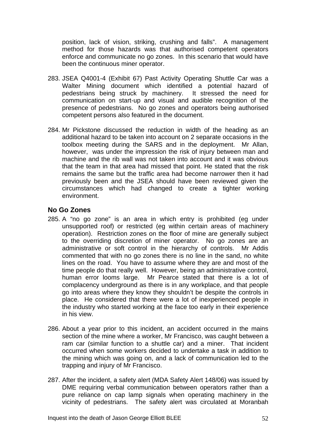position, lack of vision, striking, crushing and falls". A management method for those hazards was that authorised competent operators enforce and communicate no go zones. In this scenario that would have been the continuous miner operator.

- 283. JSEA Q4001-4 (Exhibit 67) Past Activity Operating Shuttle Car was a Walter Mining document which identified a potential hazard of pedestrians being struck by machinery. It stressed the need for communication on start-up and visual and audible recognition of the presence of pedestrians. No go zones and operators being authorised competent persons also featured in the document.
- 284. Mr Pickstone discussed the reduction in width of the heading as an additional hazard to be taken into account on 2 separate occasions in the toolbox meeting during the SARS and in the deployment. Mr Allan, however, was under the impression the risk of injury between man and machine and the rib wall was not taken into account and it was obvious that the team in that area had missed that point. He stated that the risk remains the same but the traffic area had become narrower then it had previously been and the JSEA should have been reviewed given the circumstances which had changed to create a tighter working environment.

# **No Go Zones**

- 285. A "no go zone" is an area in which entry is prohibited (eg under unsupported roof) or restricted (eg within certain areas of machinery operation). Restriction zones on the floor of mine are generally subject to the overriding discretion of miner operator. No go zones are an administrative or soft control in the hierarchy of controls. Mr Addis commented that with no go zones there is no line in the sand, no white lines on the road. You have to assume where they are and most of the time people do that really well. However, being an administrative control, human error looms large. Mr Pearce stated that there is a lot of complacency underground as there is in any workplace, and that people go into areas where they know they shouldn't be despite the controls in place. He considered that there were a lot of inexperienced people in the industry who started working at the face too early in their experience in his view.
- 286. About a year prior to this incident, an accident occurred in the mains section of the mine where a worker, Mr Francisco, was caught between a ram car (similar function to a shuttle car) and a miner. That incident occurred when some workers decided to undertake a task in addition to the mining which was going on, and a lack of communication led to the trapping and injury of Mr Francisco.
- 287. After the incident, a safety alert (MDA Safety Alert 148/06) was issued by DME requiring verbal communication between operators rather than a pure reliance on cap lamp signals when operating machinery in the vicinity of pedestrians. The safety alert was circulated at Moranbah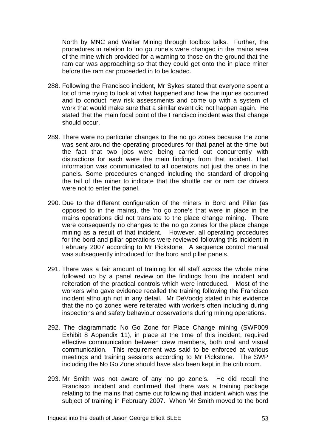North by MNC and Walter Mining through toolbox talks. Further, the procedures in relation to 'no go zone's were changed in the mains area of the mine which provided for a warning to those on the ground that the ram car was approaching so that they could get onto the in place miner before the ram car proceeded in to be loaded.

- 288. Following the Francisco incident, Mr Sykes stated that everyone spent a lot of time trying to look at what happened and how the injuries occurred and to conduct new risk assessments and come up with a system of work that would make sure that a similar event did not happen again. He stated that the main focal point of the Francisco incident was that change should occur.
- 289. There were no particular changes to the no go zones because the zone was sent around the operating procedures for that panel at the time but the fact that two jobs were being carried out concurrently with distractions for each were the main findings from that incident. That information was communicated to all operators not just the ones in the panels. Some procedures changed including the standard of dropping the tail of the miner to indicate that the shuttle car or ram car drivers were not to enter the panel.
- 290. Due to the different configuration of the miners in Bord and Pillar (as opposed to in the mains), the 'no go zone's that were in place in the mains operations did not translate to the place change mining. There were consequently no changes to the no go zones for the place change mining as a result of that incident. However, all operating procedures for the bord and pillar operations were reviewed following this incident in February 2007 according to Mr Pickstone. A sequence control manual was subsequently introduced for the bord and pillar panels.
- 291. There was a fair amount of training for all staff across the whole mine followed up by a panel review on the findings from the incident and reiteration of the practical controls which were introduced. Most of the workers who gave evidence recalled the training following the Francisco incident although not in any detail. Mr DeVoodg stated in his evidence that the no go zones were reiterated with workers often including during inspections and safety behaviour observations during mining operations.
- 292. The diagrammatic No Go Zone for Place Change mining (SWP009 Exhibit 8 Appendix 11), in place at the time of this incident, required effective communication between crew members, both oral and visual communication. This requirement was said to be enforced at various meetings and training sessions according to Mr Pickstone. The SWP including the No Go Zone should have also been kept in the crib room.
- 293. Mr Smith was not aware of any 'no go zone's. He did recall the Francisco incident and confirmed that there was a training package relating to the mains that came out following that incident which was the subject of training in February 2007. When Mr Smith moved to the bord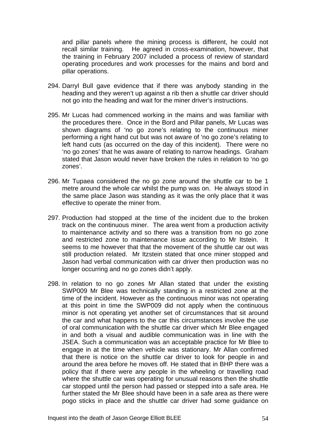and pillar panels where the mining process is different, he could not recall similar training. He agreed in cross-examination, however, that the training in February 2007 included a process of review of standard operating procedures and work processes for the mains and bord and pillar operations.

- 294. Darryl Bull gave evidence that if there was anybody standing in the heading and they weren't up against a rib then a shuttle car driver should not go into the heading and wait for the miner driver's instructions.
- 295. Mr Lucas had commenced working in the mains and was familiar with the procedures there. Once in the Bord and Pillar panels, Mr Lucas was shown diagrams of 'no go zone's relating to the continuous miner performing a right hand cut but was not aware of 'no go zone's relating to left hand cuts (as occurred on the day of this incident). There were no 'no go zones' that he was aware of relating to narrow headings. Graham stated that Jason would never have broken the rules in relation to 'no go zones'.
- 296. Mr Tupaea considered the no go zone around the shuttle car to be 1 metre around the whole car whilst the pump was on. He always stood in the same place Jason was standing as it was the only place that it was effective to operate the miner from.
- 297. Production had stopped at the time of the incident due to the broken track on the continuous miner. The area went from a production activity to maintenance activity and so there was a transition from no go zone and restricted zone to maintenance issue according to Mr Itstein. It seems to me however that that the movement of the shuttle car out was still production related. Mr Itzstein stated that once miner stopped and Jason had verbal communication with car driver then production was no longer occurring and no go zones didn't apply.
- 298. In relation to no go zones Mr Allan stated that under the existing SWP009 Mr Blee was technically standing in a restricted zone at the time of the incident. However as the continuous minor was not operating at this point in time the SWP009 did not apply when the continuous minor is not operating yet another set of circumstances that sit around the car and what happens to the car this circumstances involve the use of oral communication with the shuttle car driver which Mr Blee engaged in and both a visual and audible communication was in line with the JSEA. Such a communication was an acceptable practice for Mr Blee to engage in at the time when vehicle was stationary. Mr Allan confirmed that there is notice on the shuttle car driver to look for people in and around the area before he moves off. He stated that in BHP there was a policy that if there were any people in the wheeling or travelling road where the shuttle car was operating for unusual reasons then the shuttle car stopped until the person had passed or stepped into a safe area. He further stated the Mr Blee should have been in a safe area as there were pogo sticks in place and the shuttle car driver had some guidance on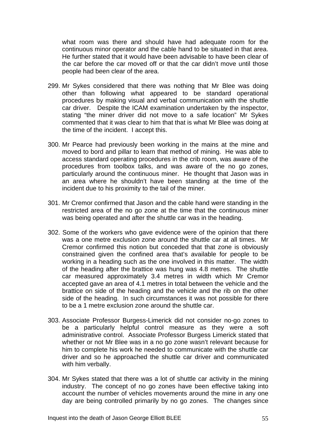what room was there and should have had adequate room for the continuous minor operator and the cable hand to be situated in that area. He further stated that it would have been advisable to have been clear of the car before the car moved off or that the car didn't move until those people had been clear of the area.

- 299. Mr Sykes considered that there was nothing that Mr Blee was doing other than following what appeared to be standard operational procedures by making visual and verbal communication with the shuttle car driver. Despite the ICAM examination undertaken by the inspector, stating "the miner driver did not move to a safe location" Mr Sykes commented that it was clear to him that that is what Mr Blee was doing at the time of the incident. I accept this.
- 300. Mr Pearce had previously been working in the mains at the mine and moved to bord and pillar to learn that method of mining. He was able to access standard operating procedures in the crib room, was aware of the procedures from toolbox talks, and was aware of the no go zones, particularly around the continuous miner. He thought that Jason was in an area where he shouldn't have been standing at the time of the incident due to his proximity to the tail of the miner.
- 301. Mr Cremor confirmed that Jason and the cable hand were standing in the restricted area of the no go zone at the time that the continuous miner was being operated and after the shuttle car was in the heading.
- 302. Some of the workers who gave evidence were of the opinion that there was a one metre exclusion zone around the shuttle car at all times. Mr Cremor confirmed this notion but conceded that that zone is obviously constrained given the confined area that's available for people to be working in a heading such as the one involved in this matter. The width of the heading after the brattice was hung was 4.8 metres. The shuttle car measured approximately 3.4 metres in width which Mr Cremor accepted gave an area of 4.1 metres in total between the vehicle and the brattice on side of the heading and the vehicle and the rib on the other side of the heading. In such circumstances it was not possible for there to be a 1 metre exclusion zone around the shuttle car.
- 303. Associate Professor Burgess-Limerick did not consider no-go zones to be a particularly helpful control measure as they were a soft administrative control. Associate Professor Burgess Limerick stated that whether or not Mr Blee was in a no go zone wasn't relevant because for him to complete his work he needed to communicate with the shuttle car driver and so he approached the shuttle car driver and communicated with him verbally.
- 304. Mr Sykes stated that there was a lot of shuttle car activity in the mining industry. The concept of no go zones have been effective taking into account the number of vehicles movements around the mine in any one day are being controlled primarily by no go zones. The changes since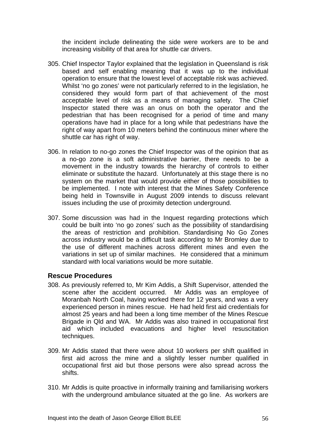the incident include delineating the side were workers are to be and increasing visibility of that area for shuttle car drivers.

- 305. Chief Inspector Taylor explained that the legislation in Queensland is risk based and self enabling meaning that it was up to the individual operation to ensure that the lowest level of acceptable risk was achieved. Whilst 'no go zones' were not particularly referred to in the legislation, he considered they would form part of that achievement of the most acceptable level of risk as a means of managing safety. The Chief Inspector stated there was an onus on both the operator and the pedestrian that has been recognised for a period of time and many operations have had in place for a long while that pedestrians have the right of way apart from 10 meters behind the continuous miner where the shuttle car has right of way.
- 306. In relation to no-go zones the Chief Inspector was of the opinion that as a no-go zone is a soft administrative barrier, there needs to be a movement in the industry towards the hierarchy of controls to either eliminate or substitute the hazard. Unfortunately at this stage there is no system on the market that would provide either of those possibilities to be implemented. I note with interest that the Mines Safety Conference being held in Townsville in August 2009 intends to discuss relevant issues including the use of proximity detection underground.
- 307. Some discussion was had in the Inquest regarding protections which could be built into 'no go zones' such as the possibility of standardising the areas of restriction and prohibition. Standardising No Go Zones across industry would be a difficult task according to Mr Bromley due to the use of different machines across different mines and even the variations in set up of similar machines. He considered that a minimum standard with local variations would be more suitable.

### **Rescue Procedures**

- 308. As previously referred to, Mr Kim Addis, a Shift Supervisor, attended the scene after the accident occurred. Mr Addis was an employee of Moranbah North Coal, having worked there for 12 years, and was a very experienced person in mines rescue. He had held first aid credentials for almost 25 years and had been a long time member of the Mines Rescue Brigade in Qld and WA. Mr Addis was also trained in occupational first aid which included evacuations and higher level resuscitation techniques.
- 309. Mr Addis stated that there were about 10 workers per shift qualified in first aid across the mine and a slightly lesser number qualified in occupational first aid but those persons were also spread across the shifts.
- 310. Mr Addis is quite proactive in informally training and familiarising workers with the underground ambulance situated at the go line. As workers are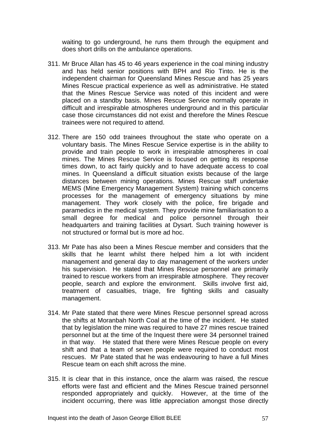waiting to go underground, he runs them through the equipment and does short drills on the ambulance operations.

- 311. Mr Bruce Allan has 45 to 46 years experience in the coal mining industry and has held senior positions with BPH and Rio Tinto. He is the independent chairman for Queensland Mines Rescue and has 25 years Mines Rescue practical experience as well as administrative. He stated that the Mines Rescue Service was noted of this incident and were placed on a standby basis. Mines Rescue Service normally operate in difficult and irrespirable atmospheres underground and in this particular case those circumstances did not exist and therefore the Mines Rescue trainees were not required to attend.
- 312. There are 150 odd trainees throughout the state who operate on a voluntary basis. The Mines Rescue Service expertise is in the ability to provide and train people to work in irrespirable atmospheres in coal mines. The Mines Rescue Service is focused on getting its response times down, to act fairly quickly and to have adequate access to coal mines. In Queensland a difficult situation exists because of the large distances between mining operations. Mines Rescue staff undertake MEMS (Mine Emergency Management System) training which concerns processes for the management of emergency situations by mine management. They work closely with the police, fire brigade and paramedics in the medical system. They provide mine familiarisation to a small degree for medical and police personnel through their headquarters and training facilities at Dysart. Such training however is not structured or formal but is more ad hoc.
- 313. Mr Pate has also been a Mines Rescue member and considers that the skills that he learnt whilst there helped him a lot with incident management and general day to day management of the workers under his supervision. He stated that Mines Rescue personnel are primarily trained to rescue workers from an irrespirable atmosphere. They recover people, search and explore the environment. Skills involve first aid, treatment of casualties, triage, fire fighting skills and casualty management.
- 314. Mr Pate stated that there were Mines Rescue personnel spread across the shifts at Moranbah North Coal at the time of the incident. He stated that by legislation the mine was required to have 27 mines rescue trained personnel but at the time of the Inquest there were 34 personnel trained in that way. He stated that there were Mines Rescue people on every shift and that a team of seven people were required to conduct most rescues. Mr Pate stated that he was endeavouring to have a full Mines Rescue team on each shift across the mine.
- 315. It is clear that in this instance, once the alarm was raised, the rescue efforts were fast and efficient and the Mines Rescue trained personnel responded appropriately and quickly. However, at the time of the incident occurring, there was little appreciation amongst those directly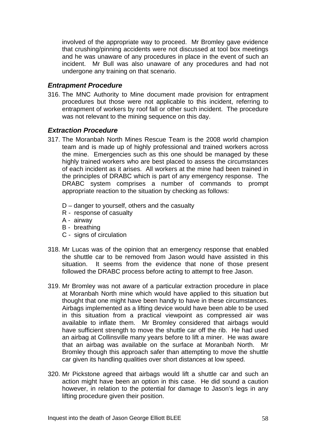involved of the appropriate way to proceed. Mr Bromley gave evidence that crushing/pinning accidents were not discussed at tool box meetings and he was unaware of any procedures in place in the event of such an incident. Mr Bull was also unaware of any procedures and had not undergone any training on that scenario.

### *Entrapment Procedure*

316. The MNC Authority to Mine document made provision for entrapment procedures but those were not applicable to this incident, referring to entrapment of workers by roof fall or other such incident. The procedure was not relevant to the mining sequence on this day.

### *Extraction Procedure*

- 317. The Moranbah North Mines Rescue Team is the 2008 world champion team and is made up of highly professional and trained workers across the mine. Emergencies such as this one should be managed by these highly trained workers who are best placed to assess the circumstances of each incident as it arises. All workers at the mine had been trained in the principles of DRABC which is part of any emergency response. The DRABC system comprises a number of commands to prompt appropriate reaction to the situation by checking as follows:
	- D danger to yourself, others and the casualty
	- R response of casualty
	- A airway
	- B breathing
	- C signs of circulation
- 318. Mr Lucas was of the opinion that an emergency response that enabled the shuttle car to be removed from Jason would have assisted in this situation. It seems from the evidence that none of those present followed the DRABC process before acting to attempt to free Jason.
- 319. Mr Bromley was not aware of a particular extraction procedure in place at Moranbah North mine which would have applied to this situation but thought that one might have been handy to have in these circumstances. Airbags implemented as a lifting device would have been able to be used in this situation from a practical viewpoint as compressed air was available to inflate them. Mr Bromley considered that airbags would have sufficient strength to move the shuttle car off the rib. He had used an airbag at Collinsville many years before to lift a miner. He was aware that an airbag was available on the surface at Moranbah North. Mr Bromley though this approach safer than attempting to move the shuttle car given its handling qualities over short distances at low speed.
- 320. Mr Pickstone agreed that airbags would lift a shuttle car and such an action might have been an option in this case. He did sound a caution however, in relation to the potential for damage to Jason's legs in any lifting procedure given their position.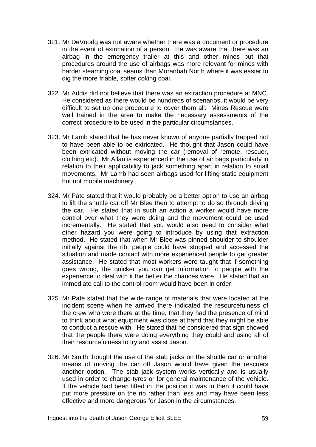- 321. Mr DeVoodg was not aware whether there was a document or procedure in the event of extrication of a person. He was aware that there was an airbag in the emergency trailer at this and other mines but that procedures around the use of airbags was more relevant for mines with harder steaming coal seams than Moranbah North where it was easier to dig the more friable, softer coking coal.
- 322. Mr Addis did not believe that there was an extraction procedure at MNC. He considered as there would be hundreds of scenarios, it would be very difficult to set up one procedure to cover them all. Mines Rescue were well trained in the area to make the necessary assessments of the correct procedure to be used in the particular circumstances.
- 323. Mr Lamb stated that he has never known of anyone partially trapped not to have been able to be extricated. He thought that Jason could have been extricated without moving the car (removal of remote, rescuer, clothing etc). Mr Allan is experienced in the use of air bags particularly in relation to their applicability to jack something apart in relation to small movements. Mr Lamb had seen airbags used for lifting static equipment but not mobile machinery.
- 324. Mr Pate stated that it would probably be a better option to use an airbag to lift the shuttle car off Mr Blee then to attempt to do so through driving the car. He stated that in such an action a worker would have more control over what they were doing and the movement could be used incrementally. He stated that you would also need to consider what other hazard you were going to introduce by using that extraction method. He stated that when Mr Blee was pinned shoulder to shoulder initially against the rib, people could have stopped and accessed the situation and made contact with more experienced people to get greater assistance. He stated that most workers were taught that if something goes wrong, the quicker you can get information to people with the experience to deal with it the better the chances were. He stated that an immediate call to the control room would have been in order.
- 325. Mr Pate stated that the wide range of materials that were located at the incident scene when he arrived there indicated the resourcefulness of the crew who were there at the time, that they had the presence of mind to think about what equipment was close at hand that they might be able to conduct a rescue with. He stated that he considered that sign showed that the people there were doing everything they could and using all of their resourcefulness to try and assist Jason.
- 326. Mr Smith thought the use of the stab jacks on the shuttle car or another means of moving the car off Jason would have given the rescuers another option. The stab jack system works vertically and is usually used in order to change tyres or for general maintenance of the vehicle. If the vehicle had been lifted in the position it was in then it could have put more pressure on the rib rather than less and may have been less effective and more dangerous for Jason in the circumstances.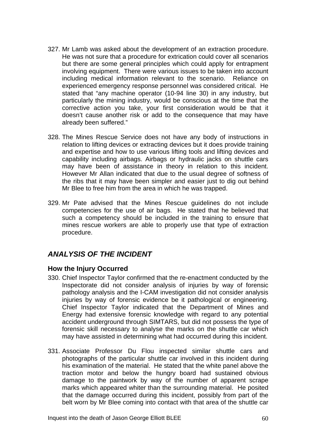- 327. Mr Lamb was asked about the development of an extraction procedure. He was not sure that a procedure for extrication could cover all scenarios but there are some general principles which could apply for entrapment involving equipment. There were various issues to be taken into account including medical information relevant to the scenario. Reliance on experienced emergency response personnel was considered critical. He stated that "any machine operator (10-94 line 30) in any industry, but particularly the mining industry, would be conscious at the time that the corrective action you take, your first consideration would be that it doesn't cause another risk or add to the consequence that may have already been suffered."
- 328. The Mines Rescue Service does not have any body of instructions in relation to lifting devices or extracting devices but it does provide training and expertise and how to use various lifting tools and lifting devices and capability including airbags. Airbags or hydraulic jacks on shuttle cars may have been of assistance in theory in relation to this incident. However Mr Allan indicated that due to the usual degree of softness of the ribs that it may have been simpler and easier just to dig out behind Mr Blee to free him from the area in which he was trapped.
- 329. Mr Pate advised that the Mines Rescue guidelines do not include competencies for the use of air bags. He stated that he believed that such a competency should be included in the training to ensure that mines rescue workers are able to properly use that type of extraction procedure.

# *ANALYSIS OF THE INCIDENT*

# **How the Injury Occurred**

- 330. Chief Inspector Taylor confirmed that the re-enactment conducted by the Inspectorate did not consider analysis of injuries by way of forensic pathology analysis and the I-CAM investigation did not consider analysis injuries by way of forensic evidence be it pathological or engineering. Chief Inspector Taylor indicated that the Department of Mines and Energy had extensive forensic knowledge with regard to any potential accident underground through SIMTARS, but did not possess the type of forensic skill necessary to analyse the marks on the shuttle car which may have assisted in determining what had occurred during this incident.
- 331. Associate Professor Du Flou inspected similar shuttle cars and photographs of the particular shuttle car involved in this incident during his examination of the material. He stated that the white panel above the traction motor and below the hungry board had sustained obvious damage to the paintwork by way of the number of apparent scrape marks which appeared whiter than the surrounding material. He posited that the damage occurred during this incident, possibly from part of the belt worn by Mr Blee coming into contact with that area of the shuttle car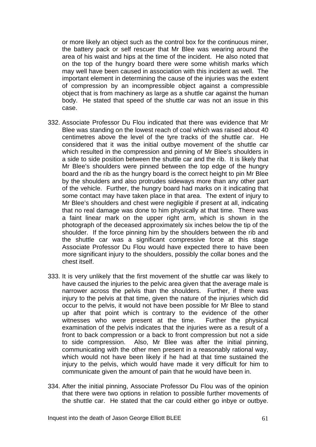or more likely an object such as the control box for the continuous miner, the battery pack or self rescuer that Mr Blee was wearing around the area of his waist and hips at the time of the incident. He also noted that on the top of the hungry board there were some whitish marks which may well have been caused in association with this incident as well. The important element in determining the cause of the injuries was the extent of compression by an incompressible object against a compressible object that is from machinery as large as a shuttle car against the human body. He stated that speed of the shuttle car was not an issue in this case.

- 332. Associate Professor Du Flou indicated that there was evidence that Mr Blee was standing on the lowest reach of coal which was raised about 40 centimetres above the level of the tyre tracks of the shuttle car. He considered that it was the initial outbye movement of the shuttle car which resulted in the compression and pinning of Mr Blee's shoulders in a side to side position between the shuttle car and the rib. It is likely that Mr Blee's shoulders were pinned between the top edge of the hungry board and the rib as the hungry board is the correct height to pin Mr Blee by the shoulders and also protrudes sideways more than any other part of the vehicle. Further, the hungry board had marks on it indicating that some contact may have taken place in that area. The extent of injury to Mr Blee's shoulders and chest were negligible if present at all, indicating that no real damage was done to him physically at that time. There was a faint linear mark on the upper right arm, which is shown in the photograph of the deceased approximately six inches below the tip of the shoulder. If the force pinning him by the shoulders between the rib and the shuttle car was a significant compressive force at this stage Associate Professor Du Flou would have expected there to have been more significant injury to the shoulders, possibly the collar bones and the chest itself.
- 333. It is very unlikely that the first movement of the shuttle car was likely to have caused the injuries to the pelvic area given that the average male is narrower across the pelvis than the shoulders. Further, if there was injury to the pelvis at that time, given the nature of the injuries which did occur to the pelvis, it would not have been possible for Mr Blee to stand up after that point which is contrary to the evidence of the other witnesses who were present at the time. Further the physical examination of the pelvis indicates that the injuries were as a result of a front to back compression or a back to front compression but not a side to side compression. Also, Mr Blee was after the initial pinning, communicating with the other men present in a reasonably rational way, which would not have been likely if he had at that time sustained the injury to the pelvis, which would have made it very difficult for him to communicate given the amount of pain that he would have been in.
- 334. After the initial pinning, Associate Professor Du Flou was of the opinion that there were two options in relation to possible further movements of the shuttle car. He stated that the car could either go inbye or outbye.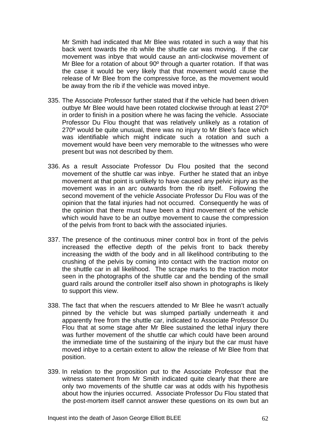Mr Smith had indicated that Mr Blee was rotated in such a way that his back went towards the rib while the shuttle car was moving. If the car movement was inbye that would cause an anti-clockwise movement of Mr Blee for a rotation of about 90º through a quarter rotation. If that was the case it would be very likely that that movement would cause the release of Mr Blee from the compressive force, as the movement would be away from the rib if the vehicle was moved inbye.

- 335. The Associate Professor further stated that if the vehicle had been driven outbye Mr Blee would have been rotated clockwise through at least 270º in order to finish in a position where he was facing the vehicle. Associate Professor Du Flou thought that was relatively unlikely as a rotation of 270º would be quite unusual, there was no injury to Mr Blee's face which was identifiable which might indicate such a rotation and such a movement would have been very memorable to the witnesses who were present but was not described by them.
- 336. As a result Associate Professor Du Flou posited that the second movement of the shuttle car was inbye. Further he stated that an inbye movement at that point is unlikely to have caused any pelvic injury as the movement was in an arc outwards from the rib itself. Following the second movement of the vehicle Associate Professor Du Flou was of the opinion that the fatal injuries had not occurred. Consequently he was of the opinion that there must have been a third movement of the vehicle which would have to be an outbye movement to cause the compression of the pelvis from front to back with the associated injuries.
- 337. The presence of the continuous miner control box in front of the pelvis increased the effective depth of the pelvis front to back thereby increasing the width of the body and in all likelihood contributing to the crushing of the pelvis by coming into contact with the traction motor on the shuttle car in all likelihood. The scrape marks to the traction motor seen in the photographs of the shuttle car and the bending of the small guard rails around the controller itself also shown in photographs is likely to support this view.
- 338. The fact that when the rescuers attended to Mr Blee he wasn't actually pinned by the vehicle but was slumped partially underneath it and apparently free from the shuttle car, indicated to Associate Professor Du Flou that at some stage after Mr Blee sustained the lethal injury there was further movement of the shuttle car which could have been around the immediate time of the sustaining of the injury but the car must have moved inbye to a certain extent to allow the release of Mr Blee from that position.
- 339. In relation to the proposition put to the Associate Professor that the witness statement from Mr Smith indicated quite clearly that there are only two movements of the shuttle car was at odds with his hypothesis about how the injuries occurred. Associate Professor Du Flou stated that the post-mortem itself cannot answer these questions on its own but an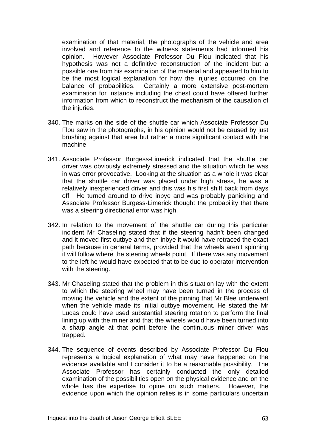examination of that material, the photographs of the vehicle and area involved and reference to the witness statements had informed his opinion. However Associate Professor Du Flou indicated that his hypothesis was not a definitive reconstruction of the incident but a possible one from his examination of the material and appeared to him to be the most logical explanation for how the injuries occurred on the balance of probabilities. Certainly a more extensive post-mortem examination for instance including the chest could have offered further information from which to reconstruct the mechanism of the causation of the injuries.

- 340. The marks on the side of the shuttle car which Associate Professor Du Flou saw in the photographs, in his opinion would not be caused by just brushing against that area but rather a more significant contact with the machine.
- 341. Associate Professor Burgess-Limerick indicated that the shuttle car driver was obviously extremely stressed and the situation which he was in was error provocative. Looking at the situation as a whole it was clear that the shuttle car driver was placed under high stress, he was a relatively inexperienced driver and this was his first shift back from days off. He turned around to drive inbye and was probably panicking and Associate Professor Burgess-Limerick thought the probability that there was a steering directional error was high.
- 342. In relation to the movement of the shuttle car during this particular incident Mr Chaseling stated that if the steering hadn't been changed and it moved first outbye and then inbye it would have retraced the exact path because in general terms, provided that the wheels aren't spinning it will follow where the steering wheels point. If there was any movement to the left he would have expected that to be due to operator intervention with the steering.
- 343. Mr Chaseling stated that the problem in this situation lay with the extent to which the steering wheel may have been turned in the process of moving the vehicle and the extent of the pinning that Mr Blee underwent when the vehicle made its initial outbye movement. He stated the Mr Lucas could have used substantial steering rotation to perform the final lining up with the miner and that the wheels would have been turned into a sharp angle at that point before the continuous miner driver was trapped.
- 344. The sequence of events described by Associate Professor Du Flou represents a logical explanation of what may have happened on the evidence available and I consider it to be a reasonable possibility. The Associate Professor has certainly conducted the only detailed examination of the possibilities open on the physical evidence and on the whole has the expertise to opine on such matters. However, the evidence upon which the opinion relies is in some particulars uncertain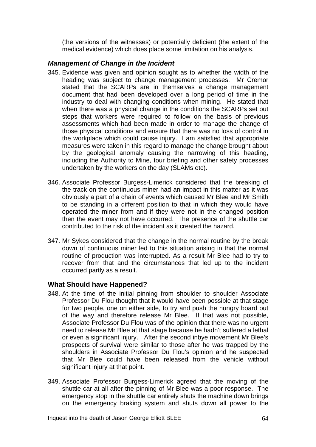(the versions of the witnesses) or potentially deficient (the extent of the medical evidence) which does place some limitation on his analysis.

## *Management of Change in the Incident*

- 345. Evidence was given and opinion sought as to whether the width of the heading was subject to change management processes. Mr Cremor stated that the SCARPs are in themselves a change management document that had been developed over a long period of time in the industry to deal with changing conditions when mining. He stated that when there was a physical change in the conditions the SCARPs set out steps that workers were required to follow on the basis of previous assessments which had been made in order to manage the change of those physical conditions and ensure that there was no loss of control in the workplace which could cause injury. I am satisfied that appropriate measures were taken in this regard to manage the change brought about by the geological anomaly causing the narrowing of this heading, including the Authority to Mine, tour briefing and other safety processes undertaken by the workers on the day (SLAMs etc).
- 346. Associate Professor Burgess-Limerick considered that the breaking of the track on the continuous miner had an impact in this matter as it was obviously a part of a chain of events which caused Mr Blee and Mr Smith to be standing in a different position to that in which they would have operated the miner from and if they were not in the changed position then the event may not have occurred. The presence of the shuttle car contributed to the risk of the incident as it created the hazard.
- 347. Mr Sykes considered that the change in the normal routine by the break down of continuous miner led to this situation arising in that the normal routine of production was interrupted. As a result Mr Blee had to try to recover from that and the circumstances that led up to the incident occurred partly as a result.

### **What Should have Happened?**

- 348. At the time of the initial pinning from shoulder to shoulder Associate Professor Du Flou thought that it would have been possible at that stage for two people, one on either side, to try and push the hungry board out of the way and therefore release Mr Blee. If that was not possible, Associate Professor Du Flou was of the opinion that there was no urgent need to release Mr Blee at that stage because he hadn't suffered a lethal or even a significant injury. After the second inbye movement Mr Blee's prospects of survival were similar to those after he was trapped by the shoulders in Associate Professor Du Flou's opinion and he suspected that Mr Blee could have been released from the vehicle without significant injury at that point.
- 349. Associate Professor Burgess-Limerick agreed that the moving of the shuttle car at all after the pinning of Mr Blee was a poor response. The emergency stop in the shuttle car entirely shuts the machine down brings on the emergency braking system and shuts down all power to the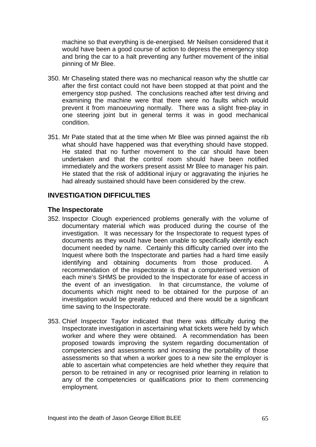machine so that everything is de-energised. Mr Neilsen considered that it would have been a good course of action to depress the emergency stop and bring the car to a halt preventing any further movement of the initial pinning of Mr Blee.

- 350. Mr Chaseling stated there was no mechanical reason why the shuttle car after the first contact could not have been stopped at that point and the emergency stop pushed. The conclusions reached after test driving and examining the machine were that there were no faults which would prevent it from manoeuvring normally. There was a slight free-play in one steering joint but in general terms it was in good mechanical condition.
- 351. Mr Pate stated that at the time when Mr Blee was pinned against the rib what should have happened was that everything should have stopped. He stated that no further movement to the car should have been undertaken and that the control room should have been notified immediately and the workers present assist Mr Blee to manager his pain. He stated that the risk of additional injury or aggravating the injuries he had already sustained should have been considered by the crew.

### **INVESTIGATION DIFFICULTIES**

#### **The Inspectorate**

- 352. Inspector Clough experienced problems generally with the volume of documentary material which was produced during the course of the investigation. It was necessary for the Inspectorate to request types of documents as they would have been unable to specifically identify each document needed by name. Certainly this difficulty carried over into the Inquest where both the Inspectorate and parties had a hard time easily identifying and obtaining documents from those produced. A recommendation of the inspectorate is that a computerised version of each mine's SHMS be provided to the Inspectorate for ease of access in the event of an investigation. In that circumstance, the volume of documents which might need to be obtained for the purpose of an investigation would be greatly reduced and there would be a significant time saving to the Inspectorate.
- 353. Chief Inspector Taylor indicated that there was difficulty during the Inspectorate investigation in ascertaining what tickets were held by which worker and where they were obtained. A recommendation has been proposed towards improving the system regarding documentation of competencies and assessments and increasing the portability of those assessments so that when a worker goes to a new site the employer is able to ascertain what competencies are held whether they require that person to be retrained in any or recognised prior learning in relation to any of the competencies or qualifications prior to them commencing employment.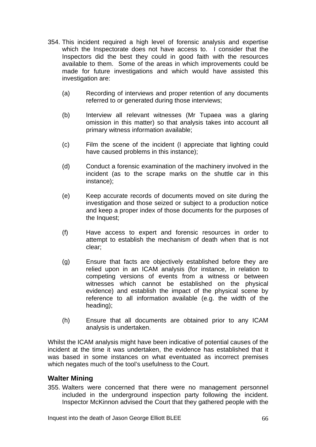- 354. This incident required a high level of forensic analysis and expertise which the Inspectorate does not have access to. I consider that the Inspectors did the best they could in good faith with the resources available to them. Some of the areas in which improvements could be made for future investigations and which would have assisted this investigation are:
	- (a) Recording of interviews and proper retention of any documents referred to or generated during those interviews;
	- (b) Interview all relevant witnesses (Mr Tupaea was a glaring omission in this matter) so that analysis takes into account all primary witness information available;
	- (c) Film the scene of the incident (I appreciate that lighting could have caused problems in this instance);
	- (d) Conduct a forensic examination of the machinery involved in the incident (as to the scrape marks on the shuttle car in this instance);
	- (e) Keep accurate records of documents moved on site during the investigation and those seized or subject to a production notice and keep a proper index of those documents for the purposes of the Inquest;
	- (f) Have access to expert and forensic resources in order to attempt to establish the mechanism of death when that is not clear;
	- (g) Ensure that facts are objectively established before they are relied upon in an ICAM analysis (for instance, in relation to competing versions of events from a witness or between witnesses which cannot be established on the physical evidence) and establish the impact of the physical scene by reference to all information available (e.g. the width of the heading);
	- (h) Ensure that all documents are obtained prior to any ICAM analysis is undertaken.

Whilst the ICAM analysis might have been indicative of potential causes of the incident at the time it was undertaken, the evidence has established that it was based in some instances on what eventuated as incorrect premises which negates much of the tool's usefulness to the Court.

### **Walter Mining**

355. Walters were concerned that there were no management personnel included in the underground inspection party following the incident. Inspector McKinnon advised the Court that they gathered people with the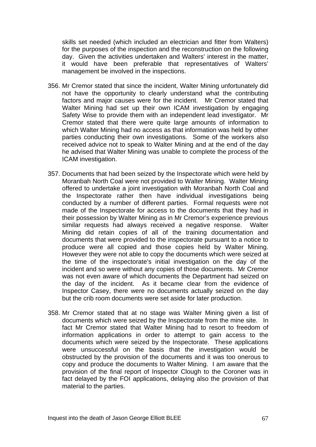skills set needed (which included an electrician and fitter from Walters) for the purposes of the inspection and the reconstruction on the following day. Given the activities undertaken and Walters' interest in the matter, it would have been preferable that representatives of Walters' management be involved in the inspections.

- 356. Mr Cremor stated that since the incident, Walter Mining unfortunately did not have the opportunity to clearly understand what the contributing factors and major causes were for the incident. Mr Cremor stated that Walter Mining had set up their own ICAM investigation by engaging Safety Wise to provide them with an independent lead investigator. Mr Cremor stated that there were quite large amounts of information to which Walter Mining had no access as that information was held by other parties conducting their own investigations. Some of the workers also received advice not to speak to Walter Mining and at the end of the day he advised that Walter Mining was unable to complete the process of the ICAM investigation.
- 357. Documents that had been seized by the Inspectorate which were held by Moranbah North Coal were not provided to Walter Mining. Walter Mining offered to undertake a joint investigation with Moranbah North Coal and the Inspectorate rather then have individual investigations being conducted by a number of different parties. Formal requests were not made of the Inspectorate for access to the documents that they had in their possession by Walter Mining as in Mr Cremor's experience previous similar requests had always received a negative response. Walter Mining did retain copies of all of the training documentation and documents that were provided to the inspectorate pursuant to a notice to produce were all copied and those copies held by Walter Mining. However they were not able to copy the documents which were seized at the time of the inspectorate's initial investigation on the day of the incident and so were without any copies of those documents. Mr Cremor was not even aware of which documents the Department had seized on the day of the incident. As it became clear from the evidence of Inspector Casey, there were no documents actually seized on the day but the crib room documents were set aside for later production.
- 358. Mr Cremor stated that at no stage was Walter Mining given a list of documents which were seized by the Inspectorate from the mine site. In fact Mr Cremor stated that Walter Mining had to resort to freedom of information applications in order to attempt to gain access to the documents which were seized by the Inspectorate. These applications were unsuccessful on the basis that the investigation would be obstructed by the provision of the documents and it was too onerous to copy and produce the documents to Walter Mining. I am aware that the provision of the final report of Inspector Clough to the Coroner was in fact delayed by the FOI applications, delaying also the provision of that material to the parties.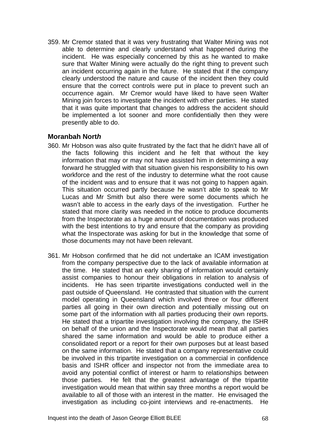359. Mr Cremor stated that it was very frustrating that Walter Mining was not able to determine and clearly understand what happened during the incident. He was especially concerned by this as he wanted to make sure that Walter Mining were actually do the right thing to prevent such an incident occurring again in the future. He stated that if the company clearly understood the nature and cause of the incident then they could ensure that the correct controls were put in place to prevent such an occurrence again. Mr Cremor would have liked to have seen Walter Mining join forces to investigate the incident with other parties. He stated that it was quite important that changes to address the accident should be implemented a lot sooner and more confidentially then they were presently able to do.

### **Moranbah Nort***h*

- 360. Mr Hobson was also quite frustrated by the fact that he didn't have all of the facts following this incident and he felt that without the key information that may or may not have assisted him in determining a way forward he struggled with that situation given his responsibility to his own workforce and the rest of the industry to determine what the root cause of the incident was and to ensure that it was not going to happen again. This situation occurred partly because he wasn't able to speak to Mr Lucas and Mr Smith but also there were some documents which he wasn't able to access in the early days of the investigation. Further he stated that more clarity was needed in the notice to produce documents from the Inspectorate as a huge amount of documentation was produced with the best intentions to try and ensure that the company as providing what the Inspectorate was asking for but in the knowledge that some of those documents may not have been relevant.
- 361. Mr Hobson confirmed that he did not undertake an ICAM investigation from the company perspective due to the lack of available information at the time. He stated that an early sharing of information would certainly assist companies to honour their obligations in relation to analysis of incidents. He has seen tripartite investigations conducted well in the past outside of Queensland. He contrasted that situation with the current model operating in Queensland which involved three or four different parties all going in their own direction and potentially missing out on some part of the information with all parties producing their own reports. He stated that a tripartite investigation involving the company, the ISHR on behalf of the union and the Inspectorate would mean that all parties shared the same information and would be able to produce either a consolidated report or a report for their own purposes but at least based on the same information. He stated that a company representative could be involved in this tripartite investigation on a commercial in confidence basis and ISHR officer and inspector not from the immediate area to avoid any potential conflict of interest or harm to relationships between those parties. He felt that the greatest advantage of the tripartite investigation would mean that within say three months a report would be available to all of those with an interest in the matter. He envisaged the investigation as including co-joint interviews and re-enactments. He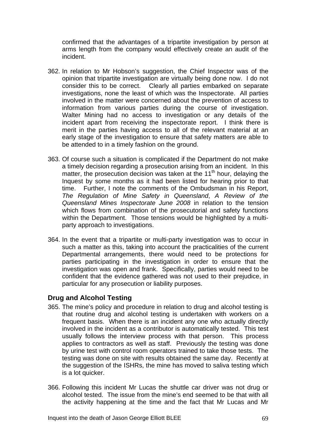confirmed that the advantages of a tripartite investigation by person at arms length from the company would effectively create an audit of the incident.

- 362. In relation to Mr Hobson's suggestion, the Chief Inspector was of the opinion that tripartite investigation are virtually being done now. I do not consider this to be correct. Clearly all parties embarked on separate investigations, none the least of which was the Inspectorate. All parties involved in the matter were concerned about the prevention of access to information from various parties during the course of investigation. Walter Mining had no access to investigation or any details of the incident apart from receiving the inspectorate report. I think there is merit in the parties having access to all of the relevant material at an early stage of the investigation to ensure that safety matters are able to be attended to in a timely fashion on the ground.
- 363. Of course such a situation is complicated if the Department do not make a timely decision regarding a prosecution arising from an incident. In this matter, the prosecution decision was taken at the  $11<sup>th</sup>$  hour, delaying the Inquest by some months as it had been listed for hearing prior to that time. Further, I note the comments of the Ombudsman in his Report, *The Regulation of Mine Safety in Queensland*, *A Review of the Queensland Mines Inspectorate June 2008* in relation to the tension which flows from combination of the prosecutorial and safety functions within the Department. Those tensions would be highlighted by a multiparty approach to investigations.
- 364. In the event that a tripartite or multi-party investigation was to occur in such a matter as this, taking into account the practicalities of the current Departmental arrangements, there would need to be protections for parties participating in the investigation in order to ensure that the investigation was open and frank. Specifically, parties would need to be confident that the evidence gathered was not used to their prejudice, in particular for any prosecution or liability purposes.

# **Drug and Alcohol Testing**

- 365. The mine's policy and procedure in relation to drug and alcohol testing is that routine drug and alcohol testing is undertaken with workers on a frequent basis. When there is an incident any one who actually directly involved in the incident as a contributor is automatically tested. This test usually follows the interview process with that person. This process applies to contractors as well as staff. Previously the testing was done by urine test with control room operators trained to take those tests. The testing was done on site with results obtained the same day. Recently at the suggestion of the ISHRs, the mine has moved to saliva testing which is a lot quicker.
- 366. Following this incident Mr Lucas the shuttle car driver was not drug or alcohol tested. The issue from the mine's end seemed to be that with all the activity happening at the time and the fact that Mr Lucas and Mr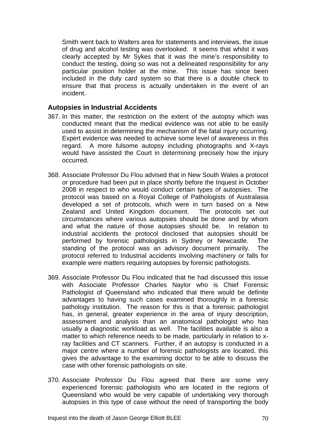Smith went back to Walters area for statements and interviews, the issue of drug and alcohol testing was overlooked. It seems that whilst it was clearly accepted by Mr Sykes that it was the mine's responsibility to conduct the testing, doing so was not a delineated responsibility for any particular position holder at the mine. This issue has since been included in the duty card system so that there is a double check to ensure that that process is actually undertaken in the event of an incident.

### **Autopsies in Industrial Accidents**

- 367. In this matter, the restriction on the extent of the autopsy which was conducted meant that the medical evidence was not able to be easily used to assist in determining the mechanism of the fatal injury occurring. Expert evidence was needed to achieve some level of awareness in this regard. A more fulsome autopsy including photographs and X-rays would have assisted the Court in determining precisely how the injury occurred.
- 368. Associate Professor Du Flou advised that in New South Wales a protocol or procedure had been put in place shortly before the Inquest in October 2008 in respect to who would conduct certain types of autopsies. The protocol was based on a Royal College of Pathologists of Australasia developed a set of protocols, which were in turn based on a New Zealand and United Kingdom document. The protocols set out circumstances where various autopsies should be done and by whom and what the nature of those autopsies should be. In relation to industrial accidents the protocol disclosed that autopsies should be performed by forensic pathologists in Sydney or Newcastle. The standing of the protocol was an advisory document primarily. The protocol referred to Industrial accidents involving machinery or falls for example were matters requiring autopsies by forensic pathologists.
- 369. Associate Professor Du Flou indicated that he had discussed this issue with Associate Professor Charles Naylor who is Chief Forensic Pathologist of Queensland who indicated that there would be definite advantages to having such cases examined thoroughly in a forensic pathology institution. The reason for this is that a forensic pathologist has, in general, greater experience in the area of injury description, assessment and analysis than an anatomical pathologist who has usually a diagnostic workload as well. The facilities available is also a matter to which reference needs to be made, particularly in relation to xray facilities and CT scanners. Further, if an autopsy is conducted in a major centre where a number of forensic pathologists are located, this gives the advantage to the examining doctor to be able to discuss the case with other forensic pathologists on site.
- 370. Associate Professor Du Flou agreed that there are some very experienced forensic pathologists who are located in the regions of Queensland who would be very capable of undertaking very thorough autopsies in this type of case without the need of transporting the body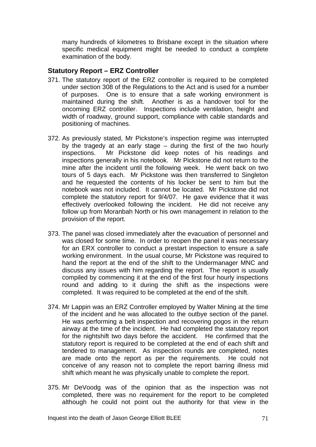many hundreds of kilometres to Brisbane except in the situation where specific medical equipment might be needed to conduct a complete examination of the body.

### **Statutory Report – ERZ Controller**

- 371. The statutory report of the ERZ controller is required to be completed under section 308 of the Regulations to the Act and is used for a number of purposes. One is to ensure that a safe working environment is maintained during the shift. Another is as a handover tool for the oncoming ERZ controller. Inspections include ventilation, height and width of roadway, ground support, compliance with cable standards and positioning of machines.
- 372. As previously stated, Mr Pickstone's inspection regime was interrupted by the tragedy at an early stage – during the first of the two hourly inspections. Mr Pickstone did keep notes of his readings and inspections generally in his notebook. Mr Pickstone did not return to the mine after the incident until the following week. He went back on two tours of 5 days each. Mr Pickstone was then transferred to Singleton and he requested the contents of his locker be sent to him but the notebook was not included. It cannot be located. Mr Pickstone did not complete the statutory report for 9/4/07. He gave evidence that it was effectively overlooked following the incident. He did not receive any follow up from Moranbah North or his own management in relation to the provision of the report.
- 373. The panel was closed immediately after the evacuation of personnel and was closed for some time. In order to reopen the panel it was necessary for an ERX controller to conduct a prestart inspection to ensure a safe working environment. In the usual course, Mr Pickstone was required to hand the report at the end of the shift to the Undermanager MNC and discuss any issues with him regarding the report. The report is usually compiled by commencing it at the end of the first four hourly inspections round and adding to it during the shift as the inspections were completed. It was required to be completed at the end of the shift.
- 374. Mr Lappin was an ERZ Controller employed by Walter Mining at the time of the incident and he was allocated to the outbye section of the panel. He was performing a belt inspection and recovering pogos in the return airway at the time of the incident. He had completed the statutory report for the nightshift two days before the accident. He confirmed that the statutory report is required to be completed at the end of each shift and tendered to management. As inspection rounds are completed, notes are made onto the report as per the requirements. He could not conceive of any reason not to complete the report barring illness mid shift which meant he was physically unable to complete the report.
- 375. Mr DeVoodg was of the opinion that as the inspection was not completed, there was no requirement for the report to be completed although he could not point out the authority for that view in the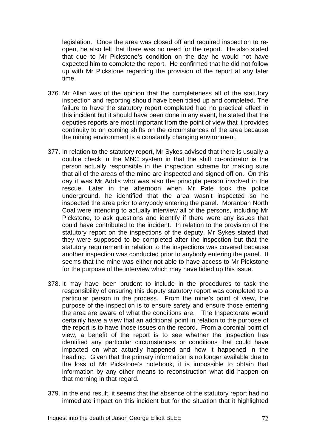legislation. Once the area was closed off and required inspection to reopen, he also felt that there was no need for the report. He also stated that due to Mr Pickstone's condition on the day he would not have expected him to complete the report. He confirmed that he did not follow up with Mr Pickstone regarding the provision of the report at any later time.

- 376. Mr Allan was of the opinion that the completeness all of the statutory inspection and reporting should have been tidied up and completed. The failure to have the statutory report completed had no practical effect in this incident but it should have been done in any event, he stated that the deputies reports are most important from the point of view that it provides continuity to on coming shifts on the circumstances of the area because the mining environment is a constantly changing environment.
- 377. In relation to the statutory report, Mr Sykes advised that there is usually a double check in the MNC system in that the shift co-ordinator is the person actually responsible in the inspection scheme for making sure that all of the areas of the mine are inspected and signed off on. On this day it was Mr Addis who was also the principle person involved in the rescue. Later in the afternoon when Mr Pate took the police underground, he identified that the area wasn't inspected so he inspected the area prior to anybody entering the panel. Moranbah North Coal were intending to actually interview all of the persons, including Mr Pickstone, to ask questions and identify if there were any issues that could have contributed to the incident. In relation to the provision of the statutory report on the inspections of the deputy, Mr Sykes stated that they were supposed to be completed after the inspection but that the statutory requirement in relation to the inspections was covered because another inspection was conducted prior to anybody entering the panel. It seems that the mine was either not able to have access to Mr Pickstone for the purpose of the interview which may have tidied up this issue.
- 378. It may have been prudent to include in the procedures to task the responsibility of ensuring this deputy statutory report was completed to a particular person in the process. From the mine's point of view, the purpose of the inspection is to ensure safety and ensure those entering the area are aware of what the conditions are. The Inspectorate would certainly have a view that an additional point in relation to the purpose of the report is to have those issues on the record. From a coronial point of view, a benefit of the report is to see whether the inspection has identified any particular circumstances or conditions that could have impacted on what actually happened and how it happened in the heading. Given that the primary information is no longer available due to the loss of Mr Pickstone's notebook, it is impossible to obtain that information by any other means to reconstruction what did happen on that morning in that regard.
- 379. In the end result, it seems that the absence of the statutory report had no immediate impact on this incident but for the situation that it highlighted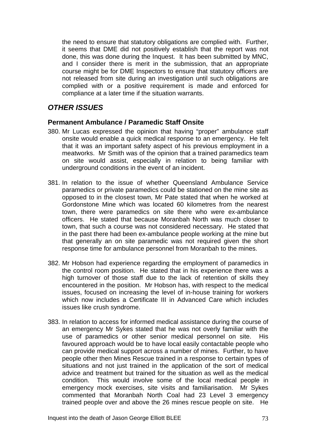the need to ensure that statutory obligations are complied with. Further, it seems that DME did not positively establish that the report was not done, this was done during the Inquest. It has been submitted by MNC, and I consider there is merit in the submission, that an appropriate course might be for DME Inspectors to ensure that statutory officers are not released from site during an investigation until such obligations are complied with or a positive requirement is made and enforced for compliance at a later time if the situation warrants.

# *OTHER ISSUES*

### **Permanent Ambulance / Paramedic Staff Onsite**

- 380. Mr Lucas expressed the opinion that having "proper" ambulance staff onsite would enable a quick medical response to an emergency. He felt that it was an important safety aspect of his previous employment in a meatworks. Mr Smith was of the opinion that a trained paramedics team on site would assist, especially in relation to being familiar with underground conditions in the event of an incident.
- 381. In relation to the issue of whether Queensland Ambulance Service paramedics or private paramedics could be stationed on the mine site as opposed to in the closest town, Mr Pate stated that when he worked at Gordonstone Mine which was located 60 kilometres from the nearest town, there were paramedics on site there who were ex-ambulance officers. He stated that because Moranbah North was much closer to town, that such a course was not considered necessary. He stated that in the past there had been ex-ambulance people working at the mine but that generally an on site paramedic was not required given the short response time for ambulance personnel from Moranbah to the mines.
- 382. Mr Hobson had experience regarding the employment of paramedics in the control room position. He stated that in his experience there was a high turnover of those staff due to the lack of retention of skills they encountered in the position. Mr Hobson has, with respect to the medical issues, focused on increasing the level of in-house training for workers which now includes a Certificate III in Advanced Care which includes issues like crush syndrome.
- 383. In relation to access for informed medical assistance during the course of an emergency Mr Sykes stated that he was not overly familiar with the use of paramedics or other senior medical personnel on site. His favoured approach would be to have local easily contactable people who can provide medical support across a number of mines. Further, to have people other then Mines Rescue trained in a response to certain types of situations and not just trained in the application of the sort of medical advice and treatment but trained for the situation as well as the medical condition. This would involve some of the local medical people in emergency mock exercises, site visits and familiarisation. Mr Sykes commented that Moranbah North Coal had 23 Level 3 emergency trained people over and above the 26 mines rescue people on site. He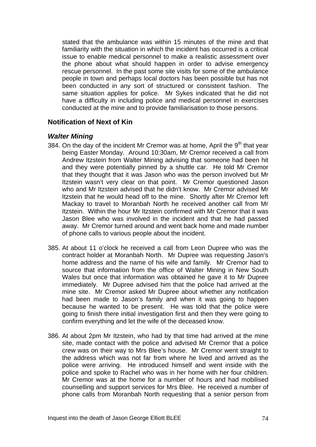stated that the ambulance was within 15 minutes of the mine and that familiarity with the situation in which the incident has occurred is a critical issue to enable medical personnel to make a realistic assessment over the phone about what should happen in order to advise emergency rescue personnel. In the past some site visits for some of the ambulance people in town and perhaps local doctors has been possible but has not been conducted in any sort of structured or consistent fashion. The same situation applies for police. Mr Sykes indicated that he did not have a difficulty in including police and medical personnel in exercises conducted at the mine and to provide familiarisation to those persons.

#### **Notification of Next of Kin**

### *Walter Mining*

- 384. On the day of the incident Mr Cremor was at home, April the  $9<sup>th</sup>$  that year being Easter Monday. Around 10:30am, Mr Cremor received a call from Andrew Itzstein from Walter Mining advising that someone had been hit and they were potentially pinned by a shuttle car. He told Mr Cremor that they thought that it was Jason who was the person involved but Mr Itzstein wasn't very clear on that point. Mr Cremor questioned Jason who and Mr Itzstein advised that he didn't know. Mr Cremor advised Mr Itzstein that he would head off to the mine. Shortly after Mr Cremor left Mackay to travel to Moranbah North he received another call from Mr Itzstein. Within the hour Mr Itzstein confirmed with Mr Cremor that it was Jason Blee who was involved in the incident and that he had passed away. Mr Cremor turned around and went back home and made number of phone calls to various people about the incident.
- 385. At about 11 o'clock he received a call from Leon Dupree who was the contract holder at Moranbah North. Mr Dupree was requesting Jason's home address and the name of his wife and family. Mr Cremor had to source that information from the office of Walter Mining in New South Wales but once that information was obtained he gave it to Mr Dupree immediately. Mr Dupree advised him that the police had arrived at the mine site. Mr Cremor asked Mr Dupree about whether any notification had been made to Jason's family and when it was going to happen because he wanted to be present. He was told that the police were going to finish there initial investigation first and then they were going to confirm everything and let the wife of the deceased know.
- 386. At about 2pm Mr Itzstein, who had by that time had arrived at the mine site, made contact with the police and advised Mr Cremor that a police crew was on their way to Mrs Blee's house. Mr Cremor went straight to the address which was not far from where he lived and arrived as the police were arriving. He introduced himself and went inside with the police and spoke to Rachel who was in her home with her four children. Mr Cremor was at the home for a number of hours and had mobilised counselling and support services for Mrs Blee. He received a number of phone calls from Moranbah North requesting that a senior person from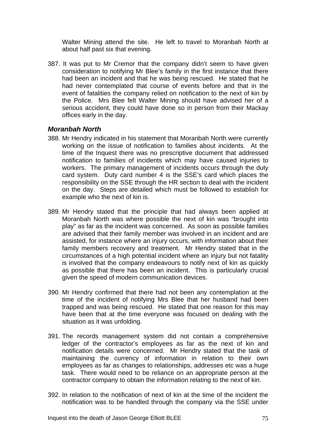Walter Mining attend the site. He left to travel to Moranbah North at about half past six that evening.

387. It was put to Mr Cremor that the company didn't seem to have given consideration to notifying Mr Blee's family in the first instance that there had been an incident and that he was being rescued. He stated that he had never contemplated that course of events before and that in the event of fatalities the company relied on notification to the next of kin by the Police. Mrs Blee felt Walter Mining should have advised her of a serious accident, they could have done so in person from their Mackay offices early in the day.

### *Moranbah North*

- 388. Mr Hendry indicated in his statement that Moranbah North were currently working on the issue of notification to families about incidents. At the time of the Inquest there was no prescriptive document that addressed notification to families of incidents which may have caused injuries to workers. The primary management of incidents occurs through the duty card system. Duty card number 4 is the SSE's card which places the responsibility on the SSE through the HR section to deal with the incident on the day. Steps are detailed which must be followed to establish for example who the next of kin is.
- 389. Mr Hendry stated that the principle that had always been applied at Moranbah North was where possible the next of kin was "brought into play" as far as the incident was concerned. As soon as possible families are advised that their family member was involved in an incident and are assisted, for instance where an injury occurs, with information about their family members recovery and treatment. Mr Hendry stated that in the circumstances of a high potential incident where an injury but not fatality is involved that the company endeavours to notify next of kin as quickly as possible that there has been an incident. This is particularly crucial given the speed of modern communication devices.
- 390. Mr Hendry confirmed that there had not been any contemplation at the time of the incident of notifying Mrs Blee that her husband had been trapped and was being rescued. He stated that one reason for this may have been that at the time everyone was focused on dealing with the situation as it was unfolding.
- 391. The records management system did not contain a comprehensive ledger of the contractor's employees as far as the next of kin and notification details were concerned. Mr Hendry stated that the task of maintaining the currency of information in relation to their own employees as far as changes to relationships, addresses etc was a huge task. There would need to be reliance on an appropriate person at the contractor company to obtain the information relating to the next of kin.
- 392. In relation to the notification of next of kin at the time of the incident the notification was to be handled through the company via the SSE under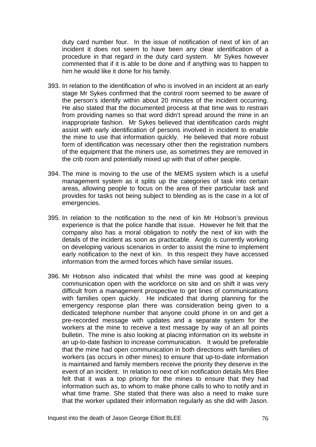duty card number four. In the issue of notification of next of kin of an incident it does not seem to have been any clear identification of a procedure in that regard in the duty card system. Mr Sykes however commented that if it is able to be done and if anything was to happen to him he would like it done for his family.

- 393. In relation to the identification of who is involved in an incident at an early stage Mr Sykes confirmed that the control room seemed to be aware of the person's identify within about 20 minutes of the incident occurring. He also stated that the documented process at that time was to restrain from providing names so that word didn't spread around the mine in an inappropriate fashion. Mr Sykes believed that identification cards might assist with early identification of persons involved in incident to enable the mine to use that information quickly. He believed that more robust form of identification was necessary other then the registration numbers of the equipment that the miners use, as sometimes they are removed in the crib room and potentially mixed up with that of other people.
- 394. The mine is moving to the use of the MEMS system which is a useful management system as it splits up the categories of task into certain areas, allowing people to focus on the area of their particular task and provides for tasks not being subject to blending as is the case in a lot of emergencies.
- 395. In relation to the notification to the next of kin Mr Hobson's previous experience is that the police handle that issue. However he felt that the company also has a moral obligation to notify the next of kin with the details of the incident as soon as practicable. Anglo is currently working on developing various scenarios in order to assist the mine to implement early notification to the next of kin. In this respect they have accessed information from the armed forces which have similar issues.
- 396. Mr Hobson also indicated that whilst the mine was good at keeping communication open with the workforce on site and on shift it was very difficult from a management prospective to get lines of communications with families open quickly. He indicated that during planning for the emergency response plan there was consideration being given to a dedicated telephone number that anyone could phone in on and get a pre-recorded message with updates and a separate system for the workers at the mine to receive a text message by way of an all points bulletin. The mine is also looking at placing information on its website in an up-to-date fashion to increase communication. It would be preferable that the mine had open communication in both directions with families of workers (as occurs in other mines) to ensure that up-to-date information is maintained and family members receive the priority they deserve in the event of an incident. In relation to next of kin notification details Mrs Blee felt that it was a top priority for the mines to ensure that they had information such as, to whom to make phone calls to who to notify and in what time frame. She stated that there was also a need to make sure that the worker updated their information regularly as she did with Jason.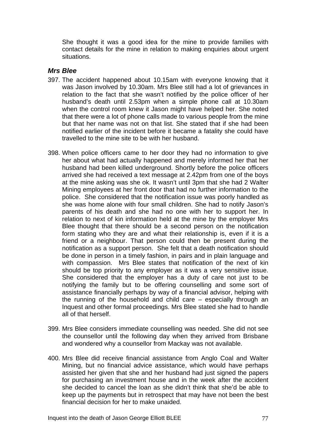She thought it was a good idea for the mine to provide families with contact details for the mine in relation to making enquiries about urgent situations.

#### *Mrs Blee*

- 397. The accident happened about 10.15am with everyone knowing that it was Jason involved by 10.30am. Mrs Blee still had a lot of grievances in relation to the fact that she wasn't notified by the police officer of her husband's death until 2.53pm when a simple phone call at 10.30am when the control room knew it Jason might have helped her. She noted that there were a lot of phone calls made to various people from the mine but that her name was not on that list. She stated that if she had been notified earlier of the incident before it became a fatality she could have travelled to the mine site to be with her husband.
- 398. When police officers came to her door they had no information to give her about what had actually happened and merely informed her that her husband had been killed underground. Shortly before the police officers arrived she had received a text message at 2.42pm from one of the boys at the mine asking was she ok. It wasn't until 3pm that she had 2 Walter Mining employees at her front door that had no further information to the police. She considered that the notification issue was poorly handled as she was home alone with four small children. She had to notify Jason's parents of his death and she had no one with her to support her. In relation to next of kin information held at the mine by the employer Mrs Blee thought that there should be a second person on the notification form stating who they are and what their relationship is, even if it is a friend or a neighbour. That person could then be present during the notification as a support person. She felt that a death notification should be done in person in a timely fashion, in pairs and in plain language and with compassion. Mrs Blee states that notification of the next of kin should be top priority to any employer as it was a very sensitive issue. She considered that the employer has a duty of care not just to be notifying the family but to be offering counselling and some sort of assistance financially perhaps by way of a financial advisor, helping with the running of the household and child care – especially through an Inquest and other formal proceedings. Mrs Blee stated she had to handle all of that herself.
- 399. Mrs Blee considers immediate counselling was needed. She did not see the counsellor until the following day when they arrived from Brisbane and wondered why a counsellor from Mackay was not available.
- 400. Mrs Blee did receive financial assistance from Anglo Coal and Walter Mining, but no financial advice assistance, which would have perhaps assisted her given that she and her husband had just signed the papers for purchasing an investment house and in the week after the accident she decided to cancel the loan as she didn't think that she'd be able to keep up the payments but in retrospect that may have not been the best financial decision for her to make unaided.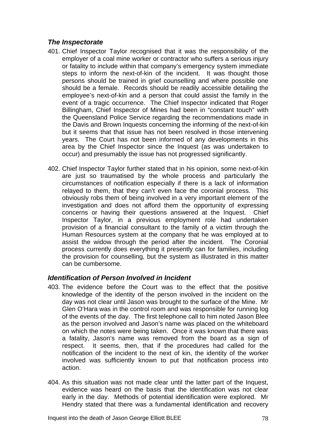## *The Inspectorate*

- 401. Chief Inspector Taylor recognised that it was the responsibility of the employer of a coal mine worker or contractor who suffers a serious injury or fatality to include within that company's emergency system immediate steps to inform the next-of-kin of the incident. It was thought those persons should be trained in grief counselling and where possible one should be a female. Records should be readily accessible detailing the employee's next-of-kin and a person that could assist the family in the event of a tragic occurrence. The Chief Inspector indicated that Roger Billingham, Chief Inspector of Mines had been in "constant touch" with the Queensland Police Service regarding the recommendations made in the Davis and Brown Inquests concerning the informing of the next-of-kin but it seems that that issue has not been resolved in those intervening years. The Court has not been informed of any developments in this area by the Chief Inspector since the Inquest (as was undertaken to occur) and presumably the issue has not progressed significantly.
- 402. Chief Inspector Taylor further stated that in his opinion, some next-of-kin are just so traumatised by the whole process and particularly the circumstances of notification especially if there is a lack of information relayed to them, that they can't even face the coronial process. This obviously robs them of being involved in a very important element of the investigation and does not afford them the opportunity of expressing concerns or having their questions answered at the Inquest. Chief Inspector Taylor, in a previous employment role had undertaken provision of a financial consultant to the family of a victim through the Human Resources system at the company that he was employed at to assist the widow through the period after the incident. The Coronial process currently does everything it presently can for families, including the provision for counselling, but the system as illustrated in this matter can be cumbersome.

## *Identification of Person Involved in Incident*

- 403. The evidence before the Court was to the effect that the positive knowledge of the identity of the person involved in the incident on the day was not clear until Jason was brought to the surface of the Mine. Mr Glen O'Hara was in the control room and was responsible for running log of the events of the day. The first telephone call to him noted Jason Blee as the person involved and Jason's name was placed on the whiteboard on which the notes were being taken. Once it was known that there was a fatality, Jason's name was removed from the board as a sign of respect. It seems, then, that if the procedures had called for the notification of the incident to the next of kin, the identity of the worker involved was sufficiently known to put that notification process into action.
- 404. As this situation was not made clear until the latter part of the Inquest, evidence was heard on the basis that the identification was not clear early in the day. Methods of potential identification were explored. Mr Hendry stated that there was a fundamental identification and recovery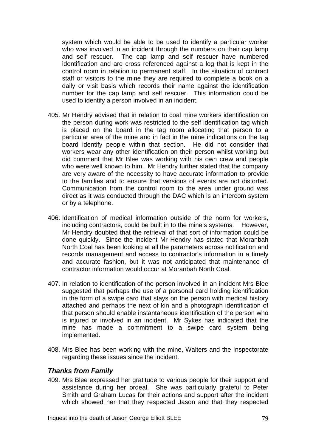system which would be able to be used to identify a particular worker who was involved in an incident through the numbers on their cap lamp and self rescuer. The cap lamp and self rescuer have numbered identification and are cross referenced against a log that is kept in the control room in relation to permanent staff. In the situation of contract staff or visitors to the mine they are required to complete a book on a daily or visit basis which records their name against the identification number for the cap lamp and self rescuer. This information could be used to identify a person involved in an incident.

- 405. Mr Hendry advised that in relation to coal mine workers identification on the person during work was restricted to the self identification tag which is placed on the board in the tag room allocating that person to a particular area of the mine and in fact in the mine indications on the tag board identify people within that section. He did not consider that workers wear any other identification on their person whilst working but did comment that Mr Blee was working with his own crew and people who were well known to him. Mr Hendry further stated that the company are very aware of the necessity to have accurate information to provide to the families and to ensure that versions of events are not distorted. Communication from the control room to the area under ground was direct as it was conducted through the DAC which is an intercom system or by a telephone.
- 406. Identification of medical information outside of the norm for workers, including contractors, could be built in to the mine's systems. However, Mr Hendry doubted that the retrieval of that sort of information could be done quickly. Since the incident Mr Hendry has stated that Moranbah North Coal has been looking at all the parameters across notification and records management and access to contractor's information in a timely and accurate fashion, but it was not anticipated that maintenance of contractor information would occur at Moranbah North Coal.
- 407. In relation to identification of the person involved in an incident Mrs Blee suggested that perhaps the use of a personal card holding identification in the form of a swipe card that stays on the person with medical history attached and perhaps the next of kin and a photograph identification of that person should enable instantaneous identification of the person who is injured or involved in an incident. Mr Sykes has indicated that the mine has made a commitment to a swipe card system being implemented.
- 408. Mrs Blee has been working with the mine, Walters and the Inspectorate regarding these issues since the incident.

#### *Thanks from Family*

409. Mrs Blee expressed her gratitude to various people for their support and assistance during her ordeal. She was particularly grateful to Peter Smith and Graham Lucas for their actions and support after the incident which showed her that they respected Jason and that they respected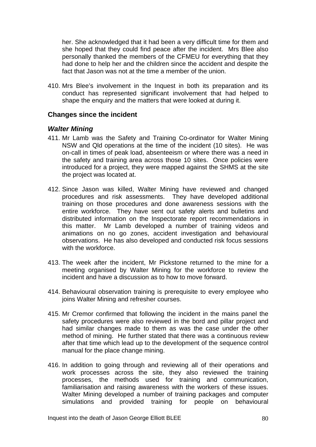her. She acknowledged that it had been a very difficult time for them and she hoped that they could find peace after the incident. Mrs Blee also personally thanked the members of the CFMEU for everything that they had done to help her and the children since the accident and despite the fact that Jason was not at the time a member of the union.

410. Mrs Blee's involvement in the Inquest in both its preparation and its conduct has represented significant involvement that had helped to shape the enquiry and the matters that were looked at during it.

#### **Changes since the incident**

#### *Walter Mining*

- 411. Mr Lamb was the Safety and Training Co-ordinator for Walter Mining NSW and Qld operations at the time of the incident (10 sites). He was on-call in times of peak load, absenteeism or where there was a need in the safety and training area across those 10 sites. Once policies were introduced for a project, they were mapped against the SHMS at the site the project was located at.
- 412. Since Jason was killed, Walter Mining have reviewed and changed procedures and risk assessments. They have developed additional training on those procedures and done awareness sessions with the entire workforce. They have sent out safety alerts and bulletins and distributed information on the Inspectorate report recommendations in this matter. Mr Lamb developed a number of training videos and animations on no go zones, accident investigation and behavioural observations. He has also developed and conducted risk focus sessions with the workforce.
- 413. The week after the incident, Mr Pickstone returned to the mine for a meeting organised by Walter Mining for the workforce to review the incident and have a discussion as to how to move forward.
- 414. Behavioural observation training is prerequisite to every employee who joins Walter Mining and refresher courses.
- 415. Mr Cremor confirmed that following the incident in the mains panel the safety procedures were also reviewed in the bord and pillar project and had similar changes made to them as was the case under the other method of mining. He further stated that there was a continuous review after that time which lead up to the development of the sequence control manual for the place change mining.
- 416. In addition to going through and reviewing all of their operations and work processes across the site, they also reviewed the training processes, the methods used for training and communication, familiarisation and raising awareness with the workers of these issues. Walter Mining developed a number of training packages and computer simulations and provided training for people on behavioural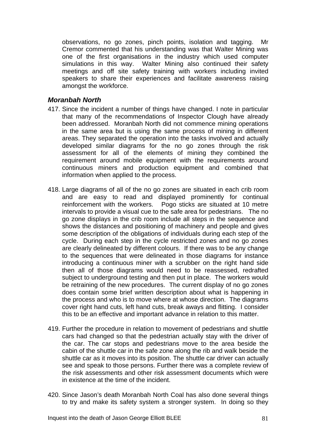observations, no go zones, pinch points, isolation and tagging. Mr Cremor commented that his understanding was that Walter Mining was one of the first organisations in the industry which used computer simulations in this way. Walter Mining also continued their safety meetings and off site safety training with workers including invited speakers to share their experiences and facilitate awareness raising amongst the workforce.

### *Moranbah North*

- 417. Since the incident a number of things have changed. I note in particular that many of the recommendations of Inspector Clough have already been addressed. Moranbah North did not commence mining operations in the same area but is using the same process of mining in different areas. They separated the operation into the tasks involved and actually developed similar diagrams for the no go zones through the risk assessment for all of the elements of mining they combined the requirement around mobile equipment with the requirements around continuous miners and production equipment and combined that information when applied to the process.
- 418. Large diagrams of all of the no go zones are situated in each crib room and are easy to read and displayed prominently for continual reinforcement with the workers. Pogo sticks are situated at 10 metre intervals to provide a visual cue to the safe area for pedestrians. The no go zone displays in the crib room include all steps in the sequence and shows the distances and positioning of machinery and people and gives some description of the obligations of individuals during each step of the cycle. During each step in the cycle restricted zones and no go zones are clearly delineated by different colours. If there was to be any change to the sequences that were delineated in those diagrams for instance introducing a continuous miner with a scrubber on the right hand side then all of those diagrams would need to be reassessed, redrafted subject to underground testing and then put in place. The workers would be retraining of the new procedures. The current display of no go zones does contain some brief written description about what is happening in the process and who is to move where at whose direction. The diagrams cover right hand cuts, left hand cuts, break aways and flitting. I consider this to be an effective and important advance in relation to this matter.
- 419. Further the procedure in relation to movement of pedestrians and shuttle cars had changed so that the pedestrian actually stay with the driver of the car. The car stops and pedestrians move to the area beside the cabin of the shuttle car in the safe zone along the rib and walk beside the shuttle car as it moves into its position. The shuttle car driver can actually see and speak to those persons. Further there was a complete review of the risk assessments and other risk assessment documents which were in existence at the time of the incident.
- 420. Since Jason's death Moranbah North Coal has also done several things to try and make its safety system a stronger system. In doing so they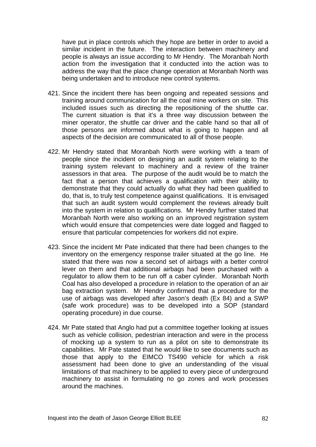have put in place controls which they hope are better in order to avoid a similar incident in the future. The interaction between machinery and people is always an issue according to Mr Hendry. The Moranbah North action from the investigation that it conducted into the action was to address the way that the place change operation at Moranbah North was being undertaken and to introduce new control systems.

- 421. Since the incident there has been ongoing and repeated sessions and training around communication for all the coal mine workers on site. This included issues such as directing the repositioning of the shuttle car. The current situation is that it's a three way discussion between the miner operator, the shuttle car driver and the cable hand so that all of those persons are informed about what is going to happen and all aspects of the decision are communicated to all of those people.
- 422. Mr Hendry stated that Moranbah North were working with a team of people since the incident on designing an audit system relating to the training system relevant to machinery and a review of the trainer assessors in that area. The purpose of the audit would be to match the fact that a person that achieves a qualification with their ability to demonstrate that they could actually do what they had been qualified to do, that is, to truly test competence against qualifications. It is envisaged that such an audit system would complement the reviews already built into the system in relation to qualifications. Mr Hendry further stated that Moranbah North were also working on an improved registration system which would ensure that competencies were date logged and flagged to ensure that particular competencies for workers did not expire.
- 423. Since the incident Mr Pate indicated that there had been changes to the inventory on the emergency response trailer situated at the go line. He stated that there was now a second set of airbags with a better control lever on them and that additional airbags had been purchased with a regulator to allow them to be run off a caber cylinder. Moranbah North Coal has also developed a procedure in relation to the operation of an air bag extraction system. Mr Hendry confirmed that a procedure for the use of airbags was developed after Jason's death (Ex 84) and a SWP (safe work procedure) was to be developed into a SOP (standard operating procedure) in due course.
- 424. Mr Pate stated that Anglo had put a committee together looking at issues such as vehicle collision, pedestrian interaction and were in the process of mocking up a system to run as a pilot on site to demonstrate its capabilities. Mr Pate stated that he would like to see documents such as those that apply to the EIMCO TS490 vehicle for which a risk assessment had been done to give an understanding of the visual limitations of that machinery to be applied to every piece of underground machinery to assist in formulating no go zones and work processes around the machines.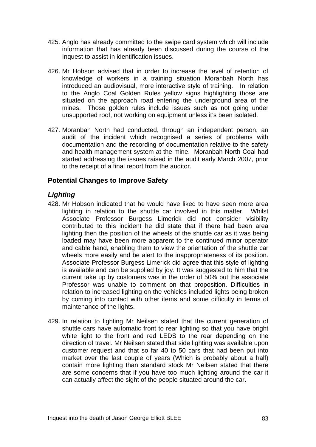- 425. Anglo has already committed to the swipe card system which will include information that has already been discussed during the course of the Inquest to assist in identification issues.
- 426. Mr Hobson advised that in order to increase the level of retention of knowledge of workers in a training situation Moranbah North has introduced an audiovisual, more interactive style of training. In relation to the Anglo Coal Golden Rules yellow signs highlighting those are situated on the approach road entering the underground area of the mines. Those golden rules include issues such as not going under unsupported roof, not working on equipment unless it's been isolated.
- 427. Moranbah North had conducted, through an independent person, an audit of the incident which recognised a series of problems with documentation and the recording of documentation relative to the safety and health management system at the mine. Moranbah North Coal had started addressing the issues raised in the audit early March 2007, prior to the receipt of a final report from the auditor.

## **Potential Changes to Improve Safety**

### *Lighting*

- 428. Mr Hobson indicated that he would have liked to have seen more area lighting in relation to the shuttle car involved in this matter. Whilst Associate Professor Burgess Limerick did not consider visibility contributed to this incident he did state that if there had been area lighting then the position of the wheels of the shuttle car as it was being loaded may have been more apparent to the continued minor operator and cable hand, enabling them to view the orientation of the shuttle car wheels more easily and be alert to the inappropriateness of its position. Associate Professor Burgess Limerick did agree that this style of lighting is available and can be supplied by joy. It was suggested to him that the current take up by customers was in the order of 50% but the associate Professor was unable to comment on that proposition. Difficulties in relation to increased lighting on the vehicles included lights being broken by coming into contact with other items and some difficulty in terms of maintenance of the lights.
- 429. In relation to lighting Mr Neilsen stated that the current generation of shuttle cars have automatic front to rear lighting so that you have bright white light to the front and red LEDS to the rear depending on the direction of travel. Mr Neilsen stated that side lighting was available upon customer request and that so far 40 to 50 cars that had been put into market over the last couple of years (Which is probably about a half) contain more lighting than standard stock Mr Neilsen stated that there are some concerns that if you have too much lighting around the car it can actually affect the sight of the people situated around the car.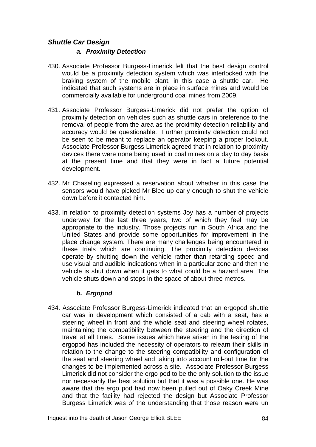# *Shuttle Car Design*

#### *a. Proximity Detection*

- 430. Associate Professor Burgess-Limerick felt that the best design control would be a proximity detection system which was interlocked with the braking system of the mobile plant, in this case a shuttle car. He indicated that such systems are in place in surface mines and would be commercially available for underground coal mines from 2009.
- 431. Associate Professor Burgess-Limerick did not prefer the option of proximity detection on vehicles such as shuttle cars in preference to the removal of people from the area as the proximity detection reliability and accuracy would be questionable. Further proximity detection could not be seen to be meant to replace an operator keeping a proper lookout. Associate Professor Burgess Limerick agreed that in relation to proximity devices there were none being used in coal mines on a day to day basis at the present time and that they were in fact a future potential development.
- 432. Mr Chaseling expressed a reservation about whether in this case the sensors would have picked Mr Blee up early enough to shut the vehicle down before it contacted him.
- 433. In relation to proximity detection systems Joy has a number of projects underway for the last three years, two of which they feel may be appropriate to the industry. Those projects run in South Africa and the United States and provide some opportunities for improvement in the place change system. There are many challenges being encountered in these trials which are continuing. The proximity detection devices operate by shutting down the vehicle rather than retarding speed and use visual and audible indications when in a particular zone and then the vehicle is shut down when it gets to what could be a hazard area. The vehicle shuts down and stops in the space of about three metres.

#### *b. Ergopod*

434. Associate Professor Burgess-Limerick indicated that an ergopod shuttle car was in development which consisted of a cab with a seat, has a steering wheel in front and the whole seat and steering wheel rotates, maintaining the compatibility between the steering and the direction of travel at all times. Some issues which have arisen in the testing of the ergopod has included the necessity of operators to relearn their skills in relation to the change to the steering compatibility and configuration of the seat and steering wheel and taking into account roll-out time for the changes to be implemented across a site. Associate Professor Burgess Limerick did not consider the ergo pod to be the only solution to the issue nor necessarily the best solution but that it was a possible one. He was aware that the ergo pod had now been pulled out of Oaky Creek Mine and that the facility had rejected the design but Associate Professor Burgess Limerick was of the understanding that those reason were un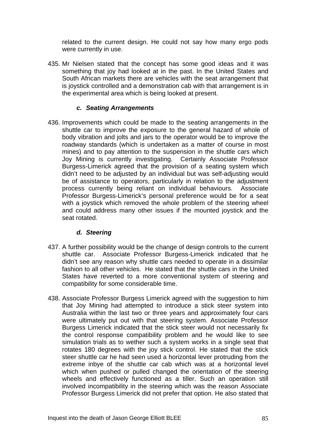related to the current design. He could not say how many ergo pods were currently in use.

435. Mr Nielsen stated that the concept has some good ideas and it was something that joy had looked at in the past. In the United States and South African markets there are vehicles with the seat arrangement that is joystick controlled and a demonstration cab with that arrangement is in the experimental area which is being looked at present.

#### *c. Seating Arrangements*

436. Improvements which could be made to the seating arrangements in the shuttle car to improve the exposure to the general hazard of whole of body vibration and jolts and jars to the operator would be to improve the roadway standards (which is undertaken as a matter of course in most mines) and to pay attention to the suspension in the shuttle cars which Joy Mining is currently investigating. Certainly Associate Professor Burgess-Limerick agreed that the provision of a seating system which didn't need to be adjusted by an individual but was self-adjusting would be of assistance to operators, particularly in relation to the adjustment process currently being reliant on individual behaviours. Associate Professor Burgess-Limerick's personal preference would be for a seat with a joystick which removed the whole problem of the steering wheel and could address many other issues if the mounted joystick and the seat rotated.

#### *d. Steering*

- 437. A further possibility would be the change of design controls to the current shuttle car. Associate Professor Burgess-Limerick indicated that he didn't see any reason why shuttle cars needed to operate in a dissimilar fashion to all other vehicles. He stated that the shuttle cars in the United States have reverted to a more conventional system of steering and compatibility for some considerable time.
- 438. Associate Professor Burgess Limerick agreed with the suggestion to him that Joy Mining had attempted to introduce a stick steer system into Australia within the last two or three years and approximately four cars were ultimately put out with that steering system. Associate Professor Burgess Limerick indicated that the stick steer would not necessarily fix the control response compatibility problem and he would like to see simulation trials as to wether such a system works in a single seat that rotates 180 degrees with the joy stick control. He stated that the stick steer shuttle car he had seen used a horizontal lever protruding from the extreme inbye of the shuttle car cab which was at a horizontal level which when pushed or pulled changed the orientation of the steering wheels and effectively functioned as a tiller. Such an operation still involved incompatibility in the steering which was the reason Associate Professor Burgess Limerick did not prefer that option. He also stated that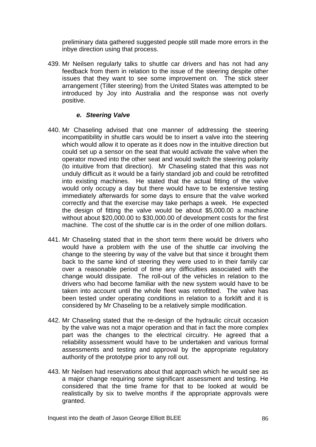preliminary data gathered suggested people still made more errors in the inbye direction using that process.

439. Mr Neilsen regularly talks to shuttle car drivers and has not had any feedback from them in relation to the issue of the steering despite other issues that they want to see some improvement on. The stick steer arrangement (Tiller steering) from the United States was attempted to be introduced by Joy into Australia and the response was not overly positive.

### *e. Steering Valve*

- 440. Mr Chaseling advised that one manner of addressing the steering incompatibility in shuttle cars would be to insert a valve into the steering which would allow it to operate as it does now in the intuitive direction but could set up a sensor on the seat that would activate the valve when the operator moved into the other seat and would switch the steering polarity (to intuitive from that direction). Mr Chaseling stated that this was not unduly difficult as it would be a fairly standard job and could be retrofitted into existing machines. He stated that the actual fitting of the valve would only occupy a day but there would have to be extensive testing immediately afterwards for some days to ensure that the valve worked correctly and that the exercise may take perhaps a week. He expected the design of fitting the valve would be about \$5,000.00 a machine without about \$20,000.00 to \$30,000.00 of development costs for the first machine. The cost of the shuttle car is in the order of one million dollars.
- 441. Mr Chaseling stated that in the short term there would be drivers who would have a problem with the use of the shuttle car involving the change to the steering by way of the valve but that since it brought them back to the same kind of steering they were used to in their family car over a reasonable period of time any difficulties associated with the change would dissipate. The roll-out of the vehicles in relation to the drivers who had become familiar with the new system would have to be taken into account until the whole fleet was retrofitted. The valve has been tested under operating conditions in relation to a forklift and it is considered by Mr Chaseling to be a relatively simple modification.
- 442. Mr Chaseling stated that the re-design of the hydraulic circuit occasion by the valve was not a major operation and that in fact the more complex part was the changes to the electrical circuitry. He agreed that a reliability assessment would have to be undertaken and various formal assessments and testing and approval by the appropriate regulatory authority of the prototype prior to any roll out.
- 443. Mr Neilsen had reservations about that approach which he would see as a major change requiring some significant assessment and testing. He considered that the time frame for that to be looked at would be realistically by six to twelve months if the appropriate approvals were granted.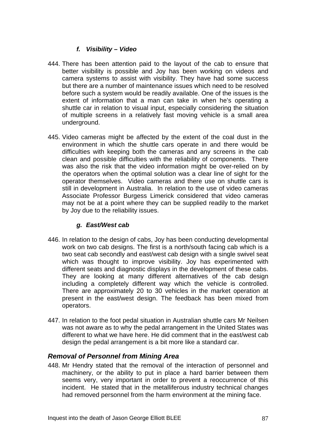## *f. Visibility – Video*

- 444. There has been attention paid to the layout of the cab to ensure that better visibility is possible and Joy has been working on videos and camera systems to assist with visibility. They have had some success but there are a number of maintenance issues which need to be resolved before such a system would be readily available. One of the issues is the extent of information that a man can take in when he's operating a shuttle car in relation to visual input, especially considering the situation of multiple screens in a relatively fast moving vehicle is a small area underground.
- 445. Video cameras might be affected by the extent of the coal dust in the environment in which the shuttle cars operate in and there would be difficulties with keeping both the cameras and any screens in the cab clean and possible difficulties with the reliability of components. There was also the risk that the video information might be over-relied on by the operators when the optimal solution was a clear line of sight for the operator themselves. Video cameras and there use on shuttle cars is still in development in Australia. In relation to the use of video cameras Associate Professor Burgess Limerick considered that video cameras may not be at a point where they can be supplied readily to the market by Joy due to the reliability issues.

## *g. East/West cab*

- 446. In relation to the design of cabs, Joy has been conducting developmental work on two cab designs. The first is a north/south facing cab which is a two seat cab secondly and east/west cab design with a single swivel seat which was thought to improve visibility. Joy has experimented with different seats and diagnostic displays in the development of these cabs. They are looking at many different alternatives of the cab design including a completely different way which the vehicle is controlled. There are approximately 20 to 30 vehicles in the market operation at present in the east/west design. The feedback has been mixed from operators.
- 447. In relation to the foot pedal situation in Australian shuttle cars Mr Neilsen was not aware as to why the pedal arrangement in the United States was different to what we have here. He did comment that in the east/west cab design the pedal arrangement is a bit more like a standard car.

## *Removal of Personnel from Mining Area*

448. Mr Hendry stated that the removal of the interaction of personnel and machinery, or the ability to put in place a hard barrier between them seems very, very important in order to prevent a reoccurrence of this incident. He stated that in the metalliferous industry technical changes had removed personnel from the harm environment at the mining face.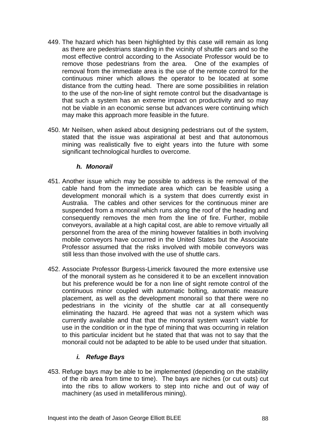- 449. The hazard which has been highlighted by this case will remain as long as there are pedestrians standing in the vicinity of shuttle cars and so the most effective control according to the Associate Professor would be to remove those pedestrians from the area. One of the examples of removal from the immediate area is the use of the remote control for the continuous miner which allows the operator to be located at some distance from the cutting head. There are some possibilities in relation to the use of the non-line of sight remote control but the disadvantage is that such a system has an extreme impact on productivity and so may not be viable in an economic sense but advances were continuing which may make this approach more feasible in the future.
- 450. Mr Neilsen, when asked about designing pedestrians out of the system, stated that the issue was aspirational at best and that autonomous mining was realistically five to eight years into the future with some significant technological hurdles to overcome.

#### *h. Monorail*

- 451. Another issue which may be possible to address is the removal of the cable hand from the immediate area which can be feasible using a development monorail which is a system that does currently exist in Australia. The cables and other services for the continuous miner are suspended from a monorail which runs along the roof of the heading and consequently removes the men from the line of fire. Further, mobile conveyors, available at a high capital cost, are able to remove virtually all personnel from the area of the mining however fatalities in both involving mobile conveyors have occurred in the United States but the Associate Professor assumed that the risks involved with mobile conveyors was still less than those involved with the use of shuttle cars.
- 452. Associate Professor Burgess-Limerick favoured the more extensive use of the monorail system as he considered it to be an excellent innovation but his preference would be for a non line of sight remote control of the continuous minor coupled with automatic bolting, automatic measure placement, as well as the development monorail so that there were no pedestrians in the vicinity of the shuttle car at all consequently eliminating the hazard. He agreed that was not a system which was currently available and that that the monorail system wasn't viable for use in the condition or in the type of mining that was occurring in relation to this particular incident but he stated that that was not to say that the monorail could not be adapted to be able to be used under that situation.

#### *i. Refuge Bays*

453. Refuge bays may be able to be implemented (depending on the stability of the rib area from time to time). The bays are niches (or cut outs) cut into the ribs to allow workers to step into niche and out of way of machinery (as used in metalliferous mining).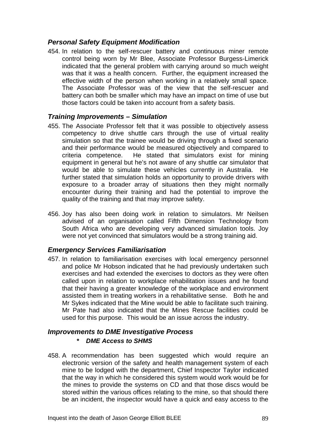## *Personal Safety Equipment Modification*

454. In relation to the self-rescuer battery and continuous miner remote control being worn by Mr Blee, Associate Professor Burgess-Limerick indicated that the general problem with carrying around so much weight was that it was a health concern. Further, the equipment increased the effective width of the person when working in a relatively small space. The Associate Professor was of the view that the self-rescuer and battery can both be smaller which may have an impact on time of use but those factors could be taken into account from a safety basis.

### *Training Improvements – Simulation*

- 455. The Associate Professor felt that it was possible to objectively assess competency to drive shuttle cars through the use of virtual reality simulation so that the trainee would be driving through a fixed scenario and their performance would be measured objectively and compared to criteria competence. He stated that simulators exist for mining equipment in general but he's not aware of any shuttle car simulator that would be able to simulate these vehicles currently in Australia. He further stated that simulation holds an opportunity to provide drivers with exposure to a broader array of situations then they might normally encounter during their training and had the potential to improve the quality of the training and that may improve safety.
- 456. Joy has also been doing work in relation to simulators. Mr Neilsen advised of an organisation called Fifth Dimension Technology from South Africa who are developing very advanced simulation tools. Joy were not yet convinced that simulators would be a strong training aid.

## *Emergency Services Familiarisation*

457. In relation to familiarisation exercises with local emergency personnel and police Mr Hobson indicated that he had previously undertaken such exercises and had extended the exercises to doctors as they were often called upon in relation to workplace rehabilitation issues and he found that their having a greater knowledge of the workplace and environment assisted them in treating workers in a rehabilitative sense. Both he and Mr Sykes indicated that the Mine would be able to facilitate such training. Mr Pate had also indicated that the Mines Rescue facilities could be used for this purpose. This would be an issue across the industry.

#### *Improvements to DME Investigative Process*

#### *\* DME Access to SHMS*

458. A recommendation has been suggested which would require an electronic version of the safety and health management system of each mine to be lodged with the department, Chief Inspector Taylor indicated that the way in which he considered this system would work would be for the mines to provide the systems on CD and that those discs would be stored within the various offices relating to the mine, so that should there be an incident, the inspector would have a quick and easy access to the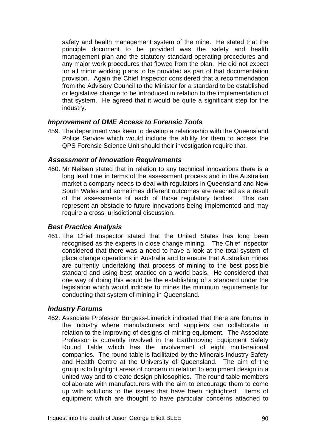safety and health management system of the mine. He stated that the principle document to be provided was the safety and health management plan and the statutory standard operating procedures and any major work procedures that flowed from the plan. He did not expect for all minor working plans to be provided as part of that documentation provision. Again the Chief Inspector considered that a recommendation from the Advisory Council to the Minister for a standard to be established or legislative change to be introduced in relation to the implementation of that system. He agreed that it would be quite a significant step for the industry.

### *Improvement of DME Access to Forensic Tools*

459. The department was keen to develop a relationship with the Queensland Police Service which would include the ability for them to access the QPS Forensic Science Unit should their investigation require that.

#### *Assessment of Innovation Requirements*

460. Mr Neilsen stated that in relation to any technical innovations there is a long lead time in terms of the assessment process and in the Australian market a company needs to deal with regulators in Queensland and New South Wales and sometimes different outcomes are reached as a result of the assessments of each of those regulatory bodies. This can represent an obstacle to future innovations being implemented and may require a cross-jurisdictional discussion.

#### *Best Practice Analysis*

461. The Chief Inspector stated that the United States has long been recognised as the experts in close change mining. The Chief Inspector considered that there was a need to have a look at the total system of place change operations in Australia and to ensure that Australian mines are currently undertaking that process of mining to the best possible standard and using best practice on a world basis. He considered that one way of doing this would be the establishing of a standard under the legislation which would indicate to mines the minimum requirements for conducting that system of mining in Queensland.

#### *Industry Forums*

462. Associate Professor Burgess-Limerick indicated that there are forums in the industry where manufacturers and suppliers can collaborate in relation to the improving of designs of mining equipment. The Associate Professor is currently involved in the Earthmoving Equipment Safety Round Table which has the involvement of eight multi-national companies. The round table is facilitated by the Minerals Industry Safety and Health Centre at the University of Queensland. The aim of the group is to highlight areas of concern in relation to equipment design in a united way and to create design philosophies. The round table members collaborate with manufacturers with the aim to encourage them to come up with solutions to the issues that have been highlighted. Items of equipment which are thought to have particular concerns attached to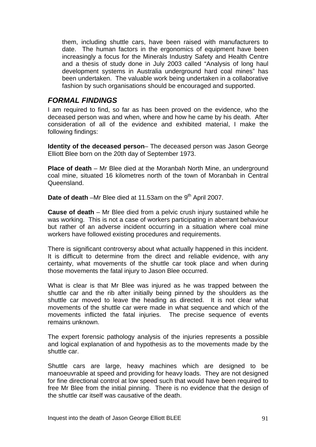them, including shuttle cars, have been raised with manufacturers to date. The human factors in the ergonomics of equipment have been increasingly a focus for the Minerals Industry Safety and Health Centre and a thesis of study done in July 2003 called "Analysis of long haul development systems in Australia underground hard coal mines" has been undertaken. The valuable work being undertaken in a collaborative fashion by such organisations should be encouraged and supported.

# *FORMAL FINDINGS*

I am required to find, so far as has been proved on the evidence, who the deceased person was and when, where and how he came by his death. After consideration of all of the evidence and exhibited material, I make the following findings:

**Identity of the deceased person**– The deceased person was Jason George Elliott Blee born on the 20th day of September 1973.

**Place of death** – Mr Blee died at the Moranbah North Mine, an underground coal mine, situated 16 kilometres north of the town of Moranbah in Central Queensland.

**Date of death** –Mr Blee died at 11.53am on the 9<sup>th</sup> April 2007.

**Cause of death** – Mr Blee died from a pelvic crush injury sustained while he was working. This is not a case of workers participating in aberrant behaviour but rather of an adverse incident occurring in a situation where coal mine workers have followed existing procedures and requirements.

There is significant controversy about what actually happened in this incident. It is difficult to determine from the direct and reliable evidence, with any certainty, what movements of the shuttle car took place and when during those movements the fatal injury to Jason Blee occurred.

What is clear is that Mr Blee was injured as he was trapped between the shuttle car and the rib after initially being pinned by the shoulders as the shuttle car moved to leave the heading as directed. It is not clear what movements of the shuttle car were made in what sequence and which of the movements inflicted the fatal injuries. The precise sequence of events remains unknown.

The expert forensic pathology analysis of the injuries represents a possible and logical explanation of and hypothesis as to the movements made by the shuttle car.

Shuttle cars are large, heavy machines which are designed to be manoeuvrable at speed and providing for heavy loads. They are not designed for fine directional control at low speed such that would have been required to free Mr Blee from the initial pinning. There is no evidence that the design of the shuttle car itself was causative of the death.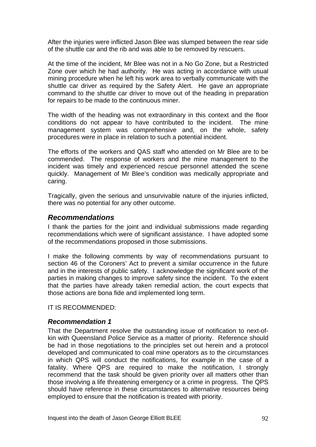After the injuries were inflicted Jason Blee was slumped between the rear side of the shuttle car and the rib and was able to be removed by rescuers.

At the time of the incident, Mr Blee was not in a No Go Zone, but a Restricted Zone over which he had authority. He was acting in accordance with usual mining procedure when he left his work area to verbally communicate with the shuttle car driver as required by the Safety Alert. He gave an appropriate command to the shuttle car driver to move out of the heading in preparation for repairs to be made to the continuous miner.

The width of the heading was not extraordinary in this context and the floor conditions do not appear to have contributed to the incident. The mine management system was comprehensive and, on the whole, safety procedures were in place in relation to such a potential incident.

The efforts of the workers and QAS staff who attended on Mr Blee are to be commended. The response of workers and the mine management to the incident was timely and experienced rescue personnel attended the scene quickly. Management of Mr Blee's condition was medically appropriate and caring.

Tragically, given the serious and unsurvivable nature of the injuries inflicted, there was no potential for any other outcome.

### *Recommendations*

I thank the parties for the joint and individual submissions made regarding recommendations which were of significant assistance. I have adopted some of the recommendations proposed in those submissions.

I make the following comments by way of recommendations pursuant to section 46 of the Coroners' Act to prevent a similar occurrence in the future and in the interests of public safety. I acknowledge the significant work of the parties in making changes to improve safety since the incident. To the extent that the parties have already taken remedial action, the court expects that those actions are bona fide and implemented long term.

IT IS RECOMMENDED:

#### *Recommendation 1*

That the Department resolve the outstanding issue of notification to next-ofkin with Queensland Police Service as a matter of priority. Reference should be had in those negotiations to the principles set out herein and a protocol developed and communicated to coal mine operators as to the circumstances in which QPS will conduct the notifications, for example in the case of a fatality. Where QPS are required to make the notification, I strongly recommend that the task should be given priority over all matters other than those involving a life threatening emergency or a crime in progress. The QPS should have reference in these circumstances to alternative resources being employed to ensure that the notification is treated with priority.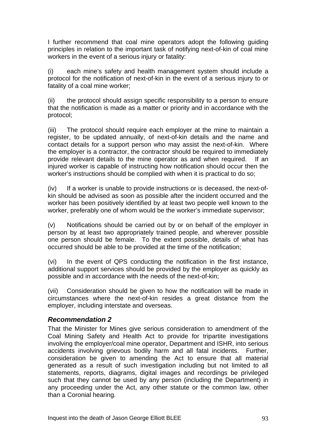I further recommend that coal mine operators adopt the following guiding principles in relation to the important task of notifying next-of-kin of coal mine workers in the event of a serious injury or fatality:

(i) each mine's safety and health management system should include a protocol for the notification of next-of-kin in the event of a serious injury to or fatality of a coal mine worker;

(ii) the protocol should assign specific responsibility to a person to ensure that the notification is made as a matter or priority and in accordance with the protocol;

(iii) The protocol should require each employer at the mine to maintain a register, to be updated annually, of next-of-kin details and the name and contact details for a support person who may assist the next-of-kin. Where the employer is a contractor, the contractor should be required to immediately provide relevant details to the mine operator as and when required. If an injured worker is capable of instructing how notification should occur then the worker's instructions should be complied with when it is practical to do so;

(iv) If a worker is unable to provide instructions or is deceased, the next-ofkin should be advised as soon as possible after the incident occurred and the worker has been positively identified by at least two people well known to the worker, preferably one of whom would be the worker's immediate supervisor;

(v) Notifications should be carried out by or on behalf of the employer in person by at least two appropriately trained people, and wherever possible one person should be female. To the extent possible, details of what has occurred should be able to be provided at the time of the notification;

(vi) In the event of QPS conducting the notification in the first instance, additional support services should be provided by the employer as quickly as possible and in accordance with the needs of the next-of-kin;

(vii) Consideration should be given to how the notification will be made in circumstances where the next-of-kin resides a great distance from the employer, including interstate and overseas.

## *Recommendation 2*

That the Minister for Mines give serious consideration to amendment of the Coal Mining Safety and Health Act to provide for tripartite investigations involving the employer/coal mine operator, Department and ISHR, into serious accidents involving grievous bodily harm and all fatal incidents. Further, consideration be given to amending the Act to ensure that all material generated as a result of such investigation including but not limited to all statements, reports, diagrams, digital images and recordings be privileged such that they cannot be used by any person (including the Department) in any proceeding under the Act, any other statute or the common law, other than a Coronial hearing.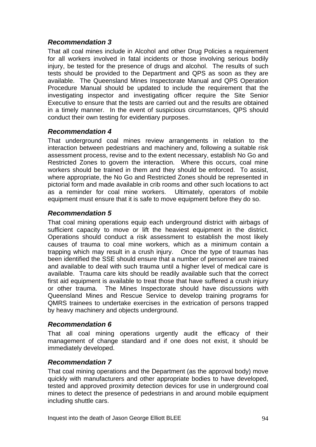## *Recommendation 3*

That all coal mines include in Alcohol and other Drug Policies a requirement for all workers involved in fatal incidents or those involving serious bodily injury, be tested for the presence of drugs and alcohol. The results of such tests should be provided to the Department and QPS as soon as they are available. The Queensland Mines Inspectorate Manual and QPS Operation Procedure Manual should be updated to include the requirement that the investigating inspector and investigating officer require the Site Senior Executive to ensure that the tests are carried out and the results are obtained in a timely manner. In the event of suspicious circumstances, QPS should conduct their own testing for evidentiary purposes.

## *Recommendation 4*

That underground coal mines review arrangements in relation to the interaction between pedestrians and machinery and, following a suitable risk assessment process, revise and to the extent necessary, establish No Go and Restricted Zones to govern the interaction. Where this occurs, coal mine workers should be trained in them and they should be enforced. To assist, where appropriate, the No Go and Restricted Zones should be represented in pictorial form and made available in crib rooms and other such locations to act as a reminder for coal mine workers. Ultimately, operators of mobile equipment must ensure that it is safe to move equipment before they do so.

## *Recommendation 5*

That coal mining operations equip each underground district with airbags of sufficient capacity to move or lift the heaviest equipment in the district. Operations should conduct a risk assessment to establish the most likely causes of trauma to coal mine workers, which as a minimum contain a trapping which may result in a crush injury. Once the type of traumas has been identified the SSE should ensure that a number of personnel are trained and available to deal with such trauma until a higher level of medical care is available. Trauma care kits should be readily available such that the correct first aid equipment is available to treat those that have suffered a crush injury or other trauma. The Mines Inspectorate should have discussions with Queensland Mines and Rescue Service to develop training programs for QMRS trainees to undertake exercises in the extrication of persons trapped by heavy machinery and objects underground.

## *Recommendation 6*

That all coal mining operations urgently audit the efficacy of their management of change standard and if one does not exist, it should be immediately developed.

## *Recommendation 7*

That coal mining operations and the Department (as the approval body) move quickly with manufacturers and other appropriate bodies to have developed, tested and approved proximity detection devices for use in underground coal mines to detect the presence of pedestrians in and around mobile equipment including shuttle cars.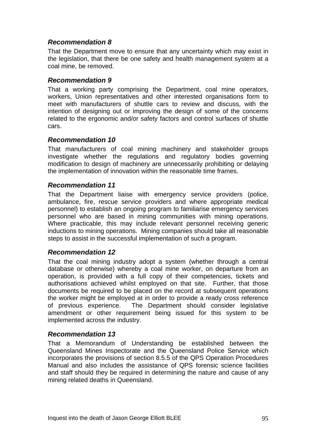## *Recommendation 8*

That the Department move to ensure that any uncertainty which may exist in the legislation, that there be one safety and health management system at a coal mine, be removed.

### *Recommendation 9*

That a working party comprising the Department, coal mine operators, workers. Union representatives and other interested organisations form to meet with manufacturers of shuttle cars to review and discuss, with the intention of designing out or improving the design of some of the concerns related to the ergonomic and/or safety factors and control surfaces of shuttle cars.

### *Recommendation 10*

That manufacturers of coal mining machinery and stakeholder groups investigate whether the regulations and regulatory bodies governing modification to design of machinery are unnecessarily prohibiting or delaying the implementation of innovation within the reasonable time frames.

#### *Recommendation 11*

That the Department liaise with emergency service providers (police, ambulance, fire, rescue service providers and where appropriate medical personnel) to establish an ongoing program to familiarise emergency services personnel who are based in mining communities with mining operations. Where practicable, this may include relevant personnel receiving generic inductions to mining operations. Mining companies should take all reasonable steps to assist in the successful implementation of such a program.

## *Recommendation 12*

That the coal mining industry adopt a system (whether through a central database or otherwise) whereby a coal mine worker, on departure from an operation, is provided with a full copy of their competencies, tickets and authorisations achieved whilst employed on that site. Further, that those documents be required to be placed on the record at subsequent operations the worker might be employed at in order to provide a ready cross reference of previous experience. The Department should consider legislative amendment or other requirement being issued for this system to be implemented across the industry.

#### *Recommendation 13*

That a Memorandum of Understanding be established between the Queensland Mines Inspectorate and the Queensland Police Service which incorporates the provisions of section 8.5.5 of the QPS Operation Procedures Manual and also includes the assistance of QPS forensic science facilities and staff should they be required in determining the nature and cause of any mining related deaths in Queensland.